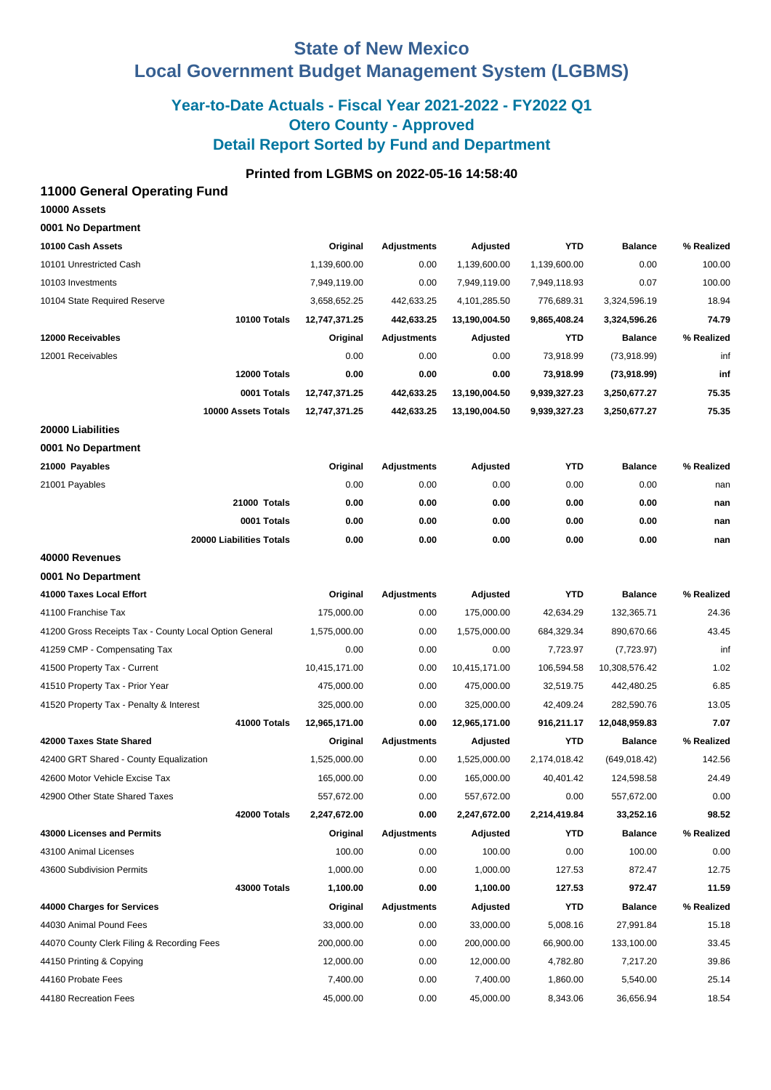# **State of New Mexico Local Government Budget Management System (LGBMS)**

# **Year-to-Date Actuals - Fiscal Year 2021-2022 - FY2022 Q1 Otero County - Approved Detail Report Sorted by Fund and Department**

## **Printed from LGBMS on 2022-05-16 14:58:40**

### **11000 General Operating Fund**

| 10000 Assets       |  |
|--------------------|--|
| 0001 No Department |  |

| 10100 Cash Assets                                      | Original      | <b>Adjustments</b> | Adjusted       | <b>YTD</b>   | <b>Balance</b> | % Realized |
|--------------------------------------------------------|---------------|--------------------|----------------|--------------|----------------|------------|
| 10101 Unrestricted Cash                                | 1,139,600.00  | 0.00               | 1,139,600.00   | 1,139,600.00 | 0.00           | 100.00     |
| 10103 Investments                                      | 7,949,119.00  | 0.00               | 7,949,119.00   | 7,949,118.93 | 0.07           | 100.00     |
| 10104 State Required Reserve                           | 3,658,652.25  | 442,633.25         | 4, 101, 285.50 | 776,689.31   | 3,324,596.19   | 18.94      |
| 10100 Totals                                           | 12,747,371.25 | 442,633.25         | 13,190,004.50  | 9,865,408.24 | 3,324,596.26   | 74.79      |
| 12000 Receivables                                      | Original      | <b>Adjustments</b> | Adjusted       | <b>YTD</b>   | <b>Balance</b> | % Realized |
| 12001 Receivables                                      | 0.00          | 0.00               | 0.00           | 73,918.99    | (73,918.99)    | inf        |
| 12000 Totals                                           | 0.00          | 0.00               | 0.00           | 73,918.99    | (73,918.99)    | inf        |
| 0001 Totals                                            | 12,747,371.25 | 442,633.25         | 13,190,004.50  | 9,939,327.23 | 3,250,677.27   | 75.35      |
| 10000 Assets Totals                                    | 12,747,371.25 | 442,633.25         | 13,190,004.50  | 9,939,327.23 | 3,250,677.27   | 75.35      |
| 20000 Liabilities                                      |               |                    |                |              |                |            |
| 0001 No Department                                     |               |                    |                |              |                |            |
| 21000 Payables                                         | Original      | <b>Adjustments</b> | Adjusted       | YTD          | <b>Balance</b> | % Realized |
| 21001 Payables                                         | 0.00          | 0.00               | 0.00           | 0.00         | 0.00           | nan        |
| 21000 Totals                                           | 0.00          | 0.00               | 0.00           | 0.00         | 0.00           | nan        |
| 0001 Totals                                            | 0.00          | 0.00               | 0.00           | 0.00         | 0.00           | nan        |
| 20000 Liabilities Totals                               | 0.00          | 0.00               | 0.00           | 0.00         | 0.00           | nan        |
| 40000 Revenues                                         |               |                    |                |              |                |            |
| 0001 No Department                                     |               |                    |                |              |                |            |
| 41000 Taxes Local Effort                               | Original      | <b>Adjustments</b> | Adjusted       | <b>YTD</b>   | <b>Balance</b> | % Realized |
| 41100 Franchise Tax                                    | 175,000.00    | 0.00               | 175,000.00     | 42,634.29    | 132,365.71     | 24.36      |
| 41200 Gross Receipts Tax - County Local Option General | 1,575,000.00  | 0.00               | 1,575,000.00   | 684,329.34   | 890,670.66     | 43.45      |
| 41259 CMP - Compensating Tax                           | 0.00          | 0.00               | 0.00           | 7,723.97     | (7,723.97)     | inf        |
| 41500 Property Tax - Current                           | 10,415,171.00 | 0.00               | 10,415,171.00  | 106,594.58   | 10,308,576.42  | 1.02       |
| 41510 Property Tax - Prior Year                        | 475,000.00    | 0.00               | 475,000.00     | 32,519.75    | 442,480.25     | 6.85       |
| 41520 Property Tax - Penalty & Interest                | 325,000.00    | 0.00               | 325,000.00     | 42,409.24    | 282,590.76     | 13.05      |
| 41000 Totals                                           | 12,965,171.00 | 0.00               | 12,965,171.00  | 916,211.17   | 12,048,959.83  | 7.07       |
| 42000 Taxes State Shared                               | Original      | <b>Adjustments</b> | Adjusted       | <b>YTD</b>   | <b>Balance</b> | % Realized |
| 42400 GRT Shared - County Equalization                 | 1,525,000.00  | 0.00               | 1,525,000.00   | 2,174,018.42 | (649, 018.42)  | 142.56     |
| 42600 Motor Vehicle Excise Tax                         | 165,000.00    | 0.00               | 165,000.00     | 40,401.42    | 124,598.58     | 24.49      |
| 42900 Other State Shared Taxes                         | 557,672.00    | 0.00               | 557,672.00     | 0.00         | 557,672.00     | 0.00       |
| 42000 Totals                                           | 2,247,672.00  | 0.00               | 2,247,672.00   | 2,214,419.84 | 33,252.16      | 98.52      |
| 43000 Licenses and Permits                             | Original      | Adjustments        | Adjusted       | YTD          | <b>Balance</b> | % Realized |
| 43100 Animal Licenses                                  | 100.00        | 0.00               | 100.00         | 0.00         | 100.00         | 0.00       |
| 43600 Subdivision Permits                              | 1,000.00      | 0.00               | 1,000.00       | 127.53       | 872.47         | 12.75      |
| 43000 Totals                                           | 1,100.00      | 0.00               | 1,100.00       | 127.53       | 972.47         | 11.59      |
| 44000 Charges for Services                             | Original      | Adjustments        | Adjusted       | YTD          | <b>Balance</b> | % Realized |
| 44030 Animal Pound Fees                                | 33,000.00     | 0.00               | 33,000.00      | 5,008.16     | 27,991.84      | 15.18      |
| 44070 County Clerk Filing & Recording Fees             | 200,000.00    | 0.00               | 200,000.00     | 66,900.00    | 133,100.00     | 33.45      |
| 44150 Printing & Copying                               | 12,000.00     | 0.00               | 12,000.00      | 4,782.80     | 7,217.20       | 39.86      |
| 44160 Probate Fees                                     | 7,400.00      | 0.00               | 7,400.00       | 1,860.00     | 5,540.00       | 25.14      |
| 44180 Recreation Fees                                  | 45,000.00     | 0.00               | 45,000.00      | 8,343.06     | 36,656.94      | 18.54      |
|                                                        |               |                    |                |              |                |            |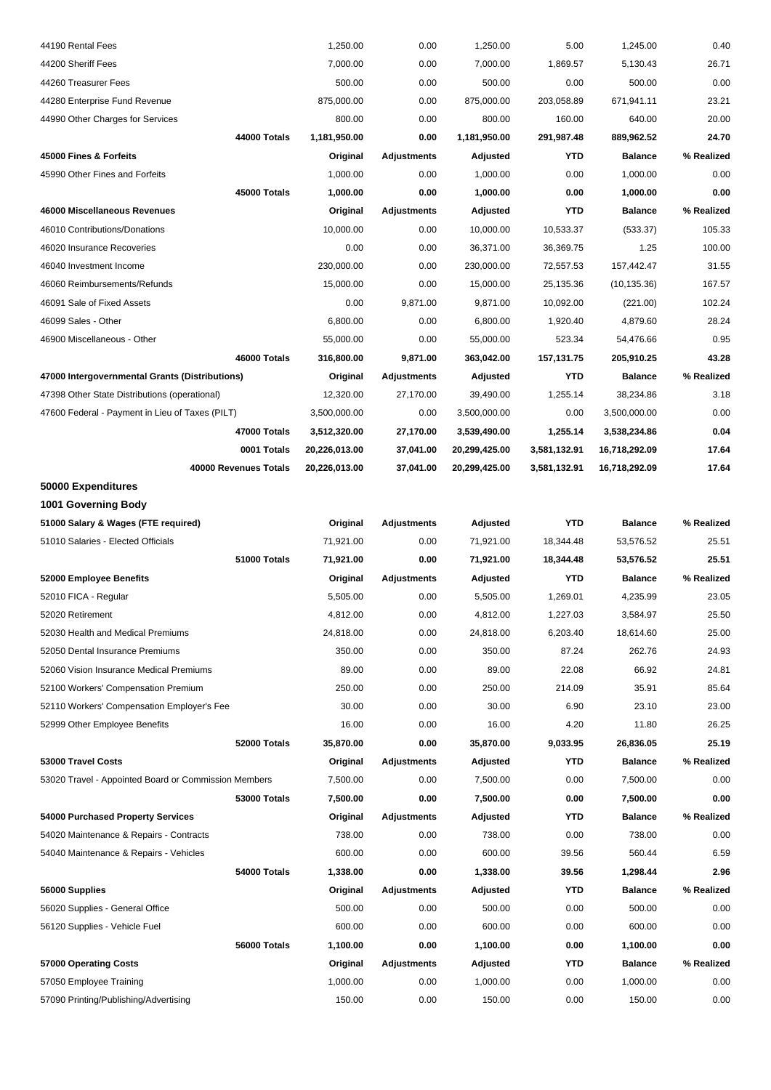| 44190 Rental Fees                                    | 1,250.00                        | 0.00                           | 1,250.00      | 5.00         | 1,245.00       | 0.40       |
|------------------------------------------------------|---------------------------------|--------------------------------|---------------|--------------|----------------|------------|
| 44200 Sheriff Fees                                   | 7,000.00                        | 0.00                           | 7,000.00      | 1,869.57     | 5,130.43       | 26.71      |
| 44260 Treasurer Fees                                 |                                 | 500.00<br>0.00                 | 500.00        | 0.00         | 500.00         | 0.00       |
| 44280 Enterprise Fund Revenue                        | 875,000.00                      | 0.00                           | 875,000.00    | 203,058.89   | 671,941.11     | 23.21      |
| 44990 Other Charges for Services                     |                                 | 800.00<br>0.00                 | 800.00        | 160.00       | 640.00         | 20.00      |
|                                                      | 44000 Totals<br>1,181,950.00    | 0.00                           | 1,181,950.00  | 291,987.48   | 889,962.52     | 24.70      |
| 45000 Fines & Forfeits                               |                                 | Original<br><b>Adjustments</b> | Adjusted      | <b>YTD</b>   | <b>Balance</b> | % Realized |
| 45990 Other Fines and Forfeits                       | 1,000.00                        | 0.00                           | 1,000.00      | 0.00         | 1,000.00       | 0.00       |
|                                                      | 45000 Totals<br>1,000.00        | 0.00                           | 1,000.00      | 0.00         | 1,000.00       | 0.00       |
| 46000 Miscellaneous Revenues                         | Original                        | <b>Adjustments</b>             | Adjusted      | <b>YTD</b>   | <b>Balance</b> | % Realized |
| 46010 Contributions/Donations                        | 10,000.00                       | 0.00                           | 10,000.00     | 10,533.37    | (533.37)       | 105.33     |
| 46020 Insurance Recoveries                           |                                 | 0.00<br>0.00                   | 36,371.00     | 36,369.75    | 1.25           | 100.00     |
| 46040 Investment Income                              | 230,000.00                      | 0.00                           | 230,000.00    | 72,557.53    | 157,442.47     | 31.55      |
| 46060 Reimbursements/Refunds                         | 15,000.00                       | 0.00                           | 15,000.00     | 25,135.36    | (10, 135.36)   | 167.57     |
| 46091 Sale of Fixed Assets                           |                                 | 0.00<br>9,871.00               | 9,871.00      | 10,092.00    | (221.00)       | 102.24     |
| 46099 Sales - Other                                  | 6,800.00                        | 0.00                           | 6,800.00      | 1,920.40     | 4,879.60       | 28.24      |
| 46900 Miscellaneous - Other                          | 55,000.00                       | 0.00                           | 55,000.00     | 523.34       | 54,476.66      | 0.95       |
|                                                      | 46000 Totals<br>316,800.00      | 9,871.00                       | 363,042.00    | 157,131.75   | 205,910.25     | 43.28      |
| 47000 Intergovernmental Grants (Distributions)       | Original                        | Adjustments                    | Adjusted      | <b>YTD</b>   | <b>Balance</b> | % Realized |
| 47398 Other State Distributions (operational)        | 12,320.00                       | 27,170.00                      | 39,490.00     | 1,255.14     | 38,234.86      | 3.18       |
| 47600 Federal - Payment in Lieu of Taxes (PILT)      | 3,500,000.00                    | 0.00                           | 3,500,000.00  | 0.00         | 3,500,000.00   | 0.00       |
|                                                      | 47000 Totals<br>3,512,320.00    | 27,170.00                      | 3,539,490.00  | 1,255.14     | 3,538,234.86   | 0.04       |
|                                                      | 0001 Totals<br>20,226,013.00    | 37,041.00                      | 20,299,425.00 | 3,581,132.91 | 16,718,292.09  | 17.64      |
| 40000 Revenues Totals                                | 20,226,013.00                   | 37,041.00                      | 20,299,425.00 | 3,581,132.91 | 16,718,292.09  | 17.64      |
| 50000 Expenditures                                   |                                 |                                |               |              |                |            |
| 1001 Governing Body                                  |                                 |                                |               |              |                |            |
| 51000 Salary & Wages (FTE required)                  |                                 | Original<br><b>Adjustments</b> | Adjusted      | <b>YTD</b>   | <b>Balance</b> | % Realized |
| 51010 Salaries - Elected Officials                   | 71,921.00                       | 0.00                           | 71,921.00     | 18,344.48    | 53,576.52      | 25.51      |
|                                                      | 51000 Totals<br>71,921.00       | 0.00                           | 71,921.00     | 18,344.48    | 53,576.52      | 25.51      |
| 52000 Employee Benefits                              | Original                        | <b>Adjustments</b>             | Adjusted      | <b>YTD</b>   | <b>Balance</b> | % Realized |
| 52010 FICA - Regular                                 | 5,505.00                        | 0.00                           | 5,505.00      | 1,269.01     | 4,235.99       | 23.05      |
| 52020 Retirement                                     | 4,812.00                        | 0.00                           | 4,812.00      | 1,227.03     | 3,584.97       | 25.50      |
| 52030 Health and Medical Premiums                    | 24,818.00                       | 0.00                           | 24,818.00     | 6,203.40     | 18,614.60      | 25.00      |
| 52050 Dental Insurance Premiums                      |                                 | 350.00<br>0.00                 | 350.00        | 87.24        | 262.76         | 24.93      |
| 52060 Vision Insurance Medical Premiums              |                                 | 89.00<br>0.00                  | 89.00         | 22.08        | 66.92          | 24.81      |
| 52100 Workers' Compensation Premium                  |                                 | 250.00<br>0.00                 | 250.00        | 214.09       | 35.91          | 85.64      |
| 52110 Workers' Compensation Employer's Fee           |                                 | 30.00<br>0.00                  | 30.00         | 6.90         | 23.10          | 23.00      |
| 52999 Other Employee Benefits                        |                                 | 16.00<br>0.00                  | 16.00         | 4.20         | 11.80          | 26.25      |
|                                                      | 52000 Totals<br>35,870.00       | 0.00                           | 35,870.00     | 9,033.95     | 26,836.05      | 25.19      |
| 53000 Travel Costs                                   | Original                        | <b>Adjustments</b>             | Adjusted      | YTD          | <b>Balance</b> | % Realized |
| 53020 Travel - Appointed Board or Commission Members | 7,500.00                        | 0.00                           | 7,500.00      | 0.00         | 7,500.00       | 0.00       |
|                                                      | <b>53000 Totals</b><br>7,500.00 | 0.00                           | 7,500.00      | 0.00         | 7,500.00       | 0.00       |
| 54000 Purchased Property Services                    |                                 | Original<br><b>Adjustments</b> | Adjusted      | YTD          | <b>Balance</b> | % Realized |
| 54020 Maintenance & Repairs - Contracts              |                                 | 738.00<br>0.00                 | 738.00        | 0.00         | 738.00         | 0.00       |
| 54040 Maintenance & Repairs - Vehicles               |                                 | 600.00<br>0.00                 | 600.00        | 39.56        | 560.44         | 6.59       |
|                                                      | 54000 Totals<br>1,338.00        | 0.00                           | 1,338.00      | 39.56        | 1,298.44       | 2.96       |
| 56000 Supplies                                       |                                 | Original<br><b>Adjustments</b> | Adjusted      | YTD          | <b>Balance</b> | % Realized |
| 56020 Supplies - General Office                      |                                 | 500.00<br>0.00                 | 500.00        | 0.00         | 500.00         | 0.00       |
| 56120 Supplies - Vehicle Fuel                        |                                 | 600.00<br>0.00                 | 600.00        | 0.00         | 600.00         | 0.00       |
|                                                      | 56000 Totals<br>1,100.00        | 0.00                           | 1,100.00      | 0.00         | 1,100.00       | 0.00       |
|                                                      |                                 |                                |               |              |                |            |
| 57000 Operating Costs                                | Original                        | <b>Adjustments</b>             | Adjusted      | YTD          | <b>Balance</b> | % Realized |
| 57050 Employee Training                              | 1,000.00                        | 0.00                           | 1,000.00      | 0.00         | 1,000.00       | 0.00       |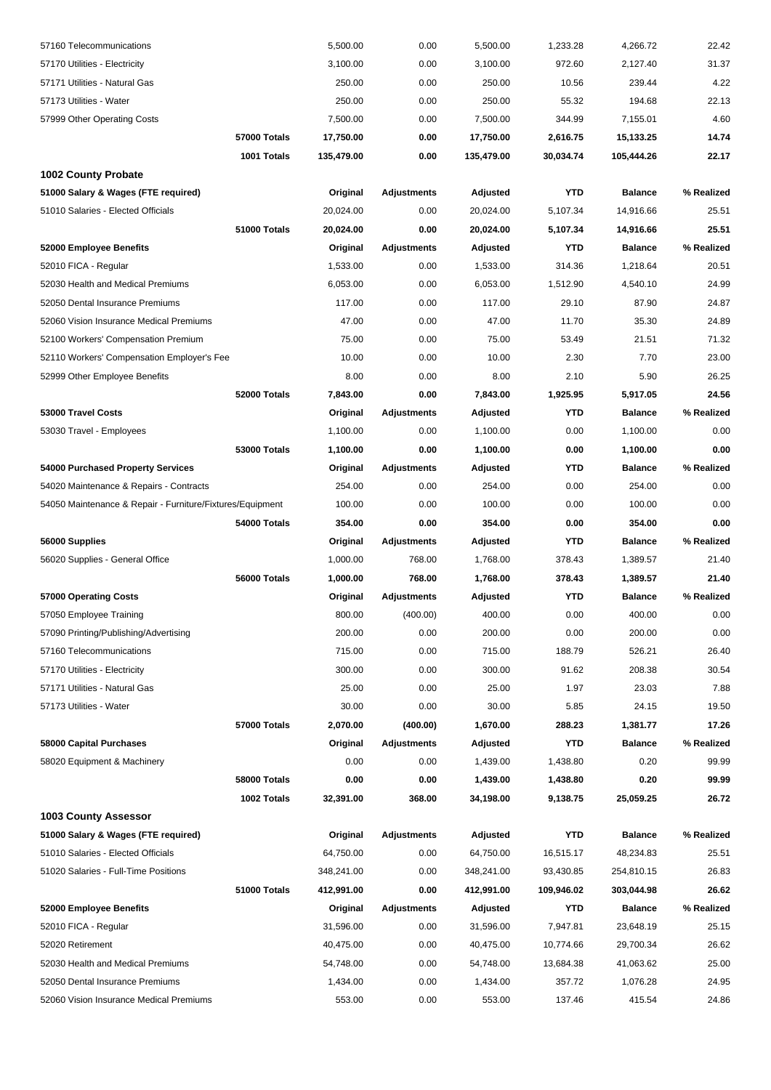| 57160 Telecommunications                                  | 5,500.00   | 0.00               | 5,500.00   | 1,233.28   | 4,266.72       | 22.42      |
|-----------------------------------------------------------|------------|--------------------|------------|------------|----------------|------------|
| 57170 Utilities - Electricity                             | 3,100.00   | 0.00               | 3,100.00   | 972.60     | 2,127.40       | 31.37      |
| 57171 Utilities - Natural Gas                             | 250.00     | 0.00               | 250.00     | 10.56      | 239.44         | 4.22       |
| 57173 Utilities - Water                                   | 250.00     | 0.00               | 250.00     | 55.32      | 194.68         | 22.13      |
| 57999 Other Operating Costs                               | 7,500.00   | 0.00               | 7,500.00   | 344.99     | 7,155.01       | 4.60       |
| <b>57000 Totals</b>                                       | 17,750.00  | 0.00               | 17,750.00  | 2,616.75   | 15,133.25      | 14.74      |
| 1001 Totals                                               | 135,479.00 | 0.00               | 135,479.00 | 30,034.74  | 105,444.26     | 22.17      |
| <b>1002 County Probate</b>                                |            |                    |            |            |                |            |
| 51000 Salary & Wages (FTE required)                       | Original   | <b>Adjustments</b> | Adjusted   | <b>YTD</b> | <b>Balance</b> | % Realized |
| 51010 Salaries - Elected Officials                        | 20,024.00  | 0.00               | 20,024.00  | 5,107.34   | 14,916.66      | 25.51      |
| 51000 Totals                                              | 20,024.00  | 0.00               | 20,024.00  | 5,107.34   | 14,916.66      | 25.51      |
| 52000 Employee Benefits                                   | Original   | <b>Adjustments</b> | Adjusted   | <b>YTD</b> | <b>Balance</b> | % Realized |
| 52010 FICA - Regular                                      | 1,533.00   | 0.00               | 1,533.00   | 314.36     | 1,218.64       | 20.51      |
| 52030 Health and Medical Premiums                         | 6,053.00   | 0.00               | 6,053.00   | 1,512.90   | 4,540.10       | 24.99      |
| 52050 Dental Insurance Premiums                           | 117.00     | 0.00               | 117.00     | 29.10      | 87.90          | 24.87      |
| 52060 Vision Insurance Medical Premiums                   | 47.00      | 0.00               | 47.00      | 11.70      | 35.30          | 24.89      |
| 52100 Workers' Compensation Premium                       | 75.00      | 0.00               | 75.00      | 53.49      | 21.51          | 71.32      |
| 52110 Workers' Compensation Employer's Fee                | 10.00      | 0.00               | 10.00      | 2.30       | 7.70           | 23.00      |
| 52999 Other Employee Benefits                             | 8.00       | 0.00               | 8.00       | 2.10       | 5.90           | 26.25      |
| 52000 Totals                                              | 7,843.00   | 0.00               | 7,843.00   | 1,925.95   | 5,917.05       | 24.56      |
| 53000 Travel Costs                                        | Original   | <b>Adjustments</b> | Adjusted   | <b>YTD</b> | <b>Balance</b> | % Realized |
| 53030 Travel - Employees                                  | 1,100.00   | 0.00               | 1,100.00   | 0.00       | 1,100.00       | 0.00       |
| <b>53000 Totals</b>                                       | 1,100.00   | 0.00               | 1,100.00   | 0.00       | 1,100.00       | 0.00       |
| 54000 Purchased Property Services                         | Original   | <b>Adjustments</b> | Adjusted   | <b>YTD</b> | <b>Balance</b> | % Realized |
| 54020 Maintenance & Repairs - Contracts                   | 254.00     | 0.00               | 254.00     | 0.00       | 254.00         | 0.00       |
| 54050 Maintenance & Repair - Furniture/Fixtures/Equipment | 100.00     | 0.00               | 100.00     | 0.00       | 100.00         | 0.00       |
| 54000 Totals                                              | 354.00     | 0.00               | 354.00     | 0.00       | 354.00         | 0.00       |
| 56000 Supplies                                            | Original   | <b>Adjustments</b> | Adjusted   | <b>YTD</b> | <b>Balance</b> | % Realized |
| 56020 Supplies - General Office                           | 1,000.00   | 768.00             | 1,768.00   | 378.43     | 1,389.57       | 21.40      |
| 56000 Totals                                              | 1,000.00   | 768.00             | 1,768.00   | 378.43     | 1,389.57       | 21.40      |
| 57000 Operating Costs                                     | Original   | <b>Adjustments</b> | Adjusted   | <b>YTD</b> | <b>Balance</b> | % Realized |
| 57050 Employee Training                                   | 800.00     | (400.00)           | 400.00     | 0.00       | 400.00         | 0.00       |
| 57090 Printing/Publishing/Advertising                     | 200.00     | 0.00               | 200.00     | 0.00       | 200.00         | 0.00       |
| 57160 Telecommunications                                  | 715.00     | 0.00               | 715.00     | 188.79     | 526.21         | 26.40      |
| 57170 Utilities - Electricity                             | 300.00     | 0.00               | 300.00     | 91.62      | 208.38         | 30.54      |
| 57171 Utilities - Natural Gas                             | 25.00      | 0.00               | 25.00      | 1.97       | 23.03          | 7.88       |
| 57173 Utilities - Water                                   | 30.00      | 0.00               | 30.00      | 5.85       | 24.15          | 19.50      |
| 57000 Totals                                              | 2,070.00   | (400.00)           | 1,670.00   | 288.23     | 1,381.77       | 17.26      |
| 58000 Capital Purchases                                   | Original   | <b>Adjustments</b> | Adjusted   | <b>YTD</b> | <b>Balance</b> | % Realized |
| 58020 Equipment & Machinery                               | 0.00       | 0.00               | 1,439.00   | 1,438.80   | 0.20           | 99.99      |
| 58000 Totals                                              | 0.00       | 0.00               | 1,439.00   | 1,438.80   | 0.20           | 99.99      |
| 1002 Totals<br><b>1003 County Assessor</b>                | 32,391.00  | 368.00             | 34,198.00  | 9,138.75   | 25,059.25      | 26.72      |
| 51000 Salary & Wages (FTE required)                       | Original   | <b>Adjustments</b> | Adjusted   | <b>YTD</b> | <b>Balance</b> | % Realized |
| 51010 Salaries - Elected Officials                        | 64,750.00  | 0.00               | 64,750.00  | 16,515.17  | 48,234.83      | 25.51      |
| 51020 Salaries - Full-Time Positions                      | 348,241.00 | 0.00               | 348,241.00 | 93,430.85  | 254,810.15     | 26.83      |
| 51000 Totals                                              | 412,991.00 | 0.00               | 412,991.00 | 109,946.02 | 303,044.98     | 26.62      |
| 52000 Employee Benefits                                   | Original   | <b>Adjustments</b> | Adjusted   | <b>YTD</b> | <b>Balance</b> | % Realized |
| 52010 FICA - Regular                                      | 31,596.00  | 0.00               | 31,596.00  | 7,947.81   | 23,648.19      | 25.15      |
| 52020 Retirement                                          | 40,475.00  | 0.00               | 40,475.00  | 10,774.66  | 29,700.34      | 26.62      |
| 52030 Health and Medical Premiums                         | 54,748.00  | 0.00               | 54,748.00  | 13,684.38  | 41,063.62      | 25.00      |
| 52050 Dental Insurance Premiums                           | 1,434.00   | 0.00               | 1,434.00   | 357.72     | 1,076.28       | 24.95      |
| 52060 Vision Insurance Medical Premiums                   | 553.00     | 0.00               | 553.00     | 137.46     | 415.54         | 24.86      |
|                                                           |            |                    |            |            |                |            |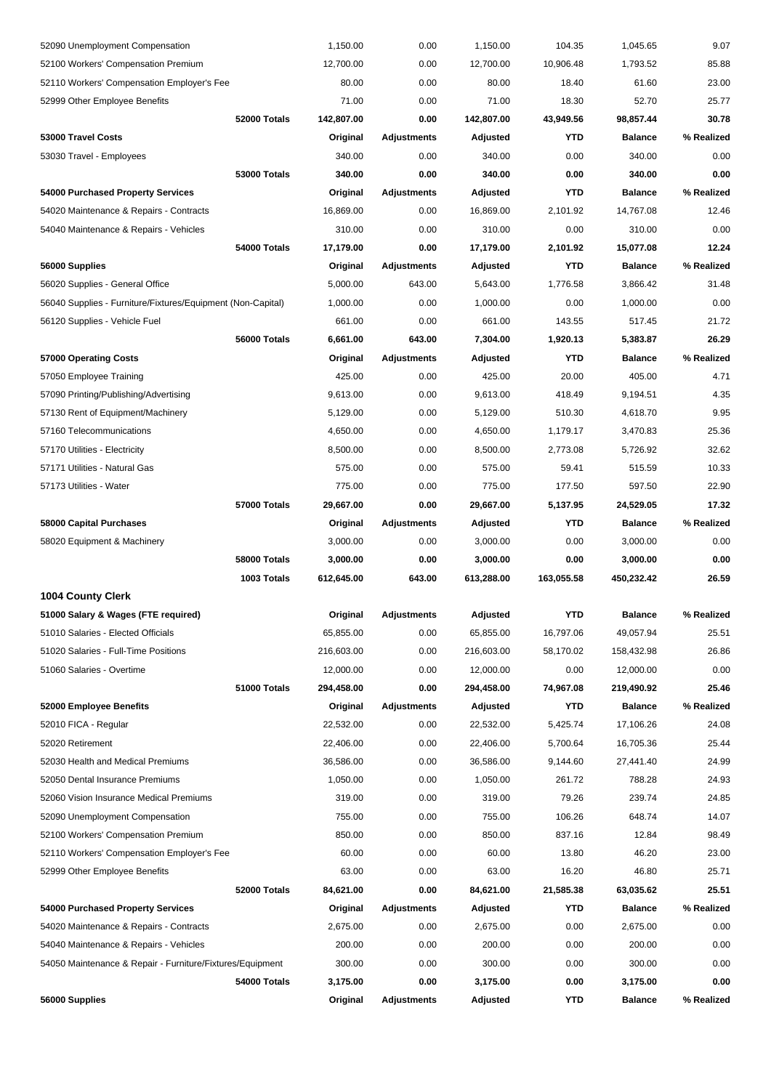| 56000 Supplies                                              |                     | Original   | <b>Adjustments</b> | Adjusted   | YTD        | <b>Balance</b> | % Realized |
|-------------------------------------------------------------|---------------------|------------|--------------------|------------|------------|----------------|------------|
|                                                             | 54000 Totals        | 3,175.00   | 0.00               | 3,175.00   | 0.00       | 3,175.00       | 0.00       |
| 54050 Maintenance & Repair - Furniture/Fixtures/Equipment   |                     | 300.00     | 0.00               | 300.00     | 0.00       | 300.00         | 0.00       |
| 54040 Maintenance & Repairs - Vehicles                      |                     | 200.00     | 0.00               | 200.00     | 0.00       | 200.00         | 0.00       |
| 54020 Maintenance & Repairs - Contracts                     |                     | 2,675.00   | 0.00               | 2,675.00   | 0.00       | 2,675.00       | 0.00       |
| 54000 Purchased Property Services                           |                     | Original   | <b>Adjustments</b> | Adjusted   | YTD        | <b>Balance</b> | % Realized |
|                                                             | 52000 Totals        | 84,621.00  | 0.00               | 84,621.00  | 21,585.38  | 63,035.62      | 25.51      |
| 52999 Other Employee Benefits                               |                     | 63.00      | 0.00               | 63.00      | 16.20      | 46.80          | 25.71      |
| 52110 Workers' Compensation Employer's Fee                  |                     | 60.00      | 0.00               | 60.00      | 13.80      | 46.20          | 23.00      |
| 52100 Workers' Compensation Premium                         |                     | 850.00     | 0.00               | 850.00     | 837.16     | 12.84          | 98.49      |
| 52090 Unemployment Compensation                             |                     | 755.00     | 0.00               | 755.00     | 106.26     | 648.74         | 14.07      |
| 52060 Vision Insurance Medical Premiums                     |                     | 319.00     | 0.00               | 319.00     | 79.26      | 239.74         | 24.85      |
| 52050 Dental Insurance Premiums                             |                     | 1,050.00   | 0.00               | 1,050.00   | 261.72     | 788.28         | 24.93      |
| 52030 Health and Medical Premiums                           |                     | 36,586.00  | 0.00               | 36,586.00  | 9,144.60   | 27,441.40      | 24.99      |
| 52020 Retirement                                            |                     | 22,406.00  | 0.00               | 22,406.00  | 5,700.64   | 16,705.36      | 25.44      |
| 52010 FICA - Regular                                        |                     | 22,532.00  | 0.00               | 22,532.00  | 5,425.74   | 17,106.26      | 24.08      |
| 52000 Employee Benefits                                     |                     | Original   | <b>Adjustments</b> | Adjusted   | <b>YTD</b> | <b>Balance</b> | % Realized |
|                                                             | 51000 Totals        | 294,458.00 | 0.00               | 294,458.00 | 74,967.08  | 219,490.92     | 25.46      |
| 51060 Salaries - Overtime                                   |                     | 12,000.00  | 0.00               | 12,000.00  | 0.00       | 12,000.00      | 0.00       |
| 51020 Salaries - Full-Time Positions                        |                     | 216,603.00 | 0.00               | 216,603.00 | 58,170.02  | 158,432.98     | 26.86      |
| 51010 Salaries - Elected Officials                          |                     | 65,855.00  | 0.00               | 65,855.00  | 16,797.06  | 49,057.94      | 25.51      |
| 51000 Salary & Wages (FTE required)                         |                     | Original   | <b>Adjustments</b> | Adjusted   | <b>YTD</b> | <b>Balance</b> | % Realized |
| <b>1004 County Clerk</b>                                    |                     |            |                    |            |            |                |            |
|                                                             | 1003 Totals         | 612,645.00 | 643.00             | 613,288.00 | 163,055.58 | 450,232.42     | 26.59      |
|                                                             | 58000 Totals        | 3,000.00   | 0.00               | 3,000.00   | 0.00       | 3,000.00       | 0.00       |
| 58020 Equipment & Machinery                                 |                     | 3,000.00   | 0.00               | 3,000.00   | 0.00       | 3,000.00       | 0.00       |
| 58000 Capital Purchases                                     |                     | Original   | <b>Adjustments</b> | Adjusted   | YTD        | <b>Balance</b> | % Realized |
|                                                             | <b>57000 Totals</b> | 29,667.00  | 0.00               | 29,667.00  | 5,137.95   | 24,529.05      | 17.32      |
| 57173 Utilities - Water                                     |                     | 775.00     | 0.00               | 775.00     | 177.50     | 597.50         | 22.90      |
| 57171 Utilities - Natural Gas                               |                     | 575.00     | 0.00               | 575.00     | 59.41      | 515.59         | 10.33      |
| 57170 Utilities - Electricity                               |                     | 8,500.00   | 0.00               | 8,500.00   | 2,773.08   | 5,726.92       | 32.62      |
| 57160 Telecommunications                                    |                     | 4,650.00   | 0.00               | 4,650.00   | 1,179.17   | 3,470.83       | 25.36      |
| 57130 Rent of Equipment/Machinery                           |                     | 5,129.00   | 0.00               | 5,129.00   | 510.30     | 4,618.70       | 9.95       |
| 57090 Printing/Publishing/Advertising                       |                     | 9,613.00   | 0.00               | 9,613.00   | 418.49     | 9,194.51       | 4.35       |
| 57050 Employee Training                                     |                     | 425.00     | 0.00               | 425.00     | 20.00      | 405.00         | 4.71       |
| 57000 Operating Costs                                       |                     | Original   | <b>Adjustments</b> | Adjusted   | <b>YTD</b> | <b>Balance</b> | % Realized |
|                                                             | 56000 Totals        | 6,661.00   | 643.00             | 7,304.00   | 1,920.13   | 5,383.87       | 26.29      |
| 56120 Supplies - Vehicle Fuel                               |                     | 661.00     | 0.00               | 661.00     | 143.55     | 517.45         | 21.72      |
| 56040 Supplies - Furniture/Fixtures/Equipment (Non-Capital) |                     | 1,000.00   | 0.00               | 1,000.00   | 0.00       | 1,000.00       | 0.00       |
| 56020 Supplies - General Office                             |                     | 5,000.00   | 643.00             | 5,643.00   | 1,776.58   | 3,866.42       | 31.48      |
| 56000 Supplies                                              |                     | Original   | <b>Adjustments</b> | Adjusted   | YTD        | <b>Balance</b> | % Realized |
|                                                             | 54000 Totals        | 17,179.00  | 0.00               | 17,179.00  | 2,101.92   | 15,077.08      | 12.24      |
| 54040 Maintenance & Repairs - Vehicles                      |                     | 310.00     | 0.00               | 310.00     | 0.00       | 310.00         | 0.00       |
| 54020 Maintenance & Repairs - Contracts                     |                     | 16,869.00  | 0.00               | 16,869.00  | 2,101.92   | 14,767.08      | 12.46      |
| 54000 Purchased Property Services                           |                     | Original   | <b>Adjustments</b> | Adjusted   | <b>YTD</b> | <b>Balance</b> | % Realized |
|                                                             | <b>53000 Totals</b> | 340.00     | 0.00               | 340.00     | 0.00       | 340.00         | 0.00       |
| 53030 Travel - Employees                                    |                     | 340.00     | 0.00               | 340.00     | 0.00       | 340.00         | 0.00       |
| 53000 Travel Costs                                          |                     | Original   | <b>Adjustments</b> | Adjusted   | <b>YTD</b> | <b>Balance</b> | % Realized |
|                                                             | 52000 Totals        | 142,807.00 | 0.00               | 142,807.00 | 43,949.56  | 98,857.44      | 30.78      |
| 52999 Other Employee Benefits                               |                     | 71.00      | 0.00               | 71.00      | 18.30      | 52.70          | 25.77      |
| 52110 Workers' Compensation Employer's Fee                  |                     | 80.00      | 0.00               | 80.00      | 18.40      | 61.60          | 23.00      |
| 52100 Workers' Compensation Premium                         |                     | 12,700.00  | 0.00               | 12,700.00  | 10,906.48  | 1,793.52       | 85.88      |
| 52090 Unemployment Compensation                             |                     | 1,150.00   | 0.00               | 1,150.00   | 104.35     | 1,045.65       | 9.07       |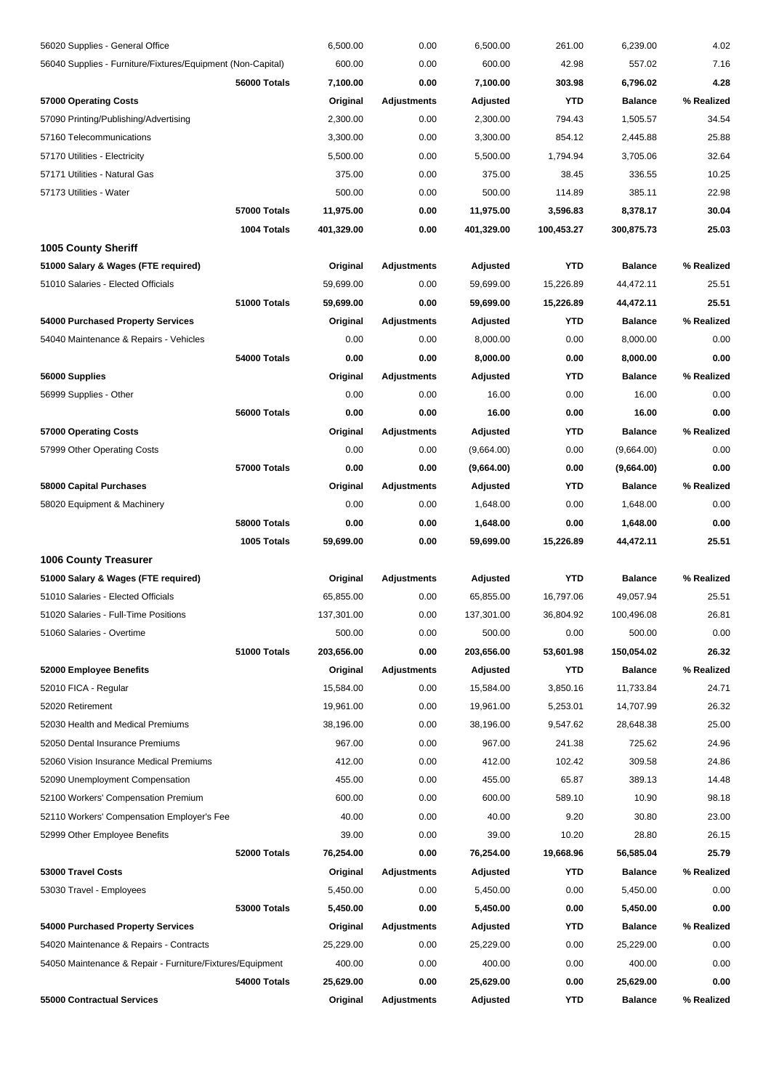| 56020 Supplies - General Office                             |                     | 6,500.00   | 0.00               | 6,500.00   | 261.00     | 6,239.00       | 4.02       |
|-------------------------------------------------------------|---------------------|------------|--------------------|------------|------------|----------------|------------|
| 56040 Supplies - Furniture/Fixtures/Equipment (Non-Capital) |                     | 600.00     | 0.00               | 600.00     | 42.98      | 557.02         | 7.16       |
|                                                             | 56000 Totals        | 7,100.00   | 0.00               | 7,100.00   | 303.98     | 6,796.02       | 4.28       |
| 57000 Operating Costs                                       |                     | Original   | <b>Adjustments</b> | Adjusted   | YTD        | <b>Balance</b> | % Realized |
| 57090 Printing/Publishing/Advertising                       |                     | 2,300.00   | 0.00               | 2,300.00   | 794.43     | 1,505.57       | 34.54      |
| 57160 Telecommunications                                    |                     | 3,300.00   | 0.00               | 3,300.00   | 854.12     | 2,445.88       | 25.88      |
| 57170 Utilities - Electricity                               |                     | 5,500.00   | 0.00               | 5,500.00   | 1,794.94   | 3,705.06       | 32.64      |
| 57171 Utilities - Natural Gas                               |                     | 375.00     | 0.00               | 375.00     | 38.45      | 336.55         | 10.25      |
| 57173 Utilities - Water                                     |                     | 500.00     | 0.00               | 500.00     | 114.89     | 385.11         | 22.98      |
|                                                             | 57000 Totals        | 11,975.00  | 0.00               | 11,975.00  | 3,596.83   | 8,378.17       | 30.04      |
|                                                             | 1004 Totals         | 401,329.00 | 0.00               | 401,329.00 | 100,453.27 | 300,875.73     | 25.03      |
| <b>1005 County Sheriff</b>                                  |                     |            |                    |            |            |                |            |
| 51000 Salary & Wages (FTE required)                         |                     | Original   | Adjustments        | Adjusted   | YTD        | <b>Balance</b> | % Realized |
| 51010 Salaries - Elected Officials                          |                     | 59,699.00  | 0.00               | 59,699.00  | 15,226.89  | 44,472.11      | 25.51      |
|                                                             | 51000 Totals        | 59,699.00  | 0.00               | 59,699.00  | 15,226.89  | 44,472.11      | 25.51      |
| 54000 Purchased Property Services                           |                     | Original   | Adjustments        | Adjusted   | YTD        | <b>Balance</b> | % Realized |
| 54040 Maintenance & Repairs - Vehicles                      |                     | 0.00       | 0.00               | 8,000.00   | 0.00       | 8,000.00       | 0.00       |
|                                                             | 54000 Totals        | 0.00       | 0.00               | 8,000.00   | 0.00       | 8,000.00       | 0.00       |
| 56000 Supplies                                              |                     | Original   | <b>Adjustments</b> | Adjusted   | YTD        | <b>Balance</b> | % Realized |
| 56999 Supplies - Other                                      |                     | 0.00       | 0.00               | 16.00      | 0.00       | 16.00          | 0.00       |
|                                                             | 56000 Totals        | 0.00       | 0.00               | 16.00      | 0.00       | 16.00          | 0.00       |
| 57000 Operating Costs                                       |                     | Original   | <b>Adjustments</b> | Adjusted   | YTD        | <b>Balance</b> | % Realized |
| 57999 Other Operating Costs                                 |                     | 0.00       | 0.00               | (9,664.00) | 0.00       | (9,664.00)     | 0.00       |
|                                                             | 57000 Totals        | 0.00       | 0.00               | (9,664.00) | 0.00       | (9,664.00)     | 0.00       |
| 58000 Capital Purchases                                     |                     | Original   | Adjustments        | Adjusted   | <b>YTD</b> | <b>Balance</b> | % Realized |
| 58020 Equipment & Machinery                                 |                     | 0.00       | 0.00               | 1,648.00   | 0.00       | 1,648.00       | 0.00       |
|                                                             | 58000 Totals        | 0.00       | 0.00               | 1,648.00   | 0.00       | 1,648.00       | 0.00       |
|                                                             | 1005 Totals         | 59,699.00  | 0.00               | 59,699.00  | 15,226.89  | 44,472.11      | 25.51      |
| <b>1006 County Treasurer</b>                                |                     |            |                    |            |            |                |            |
| 51000 Salary & Wages (FTE required)                         |                     | Original   | Adjustments        | Adjusted   | <b>YTD</b> | <b>Balance</b> | % Realized |
| 51010 Salaries - Elected Officials                          |                     | 65,855.00  | 0.00               | 65,855.00  | 16,797.06  | 49,057.94      | 25.51      |
| 51020 Salaries - Full-Time Positions                        |                     | 137,301.00 | 0.00               | 137,301.00 | 36,804.92  | 100,496.08     | 26.81      |
| 51060 Salaries - Overtime                                   |                     | 500.00     | 0.00               | 500.00     | 0.00       | 500.00         | 0.00       |
|                                                             | 51000 Totals        | 203,656.00 | 0.00               | 203,656.00 | 53,601.98  | 150,054.02     | 26.32      |
| 52000 Employee Benefits                                     |                     | Original   | Adjustments        | Adjusted   | YTD        | <b>Balance</b> | % Realized |
| 52010 FICA - Regular                                        |                     | 15,584.00  | 0.00               | 15.584.00  | 3,850.16   | 11,733.84      | 24.71      |
| 52020 Retirement                                            |                     | 19,961.00  | 0.00               | 19,961.00  | 5,253.01   | 14,707.99      | 26.32      |
| 52030 Health and Medical Premiums                           |                     | 38,196.00  | 0.00               | 38,196.00  | 9,547.62   | 28,648.38      | 25.00      |
| 52050 Dental Insurance Premiums                             |                     | 967.00     | 0.00               | 967.00     | 241.38     | 725.62         | 24.96      |
| 52060 Vision Insurance Medical Premiums                     |                     | 412.00     | 0.00               | 412.00     | 102.42     | 309.58         | 24.86      |
| 52090 Unemployment Compensation                             |                     | 455.00     | 0.00               | 455.00     | 65.87      | 389.13         | 14.48      |
| 52100 Workers' Compensation Premium                         |                     | 600.00     | 0.00               | 600.00     | 589.10     | 10.90          | 98.18      |
| 52110 Workers' Compensation Employer's Fee                  |                     | 40.00      | 0.00               | 40.00      | 9.20       | 30.80          | 23.00      |
| 52999 Other Employee Benefits                               |                     | 39.00      | 0.00               | 39.00      | 10.20      | 28.80          | 26.15      |
|                                                             | 52000 Totals        | 76,254.00  | 0.00               | 76,254.00  | 19,668.96  | 56,585.04      | 25.79      |
| 53000 Travel Costs                                          |                     | Original   | <b>Adjustments</b> | Adjusted   | YTD        | <b>Balance</b> | % Realized |
| 53030 Travel - Employees                                    |                     | 5,450.00   | 0.00               | 5,450.00   | 0.00       | 5,450.00       | 0.00       |
|                                                             | <b>53000 Totals</b> | 5,450.00   | 0.00               | 5,450.00   | 0.00       | 5,450.00       | 0.00       |
| 54000 Purchased Property Services                           |                     | Original   | <b>Adjustments</b> | Adjusted   | YTD        | <b>Balance</b> | % Realized |
| 54020 Maintenance & Repairs - Contracts                     |                     | 25,229.00  | 0.00               | 25,229.00  | 0.00       | 25,229.00      | 0.00       |
|                                                             |                     | 400.00     |                    | 400.00     |            |                | 0.00       |
| 54050 Maintenance & Repair - Furniture/Fixtures/Equipment   |                     |            | 0.00               |            | 0.00       | 400.00         | 0.00       |
|                                                             | 54000 Totals        | 25,629.00  | 0.00               | 25,629.00  | 0.00       | 25,629.00      |            |
| 55000 Contractual Services                                  |                     | Original   | Adjustments        | Adjusted   | YTD        | <b>Balance</b> | % Realized |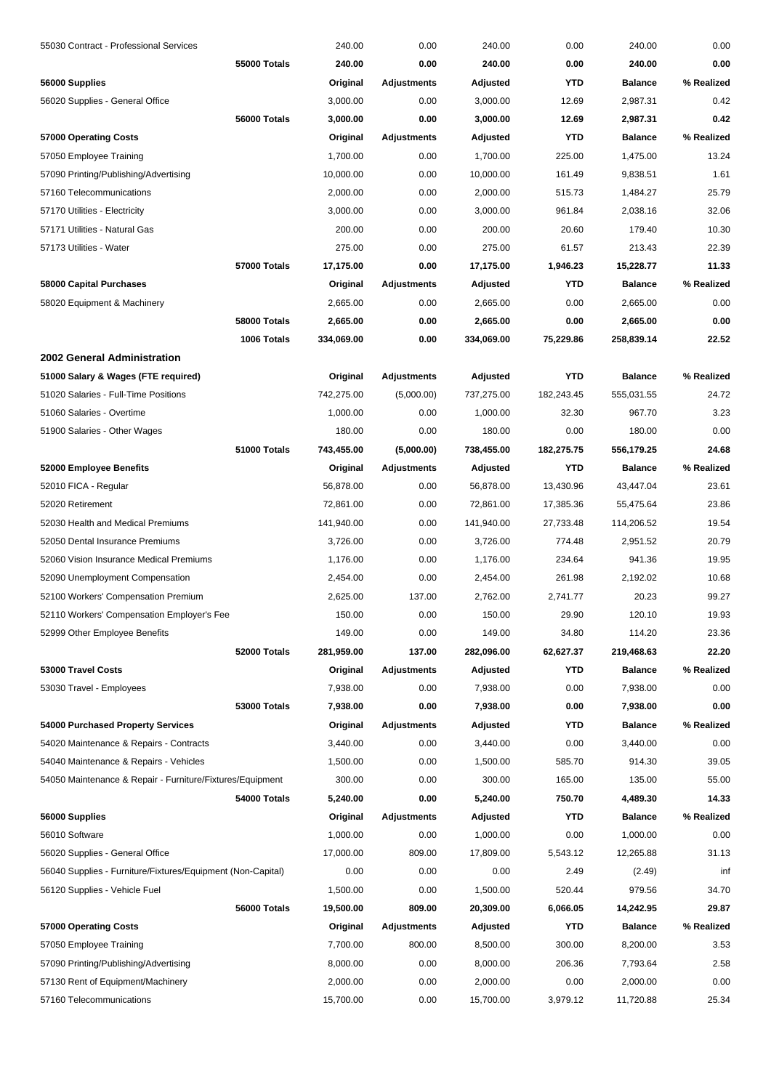| 55030 Contract - Professional Services                      |              | 240.00                 | 0.00               | 240.00     | 0.00       | 240.00         | 0.00           |
|-------------------------------------------------------------|--------------|------------------------|--------------------|------------|------------|----------------|----------------|
|                                                             | 55000 Totals | 240.00                 | 0.00               | 240.00     | 0.00       | 240.00         | 0.00           |
| 56000 Supplies                                              |              | Original               | <b>Adjustments</b> | Adjusted   | <b>YTD</b> | <b>Balance</b> | % Realized     |
| 56020 Supplies - General Office                             |              | 3,000.00               | 0.00               | 3,000.00   | 12.69      | 2,987.31       | 0.42           |
|                                                             | 56000 Totals | 3,000.00               | 0.00               | 3,000.00   | 12.69      | 2,987.31       | 0.42           |
| 57000 Operating Costs                                       |              | Original               | Adjustments        | Adjusted   | <b>YTD</b> | <b>Balance</b> | % Realized     |
| 57050 Employee Training                                     |              | 1,700.00               | 0.00               | 1,700.00   | 225.00     | 1,475.00       | 13.24          |
| 57090 Printing/Publishing/Advertising                       |              | 10,000.00              | 0.00               | 10,000.00  | 161.49     | 9,838.51       | 1.61           |
| 57160 Telecommunications                                    |              | 2,000.00               | 0.00               | 2,000.00   | 515.73     | 1,484.27       | 25.79          |
| 57170 Utilities - Electricity                               |              | 3,000.00               | 0.00               | 3,000.00   | 961.84     | 2,038.16       | 32.06          |
| 57171 Utilities - Natural Gas                               |              | 200.00                 | 0.00               | 200.00     | 20.60      | 179.40         | 10.30          |
| 57173 Utilities - Water                                     |              | 275.00                 | 0.00               | 275.00     | 61.57      | 213.43         | 22.39          |
|                                                             | 57000 Totals | 17,175.00              | 0.00               | 17,175.00  | 1,946.23   | 15,228.77      | 11.33          |
| 58000 Capital Purchases                                     |              | Original               | Adjustments        | Adjusted   | <b>YTD</b> | <b>Balance</b> | % Realized     |
| 58020 Equipment & Machinery                                 |              | 2,665.00               | 0.00               | 2,665.00   | 0.00       | 2,665.00       | 0.00           |
|                                                             | 58000 Totals | 2,665.00               | 0.00               | 2,665.00   | 0.00       | 2,665.00       | 0.00           |
|                                                             | 1006 Totals  | 334,069.00             | 0.00               | 334,069.00 | 75,229.86  | 258,839.14     | 22.52          |
| 2002 General Administration                                 |              |                        |                    |            |            |                |                |
| 51000 Salary & Wages (FTE required)                         |              | Original               | <b>Adjustments</b> | Adjusted   | <b>YTD</b> | <b>Balance</b> | % Realized     |
| 51020 Salaries - Full-Time Positions                        |              | 742,275.00             | (5,000.00)         | 737,275.00 | 182,243.45 | 555,031.55     | 24.72          |
| 51060 Salaries - Overtime                                   |              | 1,000.00               | 0.00               | 1,000.00   | 32.30      | 967.70         | 3.23           |
| 51900 Salaries - Other Wages                                |              | 180.00                 | 0.00               | 180.00     | 0.00       | 180.00         | 0.00           |
|                                                             | 51000 Totals | 743,455.00             | (5,000.00)         | 738,455.00 | 182,275.75 | 556,179.25     | 24.68          |
| 52000 Employee Benefits                                     |              |                        | <b>Adjustments</b> |            | <b>YTD</b> | <b>Balance</b> | % Realized     |
|                                                             |              | Original               |                    | Adjusted   |            |                |                |
| 52010 FICA - Regular                                        |              | 56,878.00<br>72,861.00 | 0.00               | 56,878.00  | 13,430.96  | 43,447.04      | 23.61<br>23.86 |
| 52020 Retirement<br>52030 Health and Medical Premiums       |              |                        | 0.00<br>0.00       | 72,861.00  | 17,385.36  | 55,475.64      | 19.54          |
|                                                             |              | 141,940.00             |                    | 141,940.00 | 27,733.48  | 114,206.52     |                |
| 52050 Dental Insurance Premiums                             |              | 3,726.00               | 0.00               | 3,726.00   | 774.48     | 2,951.52       | 20.79          |
| 52060 Vision Insurance Medical Premiums                     |              | 1,176.00               | 0.00               | 1,176.00   | 234.64     | 941.36         | 19.95          |
| 52090 Unemployment Compensation                             |              | 2,454.00               | 0.00               | 2,454.00   | 261.98     | 2,192.02       | 10.68          |
| 52100 Workers' Compensation Premium                         |              | 2,625.00               | 137.00             | 2,762.00   | 2,741.77   | 20.23          | 99.27          |
| 52110 Workers' Compensation Employer's Fee                  |              | 150.00                 | 0.00               | 150.00     | 29.90      | 120.10         | 19.93          |
| 52999 Other Employee Benefits                               |              | 149.00                 | 0.00               | 149.00     | 34.80      | 114.20         | 23.36          |
|                                                             | 52000 Totals | 281,959.00             | 137.00             | 282,096.00 | 62,627.37  | 219,468.63     | 22.20          |
| 53000 Travel Costs                                          |              | Original               | <b>Adjustments</b> | Adjusted   | YTD        | <b>Balance</b> | % Realized     |
| 53030 Travel - Employees                                    |              | 7,938.00               | 0.00               | 7,938.00   | 0.00       | 7,938.00       | 0.00           |
|                                                             | 53000 Totals | 7,938.00               | 0.00               | 7,938.00   | 0.00       | 7,938.00       | 0.00           |
| 54000 Purchased Property Services                           |              | Original               | <b>Adjustments</b> | Adjusted   | <b>YTD</b> | <b>Balance</b> | % Realized     |
| 54020 Maintenance & Repairs - Contracts                     |              | 3,440.00               | 0.00               | 3,440.00   | 0.00       | 3,440.00       | 0.00           |
| 54040 Maintenance & Repairs - Vehicles                      |              | 1,500.00               | 0.00               | 1,500.00   | 585.70     | 914.30         | 39.05          |
| 54050 Maintenance & Repair - Furniture/Fixtures/Equipment   |              | 300.00                 | 0.00               | 300.00     | 165.00     | 135.00         | 55.00          |
|                                                             | 54000 Totals | 5,240.00               | 0.00               | 5,240.00   | 750.70     | 4,489.30       | 14.33          |
| 56000 Supplies                                              |              | Original               | <b>Adjustments</b> | Adjusted   | <b>YTD</b> | <b>Balance</b> | % Realized     |
| 56010 Software                                              |              | 1,000.00               | 0.00               | 1,000.00   | 0.00       | 1,000.00       | 0.00           |
| 56020 Supplies - General Office                             |              | 17,000.00              | 809.00             | 17,809.00  | 5,543.12   | 12,265.88      | 31.13          |
| 56040 Supplies - Furniture/Fixtures/Equipment (Non-Capital) |              | 0.00                   | 0.00               | 0.00       | 2.49       | (2.49)         | inf            |
| 56120 Supplies - Vehicle Fuel                               |              | 1,500.00               | 0.00               | 1,500.00   | 520.44     | 979.56         | 34.70          |
|                                                             | 56000 Totals | 19,500.00              | 809.00             | 20,309.00  | 6,066.05   | 14,242.95      | 29.87          |
| 57000 Operating Costs                                       |              | Original               | Adjustments        | Adjusted   | <b>YTD</b> | <b>Balance</b> | % Realized     |
| 57050 Employee Training                                     |              | 7,700.00               | 800.00             | 8,500.00   | 300.00     | 8,200.00       | 3.53           |
| 57090 Printing/Publishing/Advertising                       |              | 8,000.00               | 0.00               | 8,000.00   | 206.36     | 7,793.64       | 2.58           |
| 57130 Rent of Equipment/Machinery                           |              | 2,000.00               | 0.00               | 2,000.00   | 0.00       | 2,000.00       | 0.00           |
| 57160 Telecommunications                                    |              | 15,700.00              | 0.00               | 15,700.00  | 3,979.12   | 11,720.88      | 25.34          |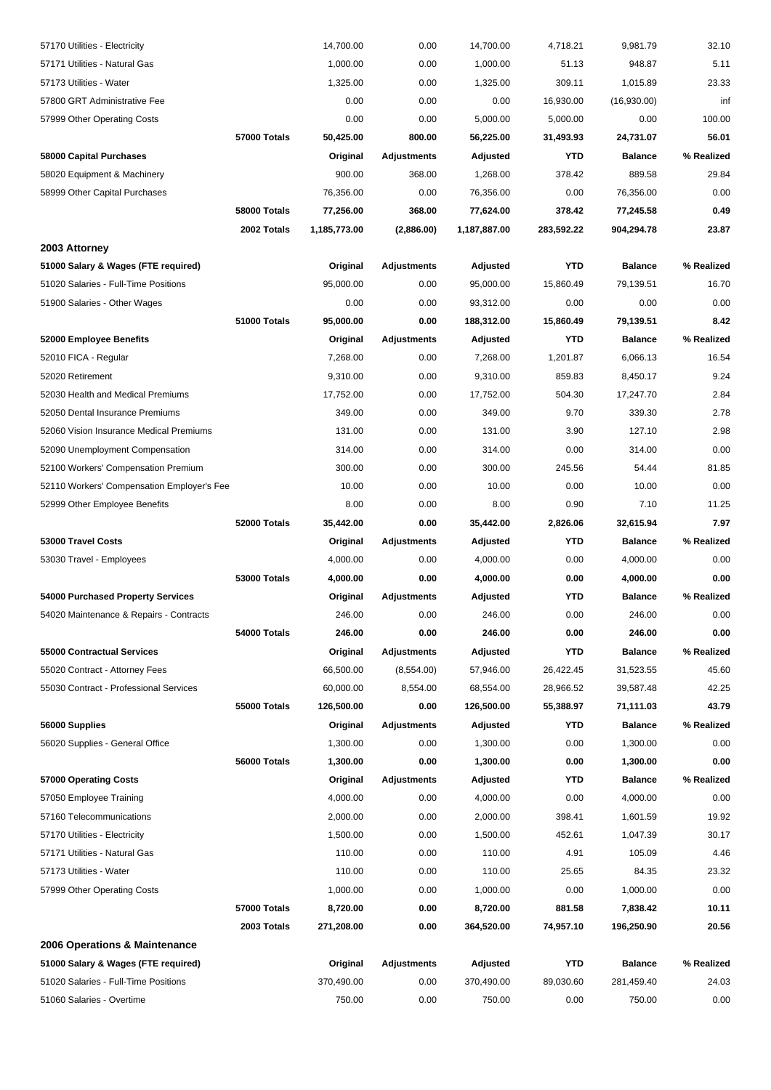| 57170 Utilities - Electricity              |                     | 14,700.00    | 0.00               | 14,700.00    | 4,718.21   | 9,981.79       | 32.10      |
|--------------------------------------------|---------------------|--------------|--------------------|--------------|------------|----------------|------------|
| 57171 Utilities - Natural Gas              |                     | 1,000.00     | 0.00               | 1,000.00     | 51.13      | 948.87         | 5.11       |
| 57173 Utilities - Water                    |                     | 1,325.00     | 0.00               | 1,325.00     | 309.11     | 1,015.89       | 23.33      |
| 57800 GRT Administrative Fee               |                     | 0.00         | 0.00               | 0.00         | 16,930.00  | (16,930.00)    | inf        |
| 57999 Other Operating Costs                |                     | 0.00         | 0.00               | 5,000.00     | 5,000.00   | 0.00           | 100.00     |
|                                            | 57000 Totals        | 50,425.00    | 800.00             | 56,225.00    | 31,493.93  | 24,731.07      | 56.01      |
| 58000 Capital Purchases                    |                     | Original     | <b>Adjustments</b> | Adjusted     | <b>YTD</b> | <b>Balance</b> | % Realized |
| 58020 Equipment & Machinery                |                     | 900.00       | 368.00             | 1,268.00     | 378.42     | 889.58         | 29.84      |
| 58999 Other Capital Purchases              |                     | 76,356.00    | 0.00               | 76,356.00    | 0.00       | 76,356.00      | 0.00       |
|                                            | 58000 Totals        | 77,256.00    | 368.00             | 77,624.00    | 378.42     | 77,245.58      | 0.49       |
|                                            | 2002 Totals         | 1,185,773.00 | (2,886.00)         | 1,187,887.00 | 283,592.22 | 904,294.78     | 23.87      |
| 2003 Attorney                              |                     |              |                    |              |            |                |            |
| 51000 Salary & Wages (FTE required)        |                     | Original     | <b>Adjustments</b> | Adjusted     | <b>YTD</b> | <b>Balance</b> | % Realized |
| 51020 Salaries - Full-Time Positions       |                     | 95,000.00    | 0.00               | 95,000.00    | 15,860.49  | 79,139.51      | 16.70      |
| 51900 Salaries - Other Wages               |                     | 0.00         | 0.00               | 93,312.00    | 0.00       | 0.00           | 0.00       |
|                                            | 51000 Totals        | 95,000.00    | 0.00               | 188,312.00   | 15,860.49  | 79,139.51      | 8.42       |
| 52000 Employee Benefits                    |                     | Original     | <b>Adjustments</b> | Adjusted     | <b>YTD</b> | <b>Balance</b> | % Realized |
| 52010 FICA - Regular                       |                     | 7,268.00     | 0.00               | 7,268.00     | 1,201.87   | 6,066.13       | 16.54      |
| 52020 Retirement                           |                     | 9,310.00     | 0.00               | 9,310.00     | 859.83     | 8,450.17       | 9.24       |
| 52030 Health and Medical Premiums          |                     | 17,752.00    | 0.00               | 17,752.00    | 504.30     | 17,247.70      | 2.84       |
| 52050 Dental Insurance Premiums            |                     | 349.00       | 0.00               | 349.00       | 9.70       | 339.30         | 2.78       |
| 52060 Vision Insurance Medical Premiums    |                     | 131.00       | 0.00               | 131.00       | 3.90       | 127.10         | 2.98       |
| 52090 Unemployment Compensation            |                     | 314.00       | 0.00               | 314.00       | 0.00       | 314.00         | 0.00       |
| 52100 Workers' Compensation Premium        |                     | 300.00       | 0.00               | 300.00       | 245.56     | 54.44          | 81.85      |
| 52110 Workers' Compensation Employer's Fee |                     | 10.00        | 0.00               | 10.00        | 0.00       | 10.00          | 0.00       |
| 52999 Other Employee Benefits              |                     | 8.00         | 0.00               | 8.00         | 0.90       | 7.10           | 11.25      |
|                                            | 52000 Totals        | 35,442.00    | 0.00               | 35,442.00    | 2,826.06   | 32,615.94      | 7.97       |
| 53000 Travel Costs                         |                     | Original     | <b>Adjustments</b> | Adjusted     | <b>YTD</b> | <b>Balance</b> | % Realized |
| 53030 Travel - Employees                   |                     | 4,000.00     | 0.00               | 4,000.00     | 0.00       | 4,000.00       | 0.00       |
|                                            | <b>53000 Totals</b> | 4,000.00     | 0.00               | 4,000.00     | 0.00       | 4,000.00       | 0.00       |
| 54000 Purchased Property Services          |                     | Original     | <b>Adjustments</b> | Adjusted     | YTD        | <b>Balance</b> | % Realized |
| 54020 Maintenance & Repairs - Contracts    |                     | 246.00       | 0.00               | 246.00       | 0.00       | 246.00         | 0.00       |
|                                            | 54000 Totals        | 246.00       | 0.00               | 246.00       | 0.00       | 246.00         | 0.00       |
| 55000 Contractual Services                 |                     | Original     | <b>Adjustments</b> | Adjusted     | <b>YTD</b> | <b>Balance</b> | % Realized |
| 55020 Contract - Attorney Fees             |                     | 66,500.00    | (8,554.00)         | 57,946.00    | 26,422.45  | 31,523.55      | 45.60      |
| 55030 Contract - Professional Services     |                     | 60,000.00    | 8,554.00           | 68,554.00    | 28,966.52  | 39,587.48      | 42.25      |
|                                            | 55000 Totals        | 126,500.00   | 0.00               | 126,500.00   | 55,388.97  | 71,111.03      | 43.79      |
| 56000 Supplies                             |                     | Original     | <b>Adjustments</b> | Adjusted     | YTD        | <b>Balance</b> | % Realized |
| 56020 Supplies - General Office            |                     | 1,300.00     | 0.00               | 1,300.00     | 0.00       | 1,300.00       | 0.00       |
|                                            | 56000 Totals        | 1,300.00     | 0.00               | 1,300.00     | 0.00       | 1,300.00       | 0.00       |
| 57000 Operating Costs                      |                     | Original     | <b>Adjustments</b> | Adjusted     | YTD        | <b>Balance</b> | % Realized |
| 57050 Employee Training                    |                     | 4,000.00     | 0.00               | 4,000.00     | 0.00       | 4,000.00       | 0.00       |
| 57160 Telecommunications                   |                     | 2,000.00     | 0.00               | 2,000.00     | 398.41     | 1,601.59       | 19.92      |
| 57170 Utilities - Electricity              |                     | 1,500.00     | 0.00               | 1,500.00     | 452.61     | 1,047.39       | 30.17      |
| 57171 Utilities - Natural Gas              |                     | 110.00       | 0.00               | 110.00       | 4.91       | 105.09         | 4.46       |
| 57173 Utilities - Water                    |                     | 110.00       | 0.00               | 110.00       | 25.65      | 84.35          | 23.32      |
| 57999 Other Operating Costs                |                     | 1,000.00     | 0.00               | 1,000.00     | 0.00       | 1,000.00       | 0.00       |
|                                            | 57000 Totals        | 8,720.00     | 0.00               | 8,720.00     | 881.58     | 7,838.42       | 10.11      |
|                                            | 2003 Totals         | 271,208.00   | 0.00               | 364,520.00   | 74,957.10  | 196,250.90     | 20.56      |
| 2006 Operations & Maintenance              |                     |              |                    |              |            |                |            |
| 51000 Salary & Wages (FTE required)        |                     | Original     | <b>Adjustments</b> | Adjusted     | <b>YTD</b> | <b>Balance</b> | % Realized |
| 51020 Salaries - Full-Time Positions       |                     | 370,490.00   | 0.00               | 370,490.00   | 89,030.60  | 281,459.40     | 24.03      |
| 51060 Salaries - Overtime                  |                     | 750.00       | 0.00               | 750.00       | 0.00       | 750.00         | 0.00       |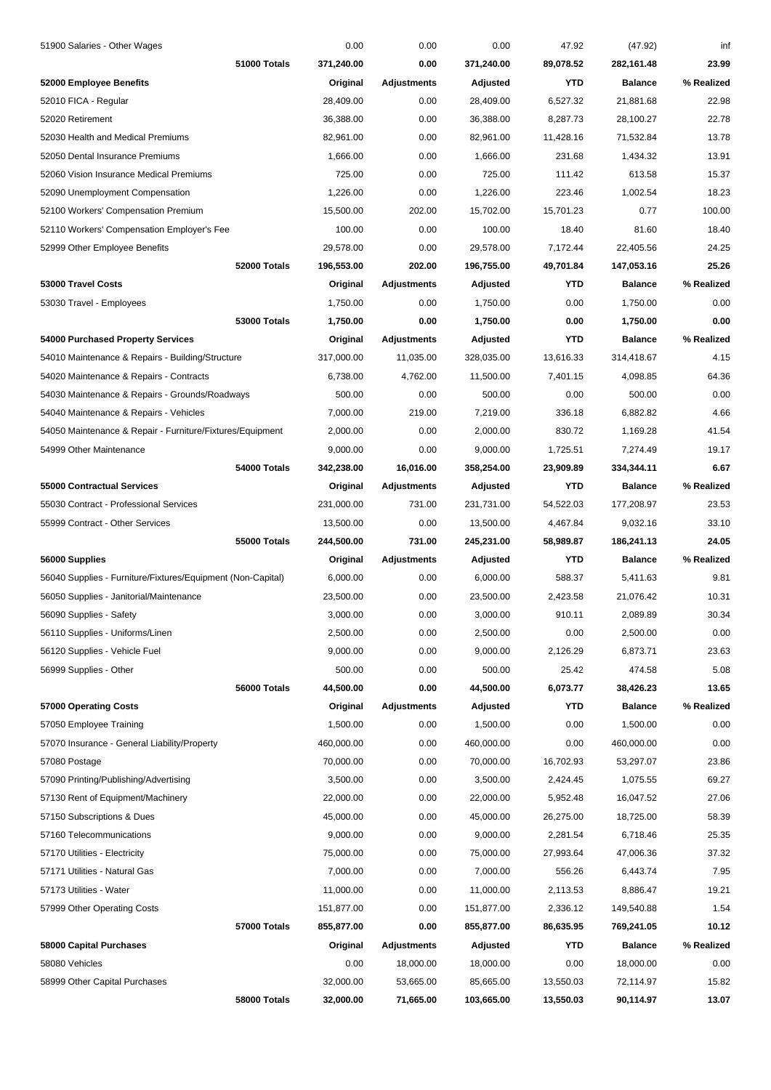| 51900 Salaries - Other Wages                                |              | 0.00       | 0.00               | 0.00       | 47.92     | (47.92)        | inf        |
|-------------------------------------------------------------|--------------|------------|--------------------|------------|-----------|----------------|------------|
|                                                             | 51000 Totals | 371,240.00 | 0.00               | 371,240.00 | 89,078.52 | 282,161.48     | 23.99      |
| 52000 Employee Benefits                                     |              | Original   | Adjustments        | Adjusted   | YTD       | <b>Balance</b> | % Realized |
| 52010 FICA - Regular                                        |              | 28,409.00  | 0.00               | 28,409.00  | 6,527.32  | 21,881.68      | 22.98      |
| 52020 Retirement                                            |              | 36,388.00  | 0.00               | 36,388.00  | 8,287.73  | 28,100.27      | 22.78      |
| 52030 Health and Medical Premiums                           |              | 82,961.00  | 0.00               | 82,961.00  | 11,428.16 | 71,532.84      | 13.78      |
| 52050 Dental Insurance Premiums                             |              | 1,666.00   | 0.00               | 1,666.00   | 231.68    | 1,434.32       | 13.91      |
| 52060 Vision Insurance Medical Premiums                     |              | 725.00     | 0.00               | 725.00     | 111.42    | 613.58         | 15.37      |
| 52090 Unemployment Compensation                             |              | 1,226.00   | 0.00               | 1,226.00   | 223.46    | 1,002.54       | 18.23      |
| 52100 Workers' Compensation Premium                         |              | 15,500.00  | 202.00             | 15,702.00  | 15,701.23 | 0.77           | 100.00     |
| 52110 Workers' Compensation Employer's Fee                  |              | 100.00     | 0.00               | 100.00     | 18.40     | 81.60          | 18.40      |
| 52999 Other Employee Benefits                               |              | 29,578.00  | 0.00               | 29,578.00  | 7,172.44  | 22,405.56      | 24.25      |
|                                                             | 52000 Totals | 196,553.00 | 202.00             | 196,755.00 | 49,701.84 | 147,053.16     | 25.26      |
| 53000 Travel Costs                                          |              | Original   | Adjustments        | Adjusted   | YTD       | <b>Balance</b> | % Realized |
| 53030 Travel - Employees                                    |              | 1,750.00   | 0.00               | 1,750.00   | 0.00      | 1,750.00       | 0.00       |
|                                                             | 53000 Totals | 1,750.00   | 0.00               | 1,750.00   | 0.00      | 1,750.00       | 0.00       |
| 54000 Purchased Property Services                           |              | Original   | Adjustments        | Adjusted   | YTD       | <b>Balance</b> | % Realized |
| 54010 Maintenance & Repairs - Building/Structure            |              | 317,000.00 | 11,035.00          | 328,035.00 | 13,616.33 | 314,418.67     | 4.15       |
| 54020 Maintenance & Repairs - Contracts                     |              | 6,738.00   | 4,762.00           | 11,500.00  | 7,401.15  | 4,098.85       | 64.36      |
| 54030 Maintenance & Repairs - Grounds/Roadways              |              | 500.00     | 0.00               | 500.00     | 0.00      | 500.00         | 0.00       |
| 54040 Maintenance & Repairs - Vehicles                      |              | 7,000.00   | 219.00             | 7,219.00   | 336.18    | 6,882.82       | 4.66       |
| 54050 Maintenance & Repair - Furniture/Fixtures/Equipment   |              | 2,000.00   | 0.00               | 2,000.00   | 830.72    | 1,169.28       | 41.54      |
| 54999 Other Maintenance                                     |              | 9,000.00   | 0.00               | 9,000.00   | 1,725.51  | 7,274.49       | 19.17      |
|                                                             | 54000 Totals | 342,238.00 | 16,016.00          | 358,254.00 | 23,909.89 | 334,344.11     | 6.67       |
| 55000 Contractual Services                                  |              | Original   | Adjustments        | Adjusted   | YTD       | <b>Balance</b> | % Realized |
| 55030 Contract - Professional Services                      |              | 231,000.00 | 731.00             | 231,731.00 | 54,522.03 | 177,208.97     | 23.53      |
| 55999 Contract - Other Services                             |              | 13,500.00  | 0.00               | 13,500.00  | 4,467.84  | 9,032.16       | 33.10      |
|                                                             | 55000 Totals | 244,500.00 | 731.00             | 245,231.00 | 58,989.87 | 186,241.13     | 24.05      |
| 56000 Supplies                                              |              | Original   | Adjustments        | Adjusted   | YTD       | <b>Balance</b> | % Realized |
| 56040 Supplies - Furniture/Fixtures/Equipment (Non-Capital) |              | 6,000.00   | 0.00               | 6,000.00   | 588.37    | 5,411.63       | 9.81       |
| 56050 Supplies - Janitorial/Maintenance                     |              | 23,500.00  | 0.00               | 23,500.00  | 2,423.58  | 21,076.42      | 10.31      |
| 56090 Supplies - Safety                                     |              | 3,000.00   | 0.00               | 3,000.00   | 910.11    | 2,089.89       | 30.34      |
| 56110 Supplies - Uniforms/Linen                             |              | 2,500.00   | 0.00               | 2,500.00   | 0.00      | 2,500.00       | 0.00       |
| 56120 Supplies - Vehicle Fuel                               |              | 9,000.00   | 0.00               | 9,000.00   | 2,126.29  | 6,873.71       | 23.63      |
| 56999 Supplies - Other                                      |              | 500.00     | 0.00               | 500.00     | 25.42     | 474.58         | 5.08       |
|                                                             | 56000 Totals | 44,500.00  | 0.00               | 44,500.00  | 6,073.77  | 38,426.23      | 13.65      |
| 57000 Operating Costs                                       |              | Original   | <b>Adjustments</b> | Adjusted   | YTD       | <b>Balance</b> | % Realized |
| 57050 Employee Training                                     |              | 1,500.00   | 0.00               | 1,500.00   | 0.00      | 1,500.00       | 0.00       |
| 57070 Insurance - General Liability/Property                |              | 460,000.00 | 0.00               | 460,000.00 | 0.00      | 460,000.00     | 0.00       |
| 57080 Postage                                               |              | 70,000.00  | 0.00               | 70,000.00  | 16,702.93 | 53,297.07      | 23.86      |
| 57090 Printing/Publishing/Advertising                       |              | 3,500.00   | 0.00               | 3,500.00   | 2,424.45  | 1,075.55       | 69.27      |
| 57130 Rent of Equipment/Machinery                           |              | 22,000.00  | 0.00               | 22,000.00  | 5,952.48  | 16,047.52      | 27.06      |
| 57150 Subscriptions & Dues                                  |              | 45,000.00  | 0.00               | 45,000.00  | 26,275.00 | 18,725.00      | 58.39      |
| 57160 Telecommunications                                    |              | 9,000.00   | 0.00               | 9,000.00   | 2,281.54  | 6,718.46       | 25.35      |
| 57170 Utilities - Electricity                               |              | 75,000.00  | 0.00               | 75,000.00  | 27,993.64 | 47,006.36      | 37.32      |
| 57171 Utilities - Natural Gas                               |              | 7,000.00   | 0.00               | 7,000.00   | 556.26    | 6,443.74       | 7.95       |
| 57173 Utilities - Water                                     |              | 11,000.00  | 0.00               | 11,000.00  | 2,113.53  | 8,886.47       | 19.21      |
| 57999 Other Operating Costs                                 |              | 151,877.00 | 0.00               | 151,877.00 | 2,336.12  | 149,540.88     | 1.54       |
|                                                             | 57000 Totals | 855,877.00 | 0.00               | 855,877.00 | 86,635.95 | 769,241.05     | 10.12      |
| 58000 Capital Purchases                                     |              | Original   | Adjustments        | Adjusted   | YTD       | <b>Balance</b> | % Realized |
| 58080 Vehicles                                              |              | 0.00       | 18,000.00          | 18,000.00  | 0.00      | 18,000.00      | 0.00       |
| 58999 Other Capital Purchases                               |              | 32,000.00  | 53,665.00          | 85,665.00  | 13,550.03 | 72,114.97      | 15.82      |
|                                                             | 58000 Totals | 32,000.00  | 71,665.00          | 103,665.00 | 13,550.03 | 90,114.97      | 13.07      |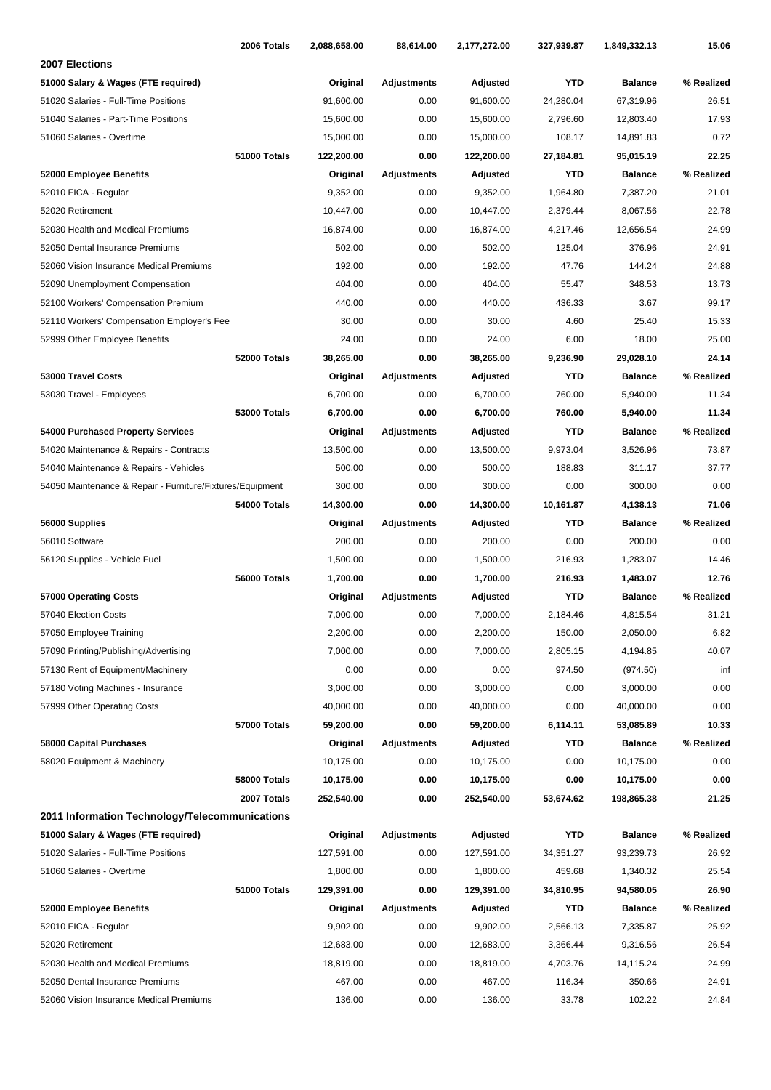| 2006 Totals                                               | 2,088,658.00 | 88,614.00          | 2,177,272.00 | 327,939.87 | 1,849,332.13   | 15.06      |
|-----------------------------------------------------------|--------------|--------------------|--------------|------------|----------------|------------|
| 2007 Elections                                            |              |                    |              |            |                |            |
| 51000 Salary & Wages (FTE required)                       | Original     | <b>Adjustments</b> | Adjusted     | <b>YTD</b> | <b>Balance</b> | % Realized |
| 51020 Salaries - Full-Time Positions                      | 91,600.00    | 0.00               | 91,600.00    | 24,280.04  | 67,319.96      | 26.51      |
| 51040 Salaries - Part-Time Positions                      | 15,600.00    | 0.00               | 15,600.00    | 2,796.60   | 12,803.40      | 17.93      |
| 51060 Salaries - Overtime                                 | 15,000.00    | 0.00               | 15,000.00    | 108.17     | 14,891.83      | 0.72       |
| 51000 Totals                                              | 122,200.00   | 0.00               | 122,200.00   | 27,184.81  | 95,015.19      | 22.25      |
| 52000 Employee Benefits                                   | Original     | Adjustments        | Adjusted     | <b>YTD</b> | <b>Balance</b> | % Realized |
| 52010 FICA - Regular                                      | 9,352.00     | 0.00               | 9,352.00     | 1,964.80   | 7,387.20       | 21.01      |
| 52020 Retirement                                          | 10,447.00    | 0.00               | 10,447.00    | 2,379.44   | 8,067.56       | 22.78      |
| 52030 Health and Medical Premiums                         | 16,874.00    | 0.00               | 16,874.00    | 4,217.46   | 12,656.54      | 24.99      |
| 52050 Dental Insurance Premiums                           | 502.00       | 0.00               | 502.00       | 125.04     | 376.96         | 24.91      |
| 52060 Vision Insurance Medical Premiums                   | 192.00       | 0.00               | 192.00       | 47.76      | 144.24         | 24.88      |
| 52090 Unemployment Compensation                           | 404.00       | 0.00               | 404.00       | 55.47      | 348.53         | 13.73      |
| 52100 Workers' Compensation Premium                       | 440.00       | 0.00               | 440.00       | 436.33     | 3.67           | 99.17      |
| 52110 Workers' Compensation Employer's Fee                | 30.00        | 0.00               | 30.00        | 4.60       | 25.40          | 15.33      |
| 52999 Other Employee Benefits                             | 24.00        | 0.00               | 24.00        | 6.00       | 18.00          | 25.00      |
| 52000 Totals                                              | 38,265.00    | 0.00               | 38,265.00    | 9,236.90   | 29,028.10      | 24.14      |
| 53000 Travel Costs                                        | Original     | Adjustments        | Adjusted     | <b>YTD</b> | <b>Balance</b> | % Realized |
| 53030 Travel - Employees                                  | 6,700.00     | 0.00               | 6,700.00     | 760.00     | 5,940.00       | 11.34      |
| <b>53000 Totals</b>                                       | 6,700.00     | 0.00               | 6,700.00     | 760.00     | 5,940.00       | 11.34      |
| 54000 Purchased Property Services                         | Original     | <b>Adjustments</b> | Adjusted     | <b>YTD</b> | <b>Balance</b> | % Realized |
| 54020 Maintenance & Repairs - Contracts                   | 13,500.00    | 0.00               | 13,500.00    | 9,973.04   | 3,526.96       | 73.87      |
| 54040 Maintenance & Repairs - Vehicles                    | 500.00       | 0.00               | 500.00       | 188.83     | 311.17         | 37.77      |
| 54050 Maintenance & Repair - Furniture/Fixtures/Equipment | 300.00       | 0.00               | 300.00       | 0.00       | 300.00         | 0.00       |
| 54000 Totals                                              | 14,300.00    | 0.00               | 14,300.00    | 10,161.87  | 4,138.13       | 71.06      |
| 56000 Supplies                                            | Original     | Adjustments        | Adjusted     | <b>YTD</b> | <b>Balance</b> | % Realized |
| 56010 Software                                            | 200.00       | 0.00               | 200.00       | 0.00       | 200.00         | 0.00       |
| 56120 Supplies - Vehicle Fuel                             | 1,500.00     | 0.00               | 1,500.00     | 216.93     | 1,283.07       | 14.46      |
| 56000 Totals                                              | 1,700.00     | 0.00               | 1,700.00     | 216.93     | 1,483.07       | 12.76      |
| 57000 Operating Costs                                     | Original     | Adjustments        | Adjusted     | <b>YTD</b> | <b>Balance</b> | % Realized |
| 57040 Election Costs                                      | 7,000.00     | 0.00               | 7,000.00     | 2,184.46   | 4,815.54       | 31.21      |
| 57050 Employee Training                                   | 2,200.00     | 0.00               | 2,200.00     | 150.00     | 2,050.00       | 6.82       |
| 57090 Printing/Publishing/Advertising                     | 7,000.00     | 0.00               | 7,000.00     | 2,805.15   | 4,194.85       | 40.07      |
| 57130 Rent of Equipment/Machinery                         | 0.00         | 0.00               | 0.00         | 974.50     | (974.50)       | inf        |
| 57180 Voting Machines - Insurance                         | 3,000.00     | 0.00               | 3,000.00     | 0.00       | 3,000.00       | 0.00       |
| 57999 Other Operating Costs                               | 40,000.00    | 0.00               | 40,000.00    | 0.00       | 40,000.00      | 0.00       |
| 57000 Totals                                              | 59,200.00    | 0.00               | 59,200.00    | 6,114.11   | 53,085.89      | 10.33      |
| 58000 Capital Purchases                                   | Original     | Adjustments        | Adjusted     | YTD        | <b>Balance</b> | % Realized |
| 58020 Equipment & Machinery                               | 10,175.00    | 0.00               | 10,175.00    | 0.00       | 10,175.00      | 0.00       |
| 58000 Totals                                              | 10,175.00    | 0.00               | 10,175.00    | 0.00       | 10,175.00      | 0.00       |
| 2007 Totals                                               | 252,540.00   | 0.00               | 252,540.00   | 53,674.62  | 198,865.38     | 21.25      |
| 2011 Information Technology/Telecommunications            |              |                    |              |            |                |            |
| 51000 Salary & Wages (FTE required)                       | Original     | Adjustments        | Adjusted     | YTD        | <b>Balance</b> | % Realized |
| 51020 Salaries - Full-Time Positions                      | 127,591.00   | 0.00               | 127,591.00   | 34,351.27  | 93,239.73      | 26.92      |
| 51060 Salaries - Overtime                                 | 1,800.00     | 0.00               | 1,800.00     | 459.68     | 1,340.32       | 25.54      |
| 51000 Totals                                              | 129,391.00   | 0.00               | 129,391.00   | 34,810.95  | 94,580.05      | 26.90      |
| 52000 Employee Benefits                                   | Original     | <b>Adjustments</b> | Adjusted     | YTD        | <b>Balance</b> | % Realized |
| 52010 FICA - Regular                                      | 9,902.00     | 0.00               | 9,902.00     | 2,566.13   | 7,335.87       | 25.92      |
| 52020 Retirement                                          | 12,683.00    | 0.00               | 12,683.00    | 3,366.44   | 9,316.56       | 26.54      |
| 52030 Health and Medical Premiums                         | 18,819.00    | 0.00               | 18,819.00    | 4,703.76   | 14,115.24      | 24.99      |
| 52050 Dental Insurance Premiums                           | 467.00       | 0.00               | 467.00       | 116.34     | 350.66         | 24.91      |
| 52060 Vision Insurance Medical Premiums                   | 136.00       | 0.00               | 136.00       | 33.78      | 102.22         | 24.84      |
|                                                           |              |                    |              |            |                |            |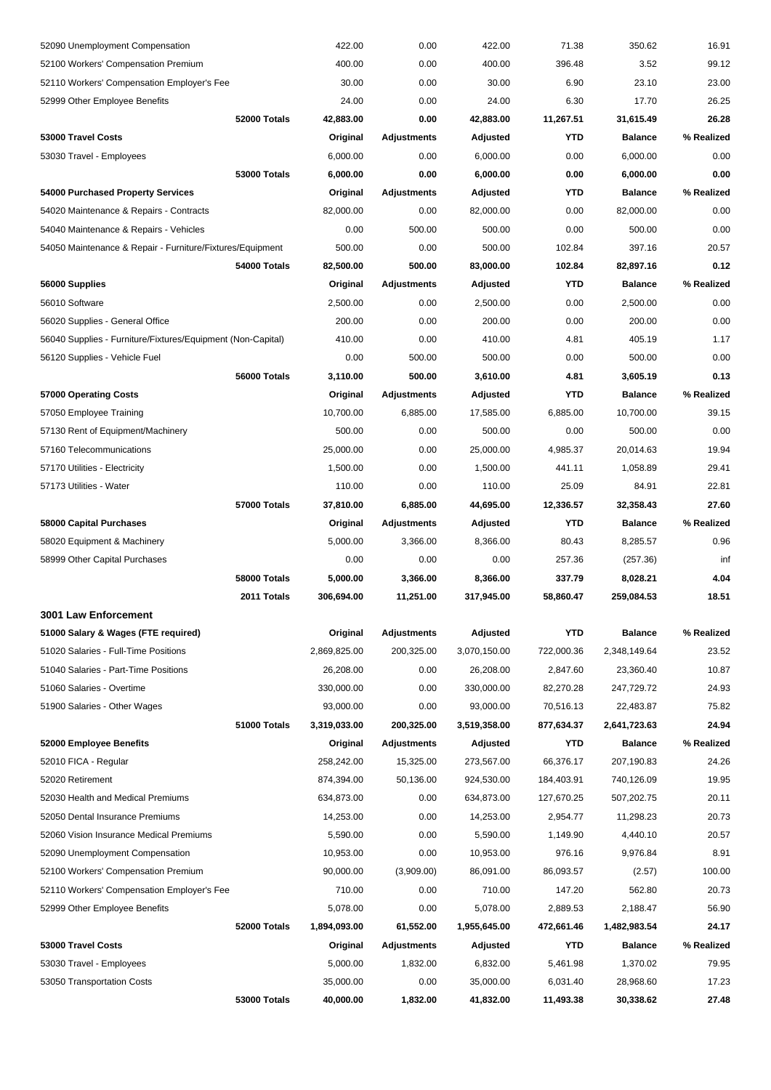| 52090 Unemployment Compensation                             |                     | 422.00       | 0.00               | 422.00       | 71.38      | 350.62         | 16.91      |
|-------------------------------------------------------------|---------------------|--------------|--------------------|--------------|------------|----------------|------------|
| 52100 Workers' Compensation Premium                         |                     | 400.00       | 0.00               | 400.00       | 396.48     | 3.52           | 99.12      |
| 52110 Workers' Compensation Employer's Fee                  |                     | 30.00        | 0.00               | 30.00        | 6.90       | 23.10          | 23.00      |
| 52999 Other Employee Benefits                               |                     | 24.00        | 0.00               | 24.00        | 6.30       | 17.70          | 26.25      |
|                                                             | 52000 Totals        | 42,883.00    | 0.00               | 42,883.00    | 11,267.51  | 31,615.49      | 26.28      |
| 53000 Travel Costs                                          |                     | Original     | <b>Adjustments</b> | Adjusted     | YTD        | <b>Balance</b> | % Realized |
| 53030 Travel - Employees                                    |                     | 6,000.00     | 0.00               | 6,000.00     | 0.00       | 6,000.00       | 0.00       |
|                                                             | <b>53000 Totals</b> | 6,000.00     | 0.00               | 6,000.00     | 0.00       | 6,000.00       | 0.00       |
| 54000 Purchased Property Services                           |                     | Original     | Adjustments        | Adjusted     | YTD        | <b>Balance</b> | % Realized |
| 54020 Maintenance & Repairs - Contracts                     |                     | 82,000.00    | 0.00               | 82,000.00    | 0.00       | 82,000.00      | 0.00       |
| 54040 Maintenance & Repairs - Vehicles                      |                     | 0.00         | 500.00             | 500.00       | 0.00       | 500.00         | 0.00       |
| 54050 Maintenance & Repair - Furniture/Fixtures/Equipment   |                     | 500.00       | 0.00               | 500.00       | 102.84     | 397.16         | 20.57      |
|                                                             | 54000 Totals        | 82,500.00    | 500.00             | 83,000.00    | 102.84     | 82,897.16      | 0.12       |
| 56000 Supplies                                              |                     | Original     | <b>Adjustments</b> | Adjusted     | <b>YTD</b> | <b>Balance</b> | % Realized |
| 56010 Software                                              |                     | 2,500.00     | 0.00               | 2,500.00     | 0.00       | 2,500.00       | 0.00       |
| 56020 Supplies - General Office                             |                     | 200.00       | 0.00               | 200.00       | 0.00       | 200.00         | 0.00       |
| 56040 Supplies - Furniture/Fixtures/Equipment (Non-Capital) |                     | 410.00       | 0.00               | 410.00       | 4.81       | 405.19         | 1.17       |
| 56120 Supplies - Vehicle Fuel                               |                     | 0.00         | 500.00             | 500.00       | 0.00       | 500.00         | 0.00       |
|                                                             | 56000 Totals        | 3,110.00     | 500.00             | 3,610.00     | 4.81       | 3,605.19       | 0.13       |
| 57000 Operating Costs                                       |                     | Original     | Adjustments        | Adjusted     | YTD        | <b>Balance</b> | % Realized |
| 57050 Employee Training                                     |                     | 10,700.00    | 6,885.00           | 17,585.00    | 6,885.00   | 10,700.00      | 39.15      |
| 57130 Rent of Equipment/Machinery                           |                     | 500.00       | 0.00               | 500.00       | 0.00       | 500.00         | 0.00       |
| 57160 Telecommunications                                    |                     | 25,000.00    | 0.00               | 25,000.00    | 4,985.37   | 20,014.63      | 19.94      |
| 57170 Utilities - Electricity                               |                     | 1,500.00     | 0.00               | 1,500.00     | 441.11     | 1,058.89       | 29.41      |
| 57173 Utilities - Water                                     |                     | 110.00       | 0.00               | 110.00       | 25.09      | 84.91          | 22.81      |
|                                                             | 57000 Totals        | 37,810.00    | 6,885.00           | 44,695.00    | 12,336.57  | 32,358.43      | 27.60      |
| 58000 Capital Purchases                                     |                     | Original     | Adjustments        | Adjusted     | YTD        | <b>Balance</b> | % Realized |
| 58020 Equipment & Machinery                                 |                     | 5,000.00     | 3,366.00           | 8,366.00     | 80.43      | 8,285.57       | 0.96       |
| 58999 Other Capital Purchases                               |                     | 0.00         | 0.00               | 0.00         | 257.36     | (257.36)       | inf        |
|                                                             | 58000 Totals        | 5,000.00     | 3,366.00           | 8,366.00     | 337.79     | 8,028.21       | 4.04       |
|                                                             | 2011 Totals         | 306,694.00   | 11,251.00          | 317,945.00   | 58,860.47  | 259,084.53     | 18.51      |
| 3001 Law Enforcement                                        |                     |              |                    |              |            |                |            |
| 51000 Salary & Wages (FTE required)                         |                     | Original     | <b>Adjustments</b> | Adjusted     | <b>YTD</b> | <b>Balance</b> | % Realized |
| 51020 Salaries - Full-Time Positions                        |                     | 2,869,825.00 | 200,325.00         | 3,070,150.00 | 722,000.36 | 2,348,149.64   | 23.52      |
| 51040 Salaries - Part-Time Positions                        |                     | 26,208.00    | 0.00               | 26,208.00    | 2,847.60   | 23,360.40      | 10.87      |
| 51060 Salaries - Overtime                                   |                     | 330,000.00   | 0.00               | 330,000.00   | 82,270.28  | 247,729.72     | 24.93      |
| 51900 Salaries - Other Wages                                |                     | 93,000.00    | 0.00               | 93,000.00    | 70,516.13  | 22,483.87      | 75.82      |
|                                                             | 51000 Totals        | 3,319,033.00 | 200,325.00         | 3,519,358.00 | 877,634.37 | 2,641,723.63   | 24.94      |
| 52000 Employee Benefits                                     |                     | Original     | <b>Adjustments</b> | Adjusted     | YTD        | <b>Balance</b> | % Realized |
| 52010 FICA - Regular                                        |                     | 258,242.00   | 15,325.00          | 273,567.00   | 66,376.17  | 207,190.83     | 24.26      |
| 52020 Retirement                                            |                     | 874,394.00   | 50,136.00          | 924,530.00   | 184,403.91 | 740,126.09     | 19.95      |
| 52030 Health and Medical Premiums                           |                     | 634,873.00   | 0.00               | 634,873.00   | 127,670.25 | 507,202.75     | 20.11      |
| 52050 Dental Insurance Premiums                             |                     | 14,253.00    | 0.00               | 14,253.00    | 2,954.77   | 11,298.23      | 20.73      |
| 52060 Vision Insurance Medical Premiums                     |                     | 5,590.00     | 0.00               | 5,590.00     | 1,149.90   | 4,440.10       | 20.57      |
| 52090 Unemployment Compensation                             |                     | 10,953.00    | 0.00               | 10,953.00    | 976.16     | 9,976.84       | 8.91       |
| 52100 Workers' Compensation Premium                         |                     | 90,000.00    | (3,909.00)         | 86,091.00    | 86,093.57  | (2.57)         | 100.00     |
| 52110 Workers' Compensation Employer's Fee                  |                     | 710.00       | 0.00               | 710.00       | 147.20     | 562.80         | 20.73      |
| 52999 Other Employee Benefits                               |                     | 5,078.00     | 0.00               | 5,078.00     | 2,889.53   | 2,188.47       | 56.90      |
|                                                             | 52000 Totals        | 1,894,093.00 | 61,552.00          | 1,955,645.00 | 472,661.46 | 1,482,983.54   | 24.17      |
| 53000 Travel Costs                                          |                     | Original     | <b>Adjustments</b> | Adjusted     | YTD        | <b>Balance</b> | % Realized |
| 53030 Travel - Employees                                    |                     | 5,000.00     | 1,832.00           | 6,832.00     | 5,461.98   | 1,370.02       | 79.95      |
| 53050 Transportation Costs                                  |                     | 35,000.00    | 0.00               | 35,000.00    | 6,031.40   | 28,968.60      | 17.23      |
|                                                             | 53000 Totals        | 40,000.00    | 1,832.00           | 41,832.00    | 11,493.38  | 30,338.62      | 27.48      |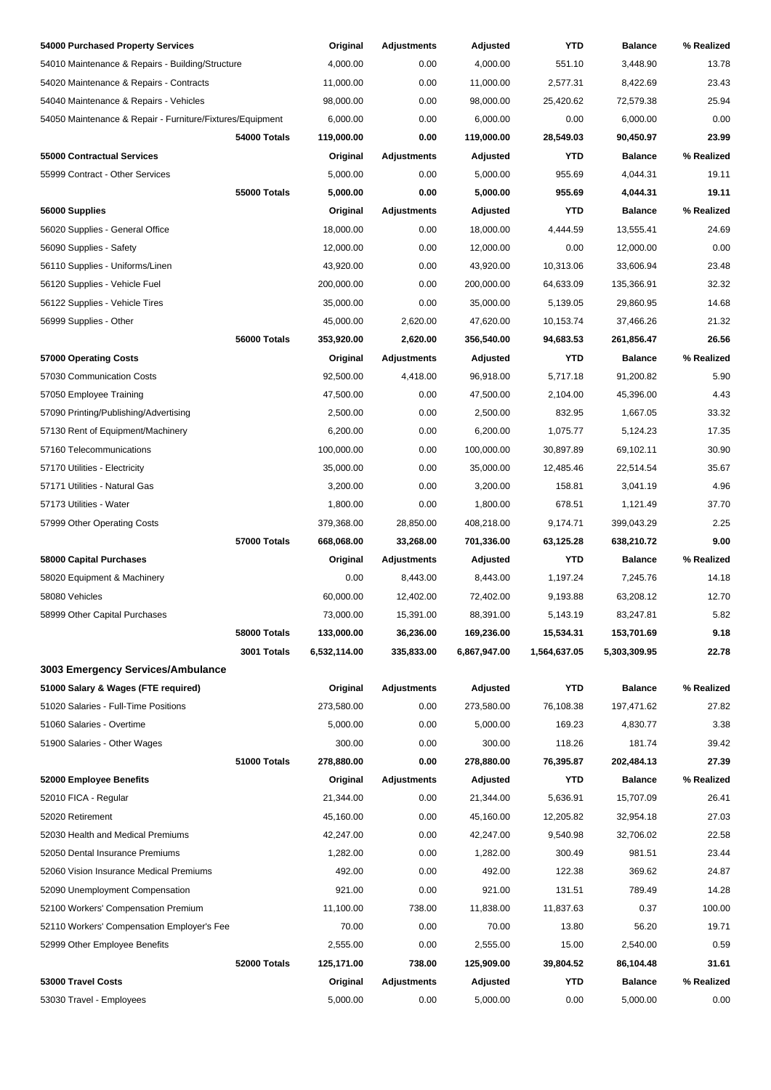| 54000 Purchased Property Services                         |                     | Original             | <b>Adjustments</b> | Adjusted     | YTD              | <b>Balance</b> | % Realized     |
|-----------------------------------------------------------|---------------------|----------------------|--------------------|--------------|------------------|----------------|----------------|
| 54010 Maintenance & Repairs - Building/Structure          |                     | 4,000.00             | 0.00               | 4,000.00     | 551.10           | 3,448.90       | 13.78          |
| 54020 Maintenance & Repairs - Contracts                   |                     | 11,000.00            | 0.00               | 11,000.00    | 2,577.31         | 8,422.69       | 23.43          |
| 54040 Maintenance & Repairs - Vehicles                    |                     | 98,000.00            | 0.00               | 98,000.00    | 25,420.62        | 72,579.38      | 25.94          |
| 54050 Maintenance & Repair - Furniture/Fixtures/Equipment |                     | 6,000.00             | 0.00               | 6,000.00     | 0.00             | 6,000.00       | 0.00           |
|                                                           | 54000 Totals        | 119,000.00           | 0.00               | 119,000.00   | 28,549.03        | 90,450.97      | 23.99          |
| 55000 Contractual Services                                |                     | Original             | <b>Adjustments</b> | Adjusted     | YTD              | <b>Balance</b> | % Realized     |
| 55999 Contract - Other Services                           |                     | 5,000.00             | 0.00               | 5,000.00     | 955.69           | 4,044.31       | 19.11          |
|                                                           | <b>55000 Totals</b> | 5,000.00             | 0.00               | 5,000.00     | 955.69           | 4,044.31       | 19.11          |
| 56000 Supplies                                            |                     | Original             | Adjustments        | Adjusted     | YTD              | <b>Balance</b> | % Realized     |
| 56020 Supplies - General Office                           |                     | 18,000.00            | 0.00               | 18,000.00    | 4,444.59         | 13,555.41      | 24.69          |
| 56090 Supplies - Safety                                   |                     | 12,000.00            | 0.00               | 12,000.00    | 0.00             | 12,000.00      | 0.00           |
| 56110 Supplies - Uniforms/Linen                           |                     | 43,920.00            | 0.00               | 43,920.00    | 10,313.06        | 33,606.94      | 23.48          |
| 56120 Supplies - Vehicle Fuel                             |                     | 200,000.00           | 0.00               | 200,000.00   | 64,633.09        | 135,366.91     | 32.32          |
| 56122 Supplies - Vehicle Tires                            |                     | 35,000.00            | 0.00               | 35,000.00    | 5,139.05         | 29,860.95      | 14.68          |
| 56999 Supplies - Other                                    |                     | 45,000.00            | 2,620.00           | 47,620.00    | 10,153.74        | 37,466.26      | 21.32          |
|                                                           | 56000 Totals        | 353,920.00           | 2,620.00           | 356,540.00   | 94,683.53        | 261,856.47     | 26.56          |
| 57000 Operating Costs                                     |                     | Original             | Adjustments        | Adjusted     | YTD              | <b>Balance</b> | % Realized     |
| 57030 Communication Costs                                 |                     | 92,500.00            | 4,418.00           | 96,918.00    | 5,717.18         | 91,200.82      | 5.90           |
| 57050 Employee Training                                   |                     | 47,500.00            | 0.00               | 47,500.00    | 2,104.00         | 45,396.00      | 4.43           |
| 57090 Printing/Publishing/Advertising                     |                     | 2,500.00             | 0.00               | 2,500.00     | 832.95           | 1,667.05       | 33.32          |
|                                                           |                     | 6,200.00             | 0.00               | 6,200.00     | 1,075.77         | 5,124.23       | 17.35          |
| 57130 Rent of Equipment/Machinery                         |                     |                      |                    |              |                  |                |                |
| 57160 Telecommunications                                  |                     | 100,000.00           | 0.00<br>0.00       | 100,000.00   | 30,897.89        | 69,102.11      | 30.90<br>35.67 |
| 57170 Utilities - Electricity                             |                     | 35,000.00            | 0.00               | 35,000.00    | 12,485.46        | 22,514.54      | 4.96           |
| 57171 Utilities - Natural Gas                             |                     | 3,200.00<br>1,800.00 | 0.00               | 3,200.00     | 158.81<br>678.51 | 3,041.19       | 37.70          |
| 57173 Utilities - Water                                   |                     |                      |                    | 1,800.00     |                  | 1,121.49       | 2.25           |
| 57999 Other Operating Costs                               |                     | 379,368.00           | 28,850.00          | 408,218.00   | 9,174.71         | 399,043.29     |                |
|                                                           | <b>57000 Totals</b> | 668,068.00           | 33,268.00          | 701,336.00   | 63,125.28        | 638,210.72     | 9.00           |
| 58000 Capital Purchases                                   |                     | Original             | Adjustments        | Adjusted     | YTD              | <b>Balance</b> | % Realized     |
| 58020 Equipment & Machinery                               |                     | 0.00                 | 8,443.00           | 8,443.00     | 1,197.24         | 7,245.76       | 14.18          |
| 58080 Vehicles                                            |                     | 60,000.00            | 12,402.00          | 72,402.00    | 9,193.88         | 63,208.12      | 12.70          |
| 58999 Other Capital Purchases                             |                     | 73,000.00            | 15,391.00          | 88,391.00    | 5,143.19         | 83,247.81      | 5.82           |
|                                                           | <b>58000 Totals</b> | 133,000.00           | 36,236.00          | 169,236.00   | 15,534.31        | 153,701.69     | 9.18           |
|                                                           | 3001 Totals         | 6,532,114.00         | 335,833.00         | 6,867,947.00 | 1,564,637.05     | 5,303,309.95   | 22.78          |
| 3003 Emergency Services/Ambulance                         |                     |                      |                    |              |                  |                |                |
| 51000 Salary & Wages (FTE required)                       |                     | Original             | <b>Adjustments</b> | Adjusted     | YTD              | <b>Balance</b> | % Realized     |
| 51020 Salaries - Full-Time Positions                      |                     | 273,580.00           | 0.00               | 273,580.00   | 76,108.38        | 197,471.62     | 27.82          |
| 51060 Salaries - Overtime                                 |                     | 5,000.00             | 0.00               | 5,000.00     | 169.23           | 4,830.77       | 3.38           |
| 51900 Salaries - Other Wages                              |                     | 300.00               | 0.00               | 300.00       | 118.26           | 181.74         | 39.42          |
|                                                           | 51000 Totals        | 278,880.00           | 0.00               | 278,880.00   | 76,395.87        | 202,484.13     | 27.39          |
| 52000 Employee Benefits                                   |                     | Original             | <b>Adjustments</b> | Adjusted     | YTD              | <b>Balance</b> | % Realized     |
| 52010 FICA - Regular                                      |                     | 21,344.00            | 0.00               | 21,344.00    | 5,636.91         | 15,707.09      | 26.41          |
| 52020 Retirement                                          |                     | 45,160.00            | 0.00               | 45,160.00    | 12,205.82        | 32,954.18      | 27.03          |
| 52030 Health and Medical Premiums                         |                     | 42,247.00            | 0.00               | 42,247.00    | 9,540.98         | 32,706.02      | 22.58          |
| 52050 Dental Insurance Premiums                           |                     | 1,282.00             | 0.00               | 1,282.00     | 300.49           | 981.51         | 23.44          |
| 52060 Vision Insurance Medical Premiums                   |                     | 492.00               | 0.00               | 492.00       | 122.38           | 369.62         | 24.87          |
| 52090 Unemployment Compensation                           |                     | 921.00               | 0.00               | 921.00       | 131.51           | 789.49         | 14.28          |
| 52100 Workers' Compensation Premium                       |                     | 11,100.00            | 738.00             | 11,838.00    | 11,837.63        | 0.37           | 100.00         |
| 52110 Workers' Compensation Employer's Fee                |                     | 70.00                | 0.00               | 70.00        | 13.80            | 56.20          | 19.71          |
| 52999 Other Employee Benefits                             |                     | 2,555.00             | 0.00               | 2,555.00     | 15.00            | 2,540.00       | 0.59           |
|                                                           | 52000 Totals        | 125,171.00           | 738.00             | 125,909.00   | 39,804.52        | 86,104.48      | 31.61          |
| 53000 Travel Costs                                        |                     | Original             | <b>Adjustments</b> | Adjusted     | <b>YTD</b>       | <b>Balance</b> | % Realized     |
| 53030 Travel - Employees                                  |                     | 5,000.00             | 0.00               | 5,000.00     | 0.00             | 5,000.00       | 0.00           |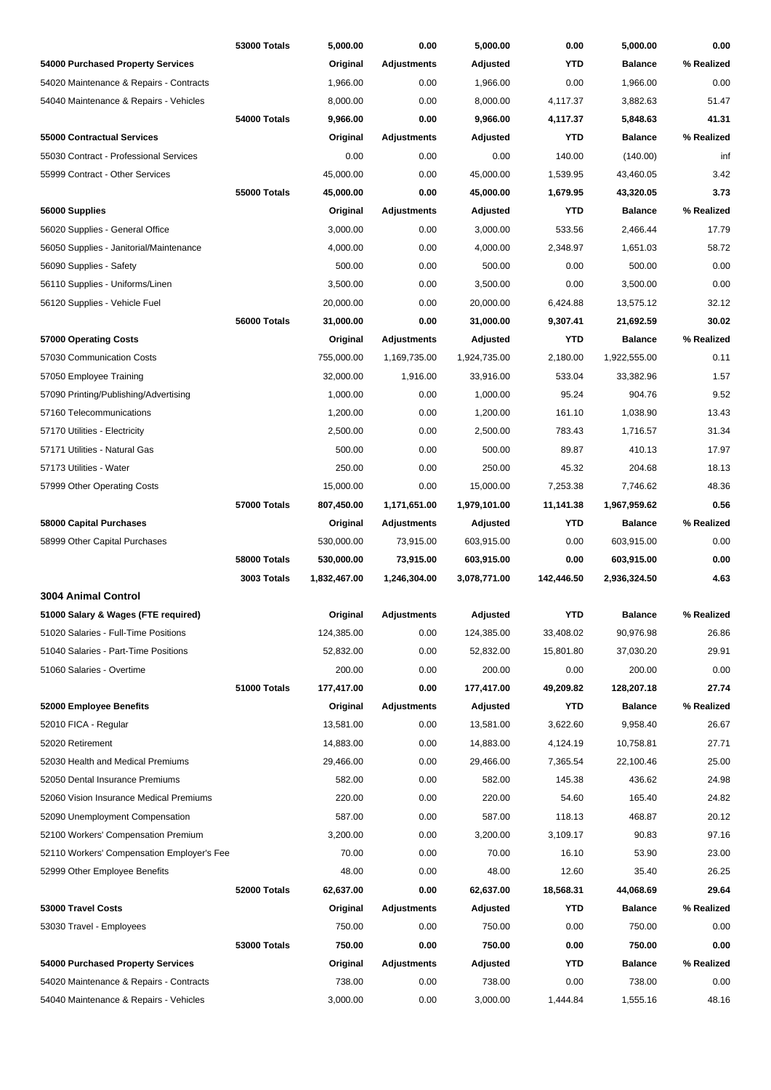|                                            | <b>53000 Totals</b> | 5,000.00     | 0.00               | 5,000.00     | 0.00       | 5,000.00       | 0.00       |
|--------------------------------------------|---------------------|--------------|--------------------|--------------|------------|----------------|------------|
| 54000 Purchased Property Services          |                     | Original     | <b>Adjustments</b> | Adjusted     | YTD        | <b>Balance</b> | % Realized |
| 54020 Maintenance & Repairs - Contracts    |                     | 1,966.00     | 0.00               | 1,966.00     | 0.00       | 1,966.00       | 0.00       |
| 54040 Maintenance & Repairs - Vehicles     |                     | 8,000.00     | 0.00               | 8,000.00     | 4,117.37   | 3,882.63       | 51.47      |
|                                            | 54000 Totals        | 9,966.00     | 0.00               | 9,966.00     | 4,117.37   | 5,848.63       | 41.31      |
| 55000 Contractual Services                 |                     | Original     | <b>Adjustments</b> | Adjusted     | YTD        | <b>Balance</b> | % Realized |
| 55030 Contract - Professional Services     |                     | 0.00         | 0.00               | 0.00         | 140.00     | (140.00)       | inf        |
| 55999 Contract - Other Services            |                     | 45,000.00    | 0.00               | 45,000.00    | 1,539.95   | 43,460.05      | 3.42       |
|                                            | <b>55000 Totals</b> | 45,000.00    | 0.00               | 45,000.00    | 1,679.95   | 43,320.05      | 3.73       |
| 56000 Supplies                             |                     | Original     | <b>Adjustments</b> | Adjusted     | YTD        | <b>Balance</b> | % Realized |
| 56020 Supplies - General Office            |                     | 3,000.00     | 0.00               | 3,000.00     | 533.56     | 2,466.44       | 17.79      |
| 56050 Supplies - Janitorial/Maintenance    |                     | 4,000.00     | 0.00               | 4,000.00     | 2,348.97   | 1,651.03       | 58.72      |
| 56090 Supplies - Safety                    |                     | 500.00       | 0.00               | 500.00       | 0.00       | 500.00         | 0.00       |
| 56110 Supplies - Uniforms/Linen            |                     | 3,500.00     | 0.00               | 3,500.00     | 0.00       | 3,500.00       | 0.00       |
| 56120 Supplies - Vehicle Fuel              |                     | 20,000.00    | 0.00               | 20,000.00    | 6,424.88   | 13,575.12      | 32.12      |
|                                            | 56000 Totals        | 31,000.00    | 0.00               | 31,000.00    | 9,307.41   | 21,692.59      | 30.02      |
| 57000 Operating Costs                      |                     | Original     | <b>Adjustments</b> | Adjusted     | YTD        | <b>Balance</b> | % Realized |
| 57030 Communication Costs                  |                     | 755,000.00   | 1,169,735.00       | 1,924,735.00 | 2,180.00   | 1,922,555.00   | 0.11       |
| 57050 Employee Training                    |                     | 32,000.00    | 1,916.00           | 33,916.00    | 533.04     | 33,382.96      | 1.57       |
| 57090 Printing/Publishing/Advertising      |                     | 1,000.00     | 0.00               | 1,000.00     | 95.24      | 904.76         | 9.52       |
| 57160 Telecommunications                   |                     | 1,200.00     | 0.00               | 1,200.00     | 161.10     | 1,038.90       | 13.43      |
| 57170 Utilities - Electricity              |                     | 2,500.00     | 0.00               | 2,500.00     | 783.43     | 1,716.57       | 31.34      |
| 57171 Utilities - Natural Gas              |                     | 500.00       | 0.00               | 500.00       | 89.87      | 410.13         | 17.97      |
| 57173 Utilities - Water                    |                     | 250.00       | 0.00               | 250.00       | 45.32      | 204.68         | 18.13      |
| 57999 Other Operating Costs                |                     | 15,000.00    | 0.00               | 15,000.00    | 7,253.38   | 7,746.62       | 48.36      |
|                                            | 57000 Totals        | 807,450.00   | 1,171,651.00       | 1,979,101.00 | 11,141.38  | 1,967,959.62   | 0.56       |
| 58000 Capital Purchases                    |                     | Original     | Adjustments        | Adjusted     | YTD        | <b>Balance</b> | % Realized |
| 58999 Other Capital Purchases              |                     | 530,000.00   | 73,915.00          | 603,915.00   | 0.00       | 603,915.00     | 0.00       |
|                                            | 58000 Totals        | 530,000.00   | 73,915.00          | 603,915.00   | 0.00       | 603,915.00     | 0.00       |
|                                            | 3003 Totals         | 1,832,467.00 | 1,246,304.00       | 3,078,771.00 | 142,446.50 | 2,936,324.50   | 4.63       |
| <b>3004 Animal Control</b>                 |                     |              |                    |              |            |                |            |
| 51000 Salary & Wages (FTE required)        |                     | Original     | Adjustments        | Adjusted     | YTD        | <b>Balance</b> | % Realized |
| 51020 Salaries - Full-Time Positions       |                     | 124,385.00   | 0.00               | 124,385.00   | 33,408.02  | 90,976.98      | 26.86      |
| 51040 Salaries - Part-Time Positions       |                     | 52,832.00    | 0.00               | 52,832.00    | 15,801.80  | 37,030.20      | 29.91      |
| 51060 Salaries - Overtime                  |                     | 200.00       | 0.00               | 200.00       | 0.00       | 200.00         | 0.00       |
|                                            | 51000 Totals        | 177,417.00   | 0.00               | 177,417.00   | 49,209.82  | 128,207.18     | 27.74      |
| 52000 Employee Benefits                    |                     | Original     | <b>Adjustments</b> | Adjusted     | YTD        | <b>Balance</b> | % Realized |
| 52010 FICA - Regular                       |                     | 13,581.00    | 0.00               | 13,581.00    | 3,622.60   | 9,958.40       | 26.67      |
| 52020 Retirement                           |                     | 14,883.00    | 0.00               | 14,883.00    | 4,124.19   | 10,758.81      | 27.71      |
| 52030 Health and Medical Premiums          |                     | 29,466.00    | 0.00               | 29,466.00    | 7,365.54   | 22,100.46      | 25.00      |
| 52050 Dental Insurance Premiums            |                     | 582.00       | 0.00               | 582.00       | 145.38     | 436.62         | 24.98      |
| 52060 Vision Insurance Medical Premiums    |                     | 220.00       | 0.00               | 220.00       | 54.60      | 165.40         | 24.82      |
| 52090 Unemployment Compensation            |                     | 587.00       | 0.00               | 587.00       | 118.13     | 468.87         | 20.12      |
| 52100 Workers' Compensation Premium        |                     | 3,200.00     | 0.00               | 3,200.00     | 3,109.17   | 90.83          | 97.16      |
| 52110 Workers' Compensation Employer's Fee |                     | 70.00        | 0.00               | 70.00        | 16.10      | 53.90          | 23.00      |
| 52999 Other Employee Benefits              |                     | 48.00        | 0.00               | 48.00        | 12.60      | 35.40          | 26.25      |
|                                            | 52000 Totals        | 62,637.00    | 0.00               | 62,637.00    | 18,568.31  | 44,068.69      | 29.64      |
| 53000 Travel Costs                         |                     | Original     | <b>Adjustments</b> | Adjusted     | YTD        | <b>Balance</b> | % Realized |
| 53030 Travel - Employees                   |                     | 750.00       | 0.00               | 750.00       | 0.00       | 750.00         | 0.00       |
|                                            | 53000 Totals        | 750.00       | 0.00               | 750.00       | 0.00       | 750.00         | 0.00       |
| 54000 Purchased Property Services          |                     | Original     | <b>Adjustments</b> | Adjusted     | YTD        | <b>Balance</b> | % Realized |
| 54020 Maintenance & Repairs - Contracts    |                     | 738.00       | 0.00               | 738.00       | 0.00       | 738.00         | 0.00       |
| 54040 Maintenance & Repairs - Vehicles     |                     | 3,000.00     | 0.00               | 3,000.00     | 1,444.84   | 1,555.16       | 48.16      |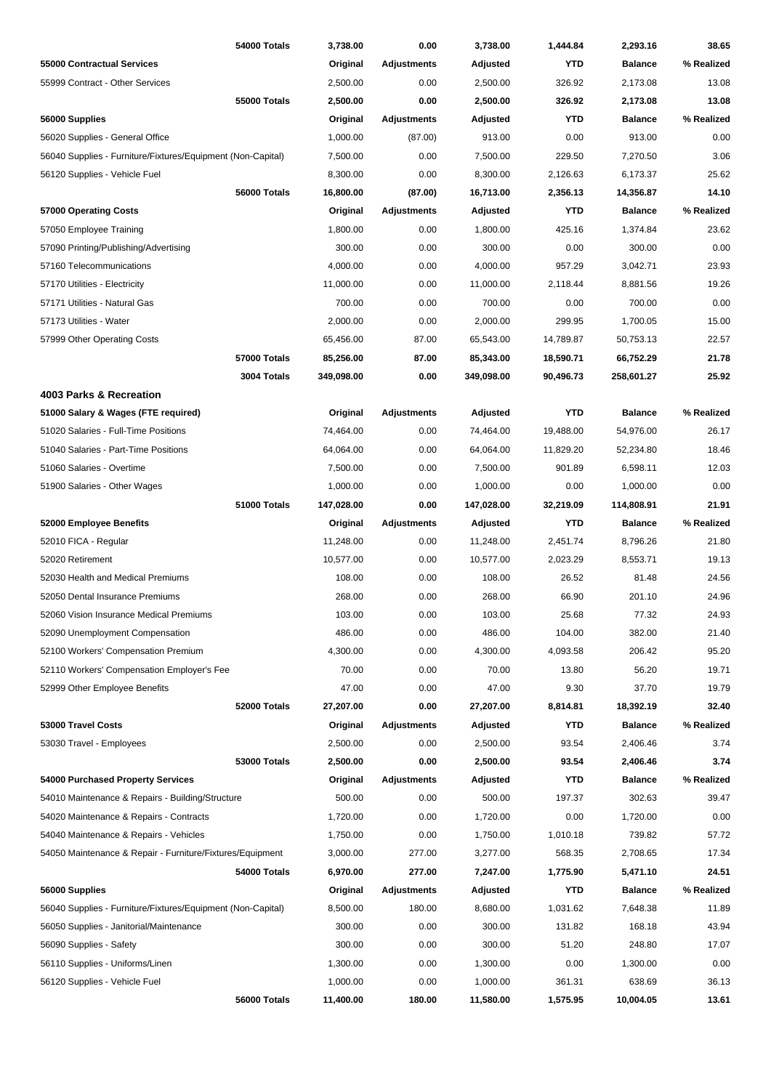|                                                             | 54000 Totals        | 3,738.00         | 0.00               | 3,738.00         | 1,444.84       | 2,293.16        | 38.65      |
|-------------------------------------------------------------|---------------------|------------------|--------------------|------------------|----------------|-----------------|------------|
| <b>55000 Contractual Services</b>                           |                     | Original         | <b>Adjustments</b> | Adjusted         | <b>YTD</b>     | <b>Balance</b>  | % Realized |
| 55999 Contract - Other Services                             |                     | 2,500.00         | 0.00               | 2,500.00         | 326.92         | 2,173.08        | 13.08      |
|                                                             | <b>55000 Totals</b> | 2,500.00         | 0.00               | 2,500.00         | 326.92         | 2,173.08        | 13.08      |
| 56000 Supplies                                              |                     | Original         | <b>Adjustments</b> | Adjusted         | YTD            | <b>Balance</b>  | % Realized |
| 56020 Supplies - General Office                             |                     | 1,000.00         | (87.00)            | 913.00           | 0.00           | 913.00          | 0.00       |
| 56040 Supplies - Furniture/Fixtures/Equipment (Non-Capital) |                     | 7,500.00         | 0.00               | 7,500.00         | 229.50         | 7,270.50        | 3.06       |
| 56120 Supplies - Vehicle Fuel                               |                     | 8,300.00         | 0.00               | 8,300.00         | 2,126.63       | 6,173.37        | 25.62      |
|                                                             | 56000 Totals        | 16,800.00        | (87.00)            | 16,713.00        | 2,356.13       | 14,356.87       | 14.10      |
| 57000 Operating Costs                                       |                     | Original         | <b>Adjustments</b> | Adjusted         | YTD            | <b>Balance</b>  | % Realized |
| 57050 Employee Training                                     |                     | 1,800.00         | 0.00               | 1,800.00         | 425.16         | 1,374.84        | 23.62      |
| 57090 Printing/Publishing/Advertising                       |                     | 300.00           | 0.00               | 300.00           | 0.00           | 300.00          | 0.00       |
| 57160 Telecommunications                                    |                     | 4,000.00         | 0.00               | 4,000.00         | 957.29         | 3,042.71        | 23.93      |
| 57170 Utilities - Electricity                               |                     | 11,000.00        | 0.00               | 11,000.00        | 2,118.44       | 8,881.56        | 19.26      |
| 57171 Utilities - Natural Gas                               |                     | 700.00           | 0.00               | 700.00           | 0.00           | 700.00          | 0.00       |
| 57173 Utilities - Water                                     |                     | 2,000.00         | 0.00               | 2,000.00         | 299.95         | 1,700.05        | 15.00      |
| 57999 Other Operating Costs                                 |                     | 65,456.00        | 87.00              | 65,543.00        | 14,789.87      | 50,753.13       | 22.57      |
|                                                             | <b>57000 Totals</b> | 85,256.00        | 87.00              | 85,343.00        | 18,590.71      | 66,752.29       | 21.78      |
|                                                             | 3004 Totals         | 349,098.00       | 0.00               | 349,098.00       | 90,496.73      | 258,601.27      | 25.92      |
| 4003 Parks & Recreation                                     |                     |                  |                    |                  |                |                 |            |
| 51000 Salary & Wages (FTE required)                         |                     | Original         | <b>Adjustments</b> | Adjusted         | <b>YTD</b>     | <b>Balance</b>  | % Realized |
| 51020 Salaries - Full-Time Positions                        |                     | 74,464.00        | 0.00               | 74,464.00        | 19,488.00      | 54,976.00       | 26.17      |
| 51040 Salaries - Part-Time Positions                        |                     | 64,064.00        | 0.00               | 64,064.00        | 11,829.20      | 52,234.80       | 18.46      |
| 51060 Salaries - Overtime                                   |                     | 7,500.00         | 0.00               | 7,500.00         | 901.89         | 6,598.11        | 12.03      |
| 51900 Salaries - Other Wages                                |                     | 1,000.00         | 0.00               | 1,000.00         | 0.00           | 1,000.00        | 0.00       |
|                                                             | 51000 Totals        | 147,028.00       | 0.00               | 147,028.00       | 32,219.09      | 114,808.91      | 21.91      |
| 52000 Employee Benefits                                     |                     | Original         | <b>Adjustments</b> | Adjusted         | YTD            | <b>Balance</b>  | % Realized |
| 52010 FICA - Regular                                        |                     | 11,248.00        | 0.00               | 11,248.00        | 2,451.74       | 8,796.26        | 21.80      |
| 52020 Retirement                                            |                     | 10,577.00        | 0.00               | 10,577.00        | 2,023.29       | 8,553.71        | 19.13      |
| 52030 Health and Medical Premiums                           |                     |                  |                    |                  |                |                 | 24.56      |
| 52050 Dental Insurance Premiums                             |                     | 108.00<br>268.00 | 0.00               | 108.00<br>268.00 | 26.52<br>66.90 | 81.48<br>201.10 | 24.96      |
|                                                             |                     |                  | 0.00               |                  |                |                 |            |
| 52060 Vision Insurance Medical Premiums                     |                     | 103.00           | 0.00               | 103.00           | 25.68          | 77.32           | 24.93      |
| 52090 Unemployment Compensation                             |                     | 486.00           | 0.00               | 486.00           | 104.00         | 382.00          | 21.40      |
| 52100 Workers' Compensation Premium                         |                     | 4,300.00         | 0.00               | 4,300.00         | 4,093.58       | 206.42          | 95.20      |
| 52110 Workers' Compensation Employer's Fee                  |                     | 70.00            | 0.00               | 70.00            | 13.80          | 56.20           | 19.71      |
| 52999 Other Employee Benefits                               |                     | 47.00            | 0.00               | 47.00            | 9.30           | 37.70           | 19.79      |
|                                                             | 52000 Totals        | 27,207.00        | 0.00               | 27,207.00        | 8,814.81       | 18,392.19       | 32.40      |
| 53000 Travel Costs                                          |                     | Original         | <b>Adjustments</b> | Adjusted         | <b>YTD</b>     | <b>Balance</b>  | % Realized |
| 53030 Travel - Employees                                    |                     | 2,500.00         | 0.00               | 2,500.00         | 93.54          | 2,406.46        | 3.74       |
|                                                             | 53000 Totals        | 2,500.00         | 0.00               | 2,500.00         | 93.54          | 2,406.46        | 3.74       |
| 54000 Purchased Property Services                           |                     | Original         | <b>Adjustments</b> | Adjusted         | <b>YTD</b>     | <b>Balance</b>  | % Realized |
| 54010 Maintenance & Repairs - Building/Structure            |                     | 500.00           | 0.00               | 500.00           | 197.37         | 302.63          | 39.47      |
| 54020 Maintenance & Repairs - Contracts                     |                     | 1,720.00         | 0.00               | 1,720.00         | 0.00           | 1,720.00        | 0.00       |
| 54040 Maintenance & Repairs - Vehicles                      |                     | 1,750.00         | 0.00               | 1,750.00         | 1,010.18       | 739.82          | 57.72      |
| 54050 Maintenance & Repair - Furniture/Fixtures/Equipment   |                     | 3,000.00         | 277.00             | 3,277.00         | 568.35         | 2,708.65        | 17.34      |
|                                                             | 54000 Totals        | 6,970.00         | 277.00             | 7,247.00         | 1,775.90       | 5,471.10        | 24.51      |
| 56000 Supplies                                              |                     | Original         | <b>Adjustments</b> | Adjusted         | <b>YTD</b>     | <b>Balance</b>  | % Realized |
| 56040 Supplies - Furniture/Fixtures/Equipment (Non-Capital) |                     | 8,500.00         | 180.00             | 8,680.00         | 1,031.62       | 7,648.38        | 11.89      |
| 56050 Supplies - Janitorial/Maintenance                     |                     | 300.00           | 0.00               | 300.00           | 131.82         | 168.18          | 43.94      |
| 56090 Supplies - Safety                                     |                     | 300.00           | 0.00               | 300.00           | 51.20          | 248.80          | 17.07      |
| 56110 Supplies - Uniforms/Linen                             |                     | 1,300.00         | 0.00               | 1,300.00         | 0.00           | 1,300.00        | 0.00       |
| 56120 Supplies - Vehicle Fuel                               |                     | 1,000.00         | 0.00               | 1,000.00         | 361.31         | 638.69          | 36.13      |
|                                                             | 56000 Totals        | 11,400.00        | 180.00             | 11,580.00        | 1,575.95       | 10,004.05       | 13.61      |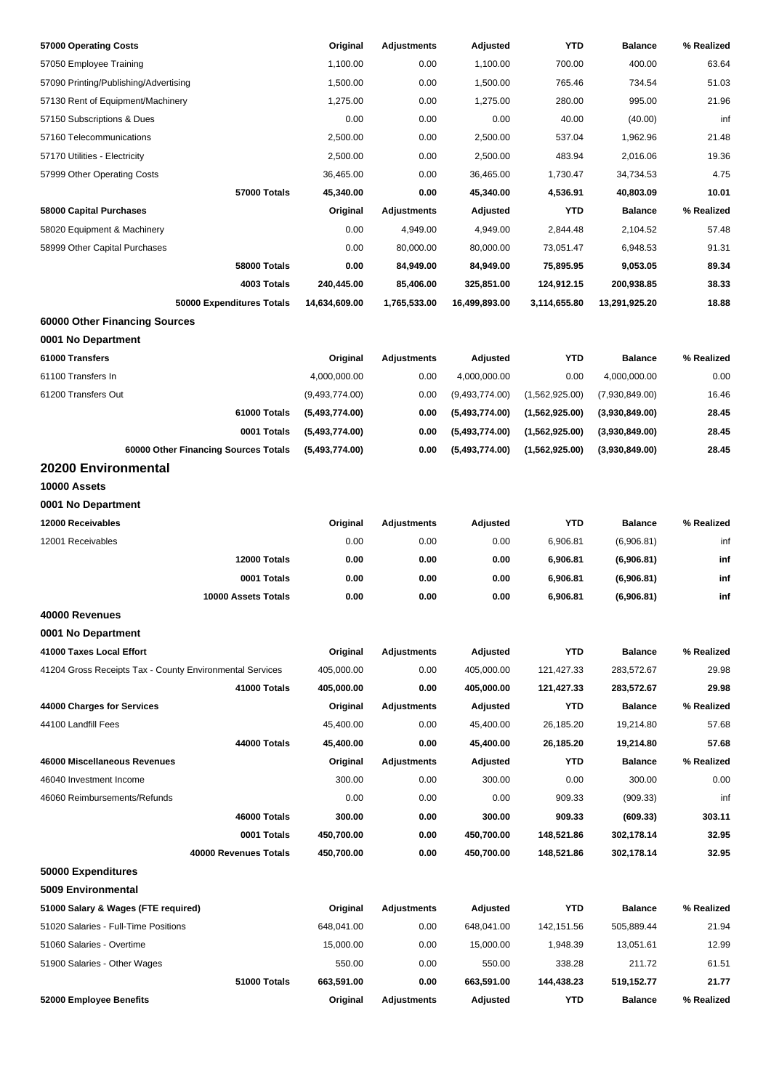| 57000 Operating Costs                                    | Original       | <b>Adjustments</b> | Adjusted       | YTD            | <b>Balance</b> | % Realized |
|----------------------------------------------------------|----------------|--------------------|----------------|----------------|----------------|------------|
| 57050 Employee Training                                  | 1,100.00       | 0.00               | 1,100.00       | 700.00         | 400.00         | 63.64      |
| 57090 Printing/Publishing/Advertising                    | 1,500.00       | 0.00               | 1,500.00       | 765.46         | 734.54         | 51.03      |
| 57130 Rent of Equipment/Machinery                        | 1,275.00       | 0.00               | 1,275.00       | 280.00         | 995.00         | 21.96      |
| 57150 Subscriptions & Dues                               | 0.00           | 0.00               | 0.00           | 40.00          | (40.00)        | inf        |
| 57160 Telecommunications                                 | 2,500.00       | 0.00               | 2,500.00       | 537.04         | 1,962.96       | 21.48      |
| 57170 Utilities - Electricity                            | 2,500.00       | 0.00               | 2,500.00       | 483.94         | 2,016.06       | 19.36      |
| 57999 Other Operating Costs                              | 36,465.00      | 0.00               | 36,465.00      | 1,730.47       | 34,734.53      | 4.75       |
| 57000 Totals                                             | 45,340.00      | 0.00               | 45,340.00      | 4,536.91       | 40,803.09      | 10.01      |
| 58000 Capital Purchases                                  | Original       | <b>Adjustments</b> | Adjusted       | <b>YTD</b>     | <b>Balance</b> | % Realized |
| 58020 Equipment & Machinery                              | 0.00           | 4,949.00           | 4,949.00       | 2,844.48       | 2,104.52       | 57.48      |
| 58999 Other Capital Purchases                            | 0.00           | 80,000.00          | 80,000.00      | 73,051.47      | 6,948.53       | 91.31      |
| 58000 Totals                                             | 0.00           | 84,949.00          | 84,949.00      | 75,895.95      | 9,053.05       | 89.34      |
| 4003 Totals                                              | 240,445.00     | 85,406.00          | 325,851.00     | 124,912.15     | 200,938.85     | 38.33      |
| 50000 Expenditures Totals                                | 14,634,609.00  | 1,765,533.00       | 16,499,893.00  | 3,114,655.80   | 13,291,925.20  | 18.88      |
| 60000 Other Financing Sources                            |                |                    |                |                |                |            |
| 0001 No Department                                       |                |                    |                |                |                |            |
| 61000 Transfers                                          |                |                    |                | <b>YTD</b>     | <b>Balance</b> | % Realized |
|                                                          | Original       | <b>Adjustments</b> | Adjusted       |                |                |            |
| 61100 Transfers In                                       | 4,000,000.00   | 0.00               | 4,000,000.00   | 0.00           | 4,000,000.00   | 0.00       |
| 61200 Transfers Out                                      | (9,493,774.00) | 0.00               | (9,493,774.00) | (1,562,925.00) | (7,930,849.00) | 16.46      |
| 61000 Totals                                             | (5,493,774.00) | 0.00               | (5,493,774.00) | (1,562,925.00) | (3,930,849.00) | 28.45      |
| 0001 Totals                                              | (5,493,774.00) | 0.00               | (5,493,774.00) | (1,562,925.00) | (3,930,849.00) | 28.45      |
| 60000 Other Financing Sources Totals                     | (5,493,774.00) | 0.00               | (5,493,774.00) | (1,562,925.00) | (3,930,849.00) | 28.45      |
| 20200 Environmental                                      |                |                    |                |                |                |            |
| 10000 Assets                                             |                |                    |                |                |                |            |
| 0001 No Department                                       |                |                    |                |                |                |            |
| 12000 Receivables                                        | Original       | <b>Adjustments</b> | Adjusted       | <b>YTD</b>     | <b>Balance</b> | % Realized |
| 12001 Receivables                                        | 0.00           | 0.00               | 0.00           | 6,906.81       | (6,906.81)     | inf        |
| 12000 Totals                                             | 0.00           | 0.00               | 0.00           | 6,906.81       | (6,906.81)     | inf        |
| 0001 Totals                                              | 0.00           | 0.00               | 0.00           | 6,906.81       | (6,906.81)     | inf        |
| 10000 Assets Totals                                      | 0.00           | 0.00               | 0.00           | 6,906.81       | (6,906.81)     | inf        |
| 40000 Revenues                                           |                |                    |                |                |                |            |
| 0001 No Department                                       |                |                    |                |                |                |            |
| 41000 Taxes Local Effort                                 | Original       | <b>Adjustments</b> | Adjusted       | <b>YTD</b>     | <b>Balance</b> | % Realized |
| 41204 Gross Receipts Tax - County Environmental Services | 405,000.00     | 0.00               | 405,000.00     | 121,427.33     | 283,572.67     | 29.98      |
| 41000 Totals                                             | 405,000.00     | 0.00               | 405,000.00     | 121,427.33     | 283,572.67     | 29.98      |
| 44000 Charges for Services                               | Original       | <b>Adjustments</b> | Adjusted       | <b>YTD</b>     | <b>Balance</b> | % Realized |
| 44100 Landfill Fees                                      | 45,400.00      | 0.00               | 45,400.00      | 26,185.20      | 19,214.80      | 57.68      |
| 44000 Totals                                             | 45,400.00      | 0.00               | 45,400.00      | 26,185.20      | 19,214.80      | 57.68      |
| 46000 Miscellaneous Revenues                             | Original       | <b>Adjustments</b> | Adjusted       | <b>YTD</b>     | <b>Balance</b> | % Realized |
| 46040 Investment Income                                  | 300.00         | 0.00               | 300.00         | 0.00           | 300.00         | 0.00       |
| 46060 Reimbursements/Refunds                             | 0.00           | 0.00               | 0.00           | 909.33         | (909.33)       | inf        |
| 46000 Totals                                             | 300.00         | 0.00               | 300.00         | 909.33         | (609.33)       | 303.11     |
| 0001 Totals                                              | 450,700.00     | 0.00               | 450,700.00     | 148,521.86     | 302,178.14     | 32.95      |
| 40000 Revenues Totals                                    | 450,700.00     | 0.00               | 450,700.00     | 148,521.86     | 302,178.14     | 32.95      |
| 50000 Expenditures                                       |                |                    |                |                |                |            |
| 5009 Environmental                                       |                |                    |                |                |                |            |
| 51000 Salary & Wages (FTE required)                      | Original       | <b>Adjustments</b> | Adjusted       | <b>YTD</b>     | <b>Balance</b> | % Realized |
| 51020 Salaries - Full-Time Positions                     | 648,041.00     | 0.00               | 648,041.00     | 142,151.56     | 505,889.44     | 21.94      |
| 51060 Salaries - Overtime                                | 15,000.00      | 0.00               | 15,000.00      | 1,948.39       | 13,051.61      | 12.99      |
| 51900 Salaries - Other Wages                             | 550.00         | 0.00               | 550.00         | 338.28         | 211.72         | 61.51      |
| 51000 Totals                                             | 663,591.00     | 0.00               | 663,591.00     | 144,438.23     | 519,152.77     | 21.77      |
| 52000 Employee Benefits                                  | Original       | <b>Adjustments</b> | Adjusted       | <b>YTD</b>     | <b>Balance</b> | % Realized |
|                                                          |                |                    |                |                |                |            |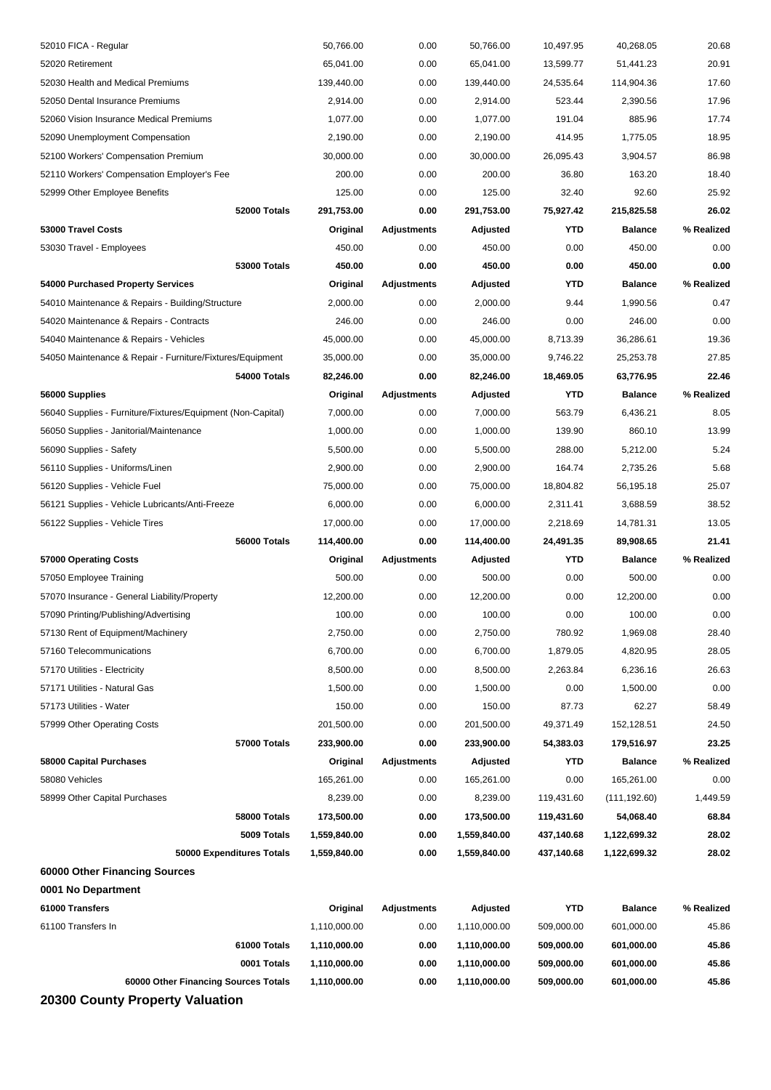| 58080 Vehicles<br>58999 Other Capital Purchases<br>58000 Totals<br>5009 Totals<br>50000 Expenditures Totals<br>0001 No Department<br>61000 Transfers<br>61100 Transfers In<br>61000 Totals<br>0001 Totals<br>60000 Other Financing Sources Totals | 165,261.00<br>8,239.00<br>173,500.00<br>1,559,840.00<br>1,559,840.00<br>Original<br>1,110,000.00<br>1,110,000.00<br>1,110,000.00<br>1,110,000.00 | 0.00<br>0.00<br>0.00<br>0.00<br>0.00<br><b>Adjustments</b><br>0.00<br>0.00<br>0.00<br>0.00 | 165,261.00<br>8,239.00<br>173,500.00<br>1,559,840.00<br>1,559,840.00<br>Adjusted<br>1,110,000.00<br>1,110,000.00<br>1,110,000.00<br>1,110,000.00 | 0.00<br>119,431.60<br>119,431.60<br>437,140.68<br>437,140.68<br><b>YTD</b><br>509,000.00<br>509,000.00<br>509,000.00<br>509,000.00 | 165,261.00<br>(111, 192.60)<br>54,068.40<br>1,122,699.32<br>1,122,699.32<br><b>Balance</b><br>601,000.00<br>601,000.00<br>601,000.00<br>601,000.00 | 0.00<br>1,449.59<br>68.84<br>28.02<br>28.02<br>% Realized<br>45.86<br>45.86<br>45.86<br>45.86 |
|---------------------------------------------------------------------------------------------------------------------------------------------------------------------------------------------------------------------------------------------------|--------------------------------------------------------------------------------------------------------------------------------------------------|--------------------------------------------------------------------------------------------|--------------------------------------------------------------------------------------------------------------------------------------------------|------------------------------------------------------------------------------------------------------------------------------------|----------------------------------------------------------------------------------------------------------------------------------------------------|-----------------------------------------------------------------------------------------------|
| 60000 Other Financing Sources                                                                                                                                                                                                                     |                                                                                                                                                  |                                                                                            |                                                                                                                                                  |                                                                                                                                    |                                                                                                                                                    |                                                                                               |
|                                                                                                                                                                                                                                                   |                                                                                                                                                  |                                                                                            |                                                                                                                                                  |                                                                                                                                    |                                                                                                                                                    |                                                                                               |
|                                                                                                                                                                                                                                                   |                                                                                                                                                  |                                                                                            |                                                                                                                                                  |                                                                                                                                    |                                                                                                                                                    |                                                                                               |
|                                                                                                                                                                                                                                                   |                                                                                                                                                  |                                                                                            |                                                                                                                                                  |                                                                                                                                    |                                                                                                                                                    |                                                                                               |
|                                                                                                                                                                                                                                                   |                                                                                                                                                  |                                                                                            |                                                                                                                                                  |                                                                                                                                    |                                                                                                                                                    |                                                                                               |
|                                                                                                                                                                                                                                                   |                                                                                                                                                  |                                                                                            |                                                                                                                                                  |                                                                                                                                    |                                                                                                                                                    |                                                                                               |
|                                                                                                                                                                                                                                                   |                                                                                                                                                  |                                                                                            |                                                                                                                                                  |                                                                                                                                    |                                                                                                                                                    |                                                                                               |
|                                                                                                                                                                                                                                                   |                                                                                                                                                  |                                                                                            |                                                                                                                                                  |                                                                                                                                    |                                                                                                                                                    |                                                                                               |
|                                                                                                                                                                                                                                                   |                                                                                                                                                  |                                                                                            |                                                                                                                                                  |                                                                                                                                    |                                                                                                                                                    |                                                                                               |
|                                                                                                                                                                                                                                                   |                                                                                                                                                  |                                                                                            |                                                                                                                                                  |                                                                                                                                    |                                                                                                                                                    |                                                                                               |
|                                                                                                                                                                                                                                                   |                                                                                                                                                  |                                                                                            |                                                                                                                                                  |                                                                                                                                    |                                                                                                                                                    |                                                                                               |
|                                                                                                                                                                                                                                                   |                                                                                                                                                  |                                                                                            |                                                                                                                                                  |                                                                                                                                    |                                                                                                                                                    |                                                                                               |
| <b>58000 Capital Purchases</b>                                                                                                                                                                                                                    | Original                                                                                                                                         | Adjustments                                                                                | Adjusted                                                                                                                                         | <b>YTD</b>                                                                                                                         | <b>Balance</b>                                                                                                                                     | % Realized                                                                                    |
| 57000 Totals                                                                                                                                                                                                                                      | 233,900.00                                                                                                                                       | 0.00                                                                                       | 233,900.00                                                                                                                                       | 54,383.03                                                                                                                          | 179,516.97                                                                                                                                         | 23.25                                                                                         |
| 57999 Other Operating Costs                                                                                                                                                                                                                       | 201,500.00                                                                                                                                       | 0.00                                                                                       | 201,500.00                                                                                                                                       | 49,371.49                                                                                                                          | 152,128.51                                                                                                                                         | 24.50                                                                                         |
|                                                                                                                                                                                                                                                   |                                                                                                                                                  |                                                                                            |                                                                                                                                                  |                                                                                                                                    |                                                                                                                                                    |                                                                                               |
| 57173 Utilities - Water                                                                                                                                                                                                                           | 150.00                                                                                                                                           | 0.00                                                                                       | 150.00                                                                                                                                           | 87.73                                                                                                                              | 62.27                                                                                                                                              | 58.49                                                                                         |
| 57171 Utilities - Natural Gas                                                                                                                                                                                                                     | 1,500.00                                                                                                                                         | 0.00                                                                                       | 1,500.00                                                                                                                                         | 0.00                                                                                                                               | 1,500.00                                                                                                                                           | 0.00                                                                                          |
| 57170 Utilities - Electricity                                                                                                                                                                                                                     | 8,500.00                                                                                                                                         | 0.00                                                                                       | 8,500.00                                                                                                                                         | 2,263.84                                                                                                                           | 6,236.16                                                                                                                                           | 26.63                                                                                         |
| 57160 Telecommunications                                                                                                                                                                                                                          | 6,700.00                                                                                                                                         | 0.00                                                                                       | 6,700.00                                                                                                                                         | 1,879.05                                                                                                                           | 4,820.95                                                                                                                                           | 28.05                                                                                         |
| 57130 Rent of Equipment/Machinery                                                                                                                                                                                                                 | 2,750.00                                                                                                                                         | 0.00                                                                                       | 2,750.00                                                                                                                                         | 780.92                                                                                                                             | 1,969.08                                                                                                                                           | 28.40                                                                                         |
| 57090 Printing/Publishing/Advertising                                                                                                                                                                                                             | 100.00                                                                                                                                           | 0.00                                                                                       | 100.00                                                                                                                                           | 0.00                                                                                                                               | 100.00                                                                                                                                             | 0.00                                                                                          |
| 57070 Insurance - General Liability/Property                                                                                                                                                                                                      | 12,200.00                                                                                                                                        | 0.00                                                                                       | 12,200.00                                                                                                                                        | 0.00                                                                                                                               | 12,200.00                                                                                                                                          | 0.00                                                                                          |
| 57050 Employee Training                                                                                                                                                                                                                           | 500.00                                                                                                                                           | 0.00                                                                                       | 500.00                                                                                                                                           | 0.00                                                                                                                               | 500.00                                                                                                                                             | 0.00                                                                                          |
| 57000 Operating Costs                                                                                                                                                                                                                             | Original                                                                                                                                         | Adjustments                                                                                | Adjusted                                                                                                                                         | YTD                                                                                                                                | <b>Balance</b>                                                                                                                                     | % Realized                                                                                    |
| 56000 Totals                                                                                                                                                                                                                                      | 114,400.00                                                                                                                                       | 0.00                                                                                       | 114,400.00                                                                                                                                       | 24,491.35                                                                                                                          | 89,908.65                                                                                                                                          | 21.41                                                                                         |
| 56122 Supplies - Vehicle Tires                                                                                                                                                                                                                    | 17,000.00                                                                                                                                        | 0.00                                                                                       | 17,000.00                                                                                                                                        | 2,218.69                                                                                                                           | 14,781.31                                                                                                                                          | 13.05                                                                                         |
| 56121 Supplies - Vehicle Lubricants/Anti-Freeze                                                                                                                                                                                                   | 6,000.00                                                                                                                                         | 0.00                                                                                       | 6,000.00                                                                                                                                         | 2,311.41                                                                                                                           | 3,688.59                                                                                                                                           | 38.52                                                                                         |
| 56120 Supplies - Vehicle Fuel                                                                                                                                                                                                                     | 75,000.00                                                                                                                                        | 0.00                                                                                       | 75,000.00                                                                                                                                        | 18,804.82                                                                                                                          | 56,195.18                                                                                                                                          | 25.07                                                                                         |
| 56110 Supplies - Uniforms/Linen                                                                                                                                                                                                                   | 2,900.00                                                                                                                                         | 0.00                                                                                       | 2,900.00                                                                                                                                         | 164.74                                                                                                                             | 2,735.26                                                                                                                                           | 5.68                                                                                          |
| 56090 Supplies - Safety                                                                                                                                                                                                                           | 5,500.00                                                                                                                                         | 0.00                                                                                       | 5,500.00                                                                                                                                         | 288.00                                                                                                                             | 5,212.00                                                                                                                                           | 5.24                                                                                          |
| 56050 Supplies - Janitorial/Maintenance                                                                                                                                                                                                           | 1,000.00                                                                                                                                         | 0.00                                                                                       | 1,000.00                                                                                                                                         | 139.90                                                                                                                             | 860.10                                                                                                                                             | 13.99                                                                                         |
| 56040 Supplies - Furniture/Fixtures/Equipment (Non-Capital)                                                                                                                                                                                       | 7,000.00                                                                                                                                         | 0.00                                                                                       | 7,000.00                                                                                                                                         | 563.79                                                                                                                             | 6,436.21                                                                                                                                           | 8.05                                                                                          |
| 56000 Supplies                                                                                                                                                                                                                                    | Original                                                                                                                                         | Adjustments                                                                                | Adjusted                                                                                                                                         | <b>YTD</b>                                                                                                                         | <b>Balance</b>                                                                                                                                     | % Realized                                                                                    |
| 54000 Totals                                                                                                                                                                                                                                      | 82,246.00                                                                                                                                        | 0.00                                                                                       | 82,246.00                                                                                                                                        | 18,469.05                                                                                                                          | 63,776.95                                                                                                                                          | 22.46                                                                                         |
| 54050 Maintenance & Repair - Furniture/Fixtures/Equipment                                                                                                                                                                                         | 35,000.00                                                                                                                                        | 0.00                                                                                       | 35,000.00                                                                                                                                        | 9,746.22                                                                                                                           | 25,253.78                                                                                                                                          | 27.85                                                                                         |
| 54040 Maintenance & Repairs - Vehicles                                                                                                                                                                                                            | 45,000.00                                                                                                                                        | 0.00                                                                                       | 45,000.00                                                                                                                                        | 8,713.39                                                                                                                           | 36,286.61                                                                                                                                          | 19.36                                                                                         |
| 54020 Maintenance & Repairs - Contracts                                                                                                                                                                                                           | 246.00                                                                                                                                           | 0.00                                                                                       | 246.00                                                                                                                                           | 0.00                                                                                                                               | 246.00                                                                                                                                             | 0.00                                                                                          |
| 54010 Maintenance & Repairs - Building/Structure                                                                                                                                                                                                  | 2,000.00                                                                                                                                         | 0.00                                                                                       | 2,000.00                                                                                                                                         | 9.44                                                                                                                               | 1,990.56                                                                                                                                           | 0.47                                                                                          |
| 54000 Purchased Property Services                                                                                                                                                                                                                 | Original                                                                                                                                         | <b>Adjustments</b>                                                                         | Adjusted                                                                                                                                         | YTD                                                                                                                                | <b>Balance</b>                                                                                                                                     | % Realized                                                                                    |
| 53000 Totals                                                                                                                                                                                                                                      | 450.00                                                                                                                                           | 0.00                                                                                       | 450.00                                                                                                                                           | 0.00                                                                                                                               | 450.00                                                                                                                                             | 0.00                                                                                          |
| 53030 Travel - Employees                                                                                                                                                                                                                          | 450.00                                                                                                                                           | 0.00                                                                                       | 450.00                                                                                                                                           | 0.00                                                                                                                               | 450.00                                                                                                                                             | 0.00                                                                                          |
| 53000 Travel Costs                                                                                                                                                                                                                                | Original                                                                                                                                         | Adjustments                                                                                | Adjusted                                                                                                                                         | <b>YTD</b>                                                                                                                         | <b>Balance</b>                                                                                                                                     | % Realized                                                                                    |
| 52000 Totals                                                                                                                                                                                                                                      | 291,753.00                                                                                                                                       | 0.00                                                                                       | 291,753.00                                                                                                                                       | 75,927.42                                                                                                                          | 215,825.58                                                                                                                                         | 26.02                                                                                         |
| 52999 Other Employee Benefits                                                                                                                                                                                                                     | 125.00                                                                                                                                           | 0.00                                                                                       | 125.00                                                                                                                                           | 32.40                                                                                                                              | 92.60                                                                                                                                              | 25.92                                                                                         |
| 52110 Workers' Compensation Employer's Fee                                                                                                                                                                                                        | 200.00                                                                                                                                           | 0.00                                                                                       | 200.00                                                                                                                                           | 36.80                                                                                                                              | 163.20                                                                                                                                             | 18.40                                                                                         |
| 52100 Workers' Compensation Premium                                                                                                                                                                                                               | 30,000.00                                                                                                                                        | 0.00                                                                                       | 30,000.00                                                                                                                                        | 26,095.43                                                                                                                          | 3,904.57                                                                                                                                           | 86.98                                                                                         |
| 52090 Unemployment Compensation                                                                                                                                                                                                                   | 2,190.00                                                                                                                                         | 0.00                                                                                       | 2,190.00                                                                                                                                         | 414.95                                                                                                                             | 1,775.05                                                                                                                                           | 18.95                                                                                         |
| 52060 Vision Insurance Medical Premiums                                                                                                                                                                                                           | 1,077.00                                                                                                                                         | 0.00                                                                                       | 1,077.00                                                                                                                                         | 191.04                                                                                                                             | 885.96                                                                                                                                             | 17.74                                                                                         |
| 52050 Dental Insurance Premiums                                                                                                                                                                                                                   | 2,914.00                                                                                                                                         | 0.00                                                                                       | 2,914.00                                                                                                                                         | 523.44                                                                                                                             | 2,390.56                                                                                                                                           | 17.96                                                                                         |
| 52030 Health and Medical Premiums                                                                                                                                                                                                                 | 139,440.00                                                                                                                                       | 0.00                                                                                       | 139,440.00                                                                                                                                       | 24,535.64                                                                                                                          | 114,904.36                                                                                                                                         | 17.60                                                                                         |
|                                                                                                                                                                                                                                                   | 65,041.00                                                                                                                                        | 0.00                                                                                       | 65,041.00                                                                                                                                        | 13,599.77                                                                                                                          | 51,441.23                                                                                                                                          | 20.91                                                                                         |
| 52020 Retirement                                                                                                                                                                                                                                  |                                                                                                                                                  |                                                                                            |                                                                                                                                                  |                                                                                                                                    |                                                                                                                                                    |                                                                                               |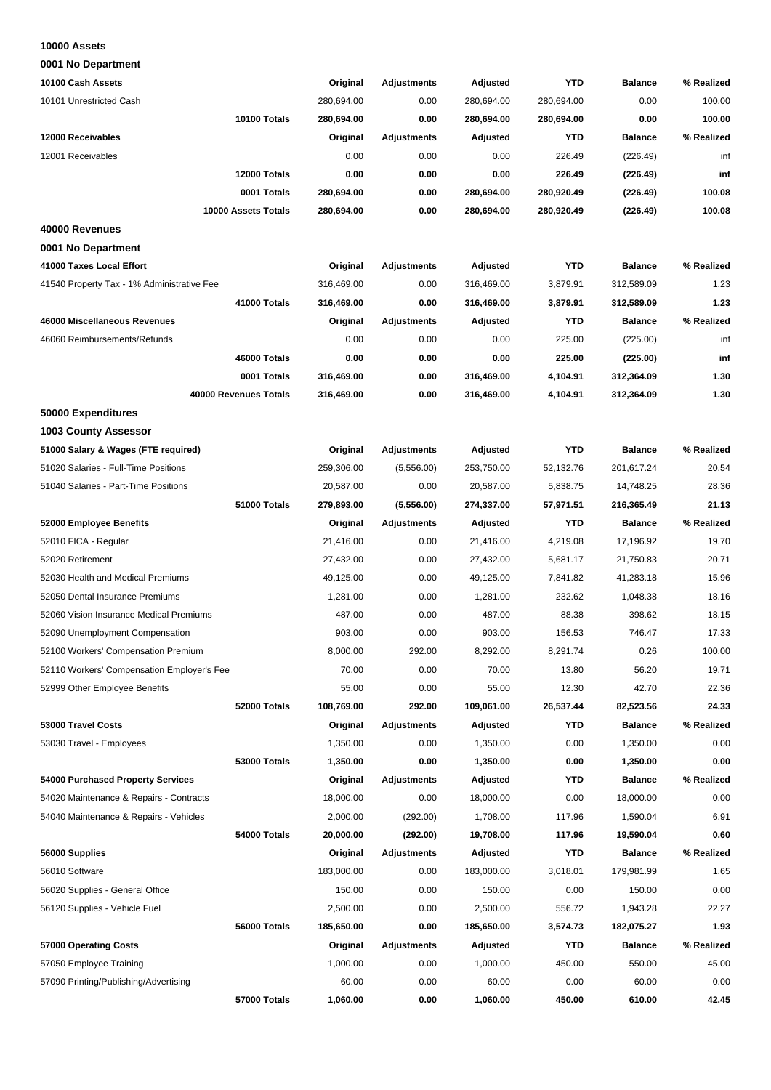#### **10000 Assets**

**0001 No Department**

| 10100 Cash Assets                          | Original   | <b>Adjustments</b> | Adjusted   | <b>YTD</b> | <b>Balance</b> | % Realized |
|--------------------------------------------|------------|--------------------|------------|------------|----------------|------------|
| 10101 Unrestricted Cash                    | 280,694.00 | 0.00               | 280,694.00 | 280,694.00 | 0.00           | 100.00     |
| 10100 Totals                               | 280,694.00 | 0.00               | 280,694.00 | 280,694.00 | 0.00           | 100.00     |
| 12000 Receivables                          | Original   | <b>Adjustments</b> | Adjusted   | <b>YTD</b> | <b>Balance</b> | % Realized |
| 12001 Receivables                          | 0.00       | 0.00               | 0.00       | 226.49     | (226.49)       | inf        |
| 12000 Totals                               | 0.00       | 0.00               | 0.00       | 226.49     | (226.49)       | inf        |
| 0001 Totals                                | 280,694.00 | 0.00               | 280,694.00 | 280,920.49 | (226.49)       | 100.08     |
| 10000 Assets Totals                        | 280,694.00 | 0.00               | 280,694.00 | 280,920.49 | (226.49)       | 100.08     |
| 40000 Revenues                             |            |                    |            |            |                |            |
| 0001 No Department                         |            |                    |            |            |                |            |
| 41000 Taxes Local Effort                   | Original   | <b>Adjustments</b> | Adjusted   | <b>YTD</b> | <b>Balance</b> | % Realized |
| 41540 Property Tax - 1% Administrative Fee | 316,469.00 | 0.00               | 316,469.00 | 3,879.91   | 312,589.09     | 1.23       |
| 41000 Totals                               | 316,469.00 | 0.00               | 316,469.00 | 3,879.91   | 312,589.09     | 1.23       |
| 46000 Miscellaneous Revenues               | Original   | <b>Adjustments</b> | Adjusted   | <b>YTD</b> | <b>Balance</b> | % Realized |
| 46060 Reimbursements/Refunds               | 0.00       | 0.00               | 0.00       | 225.00     | (225.00)       | inf        |
| 46000 Totals                               | 0.00       | 0.00               | 0.00       | 225.00     | (225.00)       | inf        |
| 0001 Totals                                | 316,469.00 | 0.00               | 316,469.00 | 4,104.91   | 312,364.09     | 1.30       |
| 40000 Revenues Totals                      | 316,469.00 | 0.00               | 316,469.00 | 4,104.91   | 312,364.09     | 1.30       |
| 50000 Expenditures                         |            |                    |            |            |                |            |
| 1003 County Assessor                       |            |                    |            |            |                |            |
| 51000 Salary & Wages (FTE required)        | Original   | <b>Adjustments</b> | Adjusted   | <b>YTD</b> | <b>Balance</b> | % Realized |
| 51020 Salaries - Full-Time Positions       | 259,306.00 | (5,556.00)         | 253,750.00 | 52,132.76  | 201,617.24     | 20.54      |
| 51040 Salaries - Part-Time Positions       | 20,587.00  | 0.00               | 20,587.00  | 5,838.75   | 14,748.25      | 28.36      |
| 51000 Totals                               | 279,893.00 | (5,556.00)         | 274,337.00 | 57,971.51  | 216,365.49     | 21.13      |
| 52000 Employee Benefits                    | Original   | <b>Adjustments</b> | Adjusted   | <b>YTD</b> | <b>Balance</b> | % Realized |
| 52010 FICA - Regular                       | 21,416.00  | 0.00               | 21,416.00  | 4,219.08   | 17,196.92      | 19.70      |
| 52020 Retirement                           | 27,432.00  | 0.00               | 27,432.00  | 5,681.17   | 21,750.83      | 20.71      |
| 52030 Health and Medical Premiums          | 49,125.00  | 0.00               | 49,125.00  | 7,841.82   | 41,283.18      | 15.96      |
| 52050 Dental Insurance Premiums            | 1,281.00   | 0.00               | 1,281.00   | 232.62     | 1,048.38       | 18.16      |
| 52060 Vision Insurance Medical Premiums    | 487.00     | 0.00               | 487.00     | 88.38      | 398.62         | 18.15      |
|                                            | 903.00     | 0.00               |            |            |                | 17.33      |
| 52090 Unemployment Compensation            |            |                    | 903.00     | 156.53     | 746.47         |            |
| 52100 Workers' Compensation Premium        | 8,000.00   | 292.00             | 8,292.00   | 8,291.74   | 0.26           | 100.00     |
| 52110 Workers' Compensation Employer's Fee | 70.00      | 0.00               | 70.00      | 13.80      | 56.20          | 19.71      |
| 52999 Other Employee Benefits              | 55.00      | 0.00               | 55.00      | 12.30      | 42.70          | 22.36      |
| 52000 Totals                               | 108,769.00 | 292.00             | 109,061.00 | 26,537.44  | 82,523.56      | 24.33      |
| 53000 Travel Costs                         | Original   | <b>Adjustments</b> | Adjusted   | YTD        | <b>Balance</b> | % Realized |
| 53030 Travel - Employees                   | 1,350.00   | 0.00               | 1,350.00   | 0.00       | 1,350.00       | 0.00       |
| <b>53000 Totals</b>                        | 1,350.00   | 0.00               | 1,350.00   | 0.00       | 1,350.00       | 0.00       |
| 54000 Purchased Property Services          | Original   | <b>Adjustments</b> | Adjusted   | <b>YTD</b> | <b>Balance</b> | % Realized |
| 54020 Maintenance & Repairs - Contracts    | 18,000.00  | 0.00               | 18,000.00  | 0.00       | 18,000.00      | 0.00       |
| 54040 Maintenance & Repairs - Vehicles     | 2,000.00   | (292.00)           | 1,708.00   | 117.96     | 1,590.04       | 6.91       |
| 54000 Totals                               | 20,000.00  | (292.00)           | 19,708.00  | 117.96     | 19,590.04      | 0.60       |
| 56000 Supplies                             | Original   | <b>Adjustments</b> | Adjusted   | YTD        | <b>Balance</b> | % Realized |
| 56010 Software                             | 183,000.00 | 0.00               | 183,000.00 | 3,018.01   | 179,981.99     | 1.65       |
| 56020 Supplies - General Office            | 150.00     | 0.00               | 150.00     | 0.00       | 150.00         | 0.00       |
| 56120 Supplies - Vehicle Fuel              | 2,500.00   | 0.00               | 2,500.00   | 556.72     | 1,943.28       | 22.27      |
| 56000 Totals                               | 185,650.00 | 0.00               | 185,650.00 | 3,574.73   | 182,075.27     | 1.93       |
| 57000 Operating Costs                      | Original   | <b>Adjustments</b> | Adjusted   | <b>YTD</b> | <b>Balance</b> | % Realized |
| 57050 Employee Training                    | 1,000.00   | 0.00               | 1,000.00   | 450.00     | 550.00         | 45.00      |
| 57090 Printing/Publishing/Advertising      | 60.00      | 0.00               | 60.00      | 0.00       | 60.00          | 0.00       |
| 57000 Totals                               | 1,060.00   | 0.00               | 1,060.00   | 450.00     | 610.00         | 42.45      |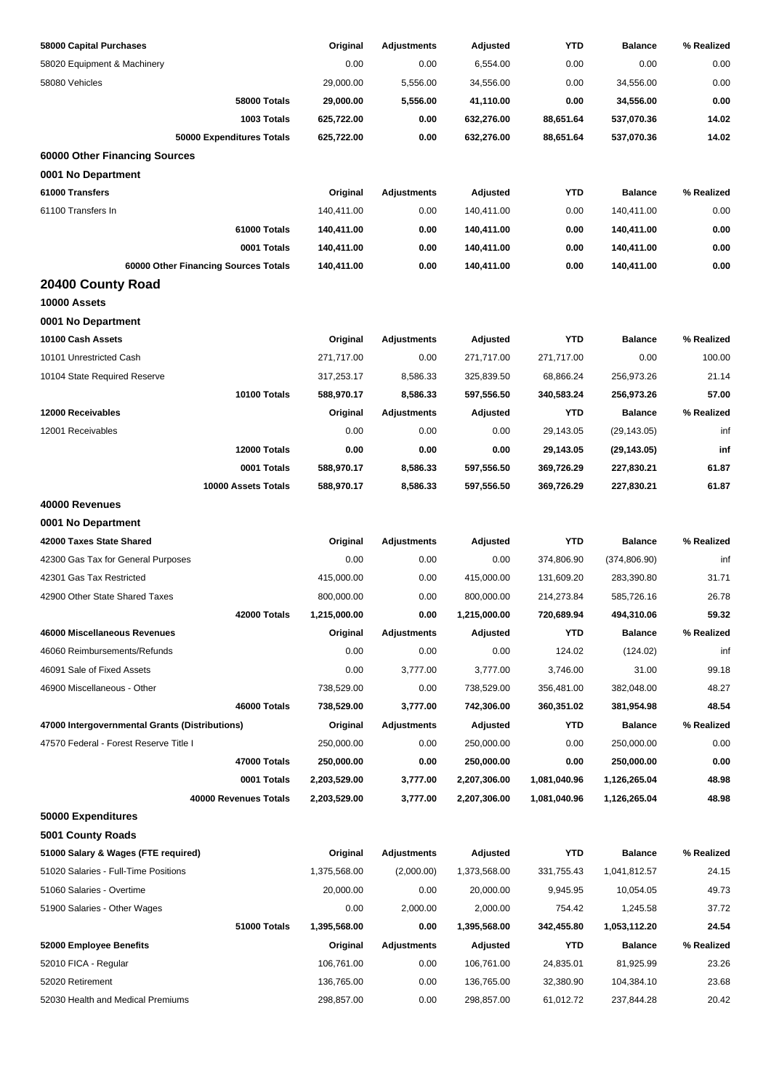| 58000 Capital Purchases                        | Original     | <b>Adjustments</b> | Adjusted     | YTD          | <b>Balance</b> | % Realized |
|------------------------------------------------|--------------|--------------------|--------------|--------------|----------------|------------|
| 58020 Equipment & Machinery                    | 0.00         | 0.00               | 6,554.00     | 0.00         | 0.00           | 0.00       |
| 58080 Vehicles                                 | 29,000.00    | 5,556.00           | 34,556.00    | 0.00         | 34,556.00      | 0.00       |
| <b>58000 Totals</b>                            | 29,000.00    | 5,556.00           | 41,110.00    | 0.00         | 34,556.00      | 0.00       |
| 1003 Totals                                    | 625,722.00   | 0.00               | 632,276.00   | 88,651.64    | 537,070.36     | 14.02      |
| 50000 Expenditures Totals                      | 625,722.00   | 0.00               | 632,276.00   | 88,651.64    | 537,070.36     | 14.02      |
| 60000 Other Financing Sources                  |              |                    |              |              |                |            |
| 0001 No Department                             |              |                    |              |              |                |            |
| 61000 Transfers                                | Original     | <b>Adjustments</b> | Adjusted     | <b>YTD</b>   | <b>Balance</b> | % Realized |
| 61100 Transfers In                             | 140,411.00   | 0.00               | 140,411.00   | 0.00         | 140,411.00     | 0.00       |
| 61000 Totals                                   | 140,411.00   | 0.00               | 140,411.00   | 0.00         | 140,411.00     | 0.00       |
| 0001 Totals                                    | 140,411.00   | 0.00               | 140,411.00   | 0.00         | 140,411.00     | 0.00       |
| 60000 Other Financing Sources Totals           | 140,411.00   | 0.00               | 140,411.00   | 0.00         | 140,411.00     | 0.00       |
| 20400 County Road                              |              |                    |              |              |                |            |
| 10000 Assets                                   |              |                    |              |              |                |            |
| 0001 No Department                             |              |                    |              |              |                |            |
| 10100 Cash Assets                              | Original     | <b>Adjustments</b> | Adjusted     | <b>YTD</b>   | <b>Balance</b> | % Realized |
| 10101 Unrestricted Cash                        | 271,717.00   | 0.00               | 271,717.00   | 271,717.00   | 0.00           | 100.00     |
| 10104 State Required Reserve                   | 317,253.17   | 8,586.33           | 325,839.50   | 68,866.24    | 256,973.26     | 21.14      |
| 10100 Totals                                   | 588,970.17   | 8,586.33           | 597,556.50   | 340,583.24   | 256,973.26     | 57.00      |
| 12000 Receivables                              | Original     | <b>Adjustments</b> | Adjusted     | <b>YTD</b>   | <b>Balance</b> | % Realized |
| 12001 Receivables                              | 0.00         | 0.00               | 0.00         | 29,143.05    | (29, 143.05)   | inf        |
| 12000 Totals                                   | 0.00         | 0.00               | 0.00         | 29,143.05    | (29, 143.05)   | inf        |
| 0001 Totals                                    | 588,970.17   | 8,586.33           | 597,556.50   | 369,726.29   | 227,830.21     | 61.87      |
| 10000 Assets Totals                            | 588,970.17   | 8,586.33           | 597,556.50   | 369,726.29   | 227,830.21     | 61.87      |
| 40000 Revenues                                 |              |                    |              |              |                |            |
| 0001 No Department                             |              |                    |              |              |                |            |
| 42000 Taxes State Shared                       | Original     | <b>Adjustments</b> | Adjusted     | <b>YTD</b>   | <b>Balance</b> | % Realized |
| 42300 Gas Tax for General Purposes             | 0.00         | 0.00               | 0.00         | 374,806.90   | (374, 806.90)  | inf        |
| 42301 Gas Tax Restricted                       | 415,000.00   | 0.00               | 415,000.00   | 131,609.20   | 283,390.80     | 31.71      |
| 42900 Other State Shared Taxes                 | 800,000.00   | 0.00               | 800,000.00   | 214,273.84   | 585,726.16     | 26.78      |
| 42000 Totals                                   | 1,215,000.00 | 0.00               | 1,215,000.00 | 720.689.94   | 494,310.06     | 59.32      |
| 46000 Miscellaneous Revenues                   | Original     | <b>Adjustments</b> | Adjusted     | <b>YTD</b>   | <b>Balance</b> | % Realized |
| 46060 Reimbursements/Refunds                   | 0.00         | 0.00               | 0.00         | 124.02       | (124.02)       | inf        |
| 46091 Sale of Fixed Assets                     | 0.00         | 3,777.00           | 3,777.00     | 3,746.00     | 31.00          | 99.18      |
| 46900 Miscellaneous - Other                    | 738,529.00   | 0.00               | 738,529.00   | 356,481.00   | 382,048.00     | 48.27      |
| 46000 Totals                                   | 738,529.00   | 3,777.00           | 742,306.00   | 360,351.02   | 381,954.98     | 48.54      |
| 47000 Intergovernmental Grants (Distributions) | Original     | <b>Adjustments</b> | Adjusted     | <b>YTD</b>   | <b>Balance</b> | % Realized |
| 47570 Federal - Forest Reserve Title I         | 250,000.00   | 0.00               | 250,000.00   | 0.00         | 250,000.00     | 0.00       |
| 47000 Totals                                   | 250,000.00   | 0.00               | 250,000.00   | 0.00         | 250,000.00     | 0.00       |
| 0001 Totals                                    | 2,203,529.00 | 3,777.00           | 2,207,306.00 | 1,081,040.96 | 1,126,265.04   | 48.98      |
| 40000 Revenues Totals                          | 2,203,529.00 | 3,777.00           | 2,207,306.00 | 1,081,040.96 | 1,126,265.04   | 48.98      |
| 50000 Expenditures                             |              |                    |              |              |                |            |
| 5001 County Roads                              |              |                    |              |              |                |            |
| 51000 Salary & Wages (FTE required)            | Original     | <b>Adjustments</b> | Adjusted     | <b>YTD</b>   | <b>Balance</b> | % Realized |
| 51020 Salaries - Full-Time Positions           | 1,375,568.00 | (2,000.00)         | 1,373,568.00 | 331,755.43   | 1,041,812.57   | 24.15      |
| 51060 Salaries - Overtime                      | 20,000.00    | 0.00               | 20,000.00    | 9,945.95     | 10,054.05      | 49.73      |
| 51900 Salaries - Other Wages                   | 0.00         | 2,000.00           | 2,000.00     | 754.42       | 1,245.58       | 37.72      |
| 51000 Totals                                   | 1,395,568.00 | 0.00               | 1,395,568.00 | 342,455.80   | 1,053,112.20   | 24.54      |
| 52000 Employee Benefits                        | Original     | <b>Adjustments</b> | Adjusted     | <b>YTD</b>   | <b>Balance</b> | % Realized |
| 52010 FICA - Regular                           | 106,761.00   | 0.00               | 106,761.00   | 24,835.01    | 81,925.99      | 23.26      |
| 52020 Retirement                               | 136,765.00   | 0.00               | 136,765.00   | 32,380.90    | 104,384.10     | 23.68      |
| 52030 Health and Medical Premiums              | 298,857.00   | 0.00               | 298,857.00   | 61,012.72    | 237,844.28     | 20.42      |
|                                                |              |                    |              |              |                |            |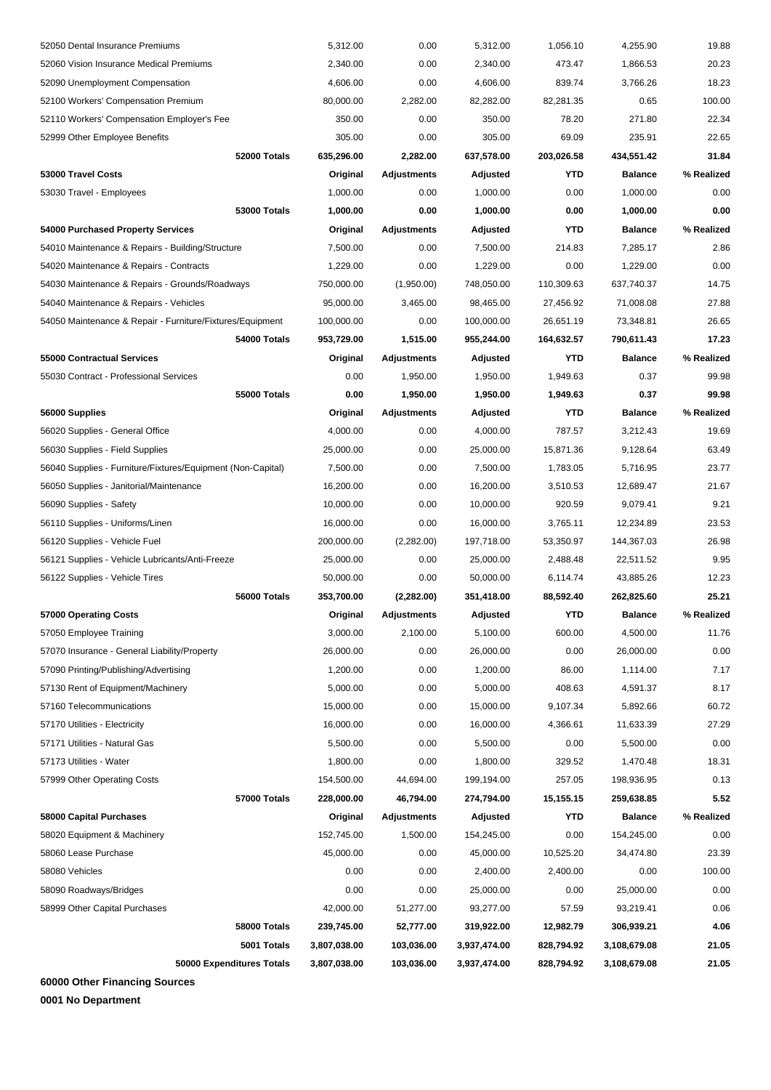| 52050 Dental Insurance Premiums                             |                           | 5,312.00     | 0.00               | 5,312.00     | 1,056.10   | 4,255.90       | 19.88      |
|-------------------------------------------------------------|---------------------------|--------------|--------------------|--------------|------------|----------------|------------|
| 52060 Vision Insurance Medical Premiums                     |                           | 2,340.00     | 0.00               | 2,340.00     | 473.47     | 1,866.53       | 20.23      |
| 52090 Unemployment Compensation                             |                           | 4,606.00     | 0.00               | 4,606.00     | 839.74     | 3,766.26       | 18.23      |
| 52100 Workers' Compensation Premium                         |                           | 80,000.00    | 2,282.00           | 82,282.00    | 82,281.35  | 0.65           | 100.00     |
| 52110 Workers' Compensation Employer's Fee                  |                           | 350.00       | 0.00               | 350.00       | 78.20      | 271.80         | 22.34      |
| 52999 Other Employee Benefits                               |                           | 305.00       | 0.00               | 305.00       | 69.09      | 235.91         | 22.65      |
|                                                             | 52000 Totals              | 635,296.00   | 2,282.00           | 637,578.00   | 203,026.58 | 434,551.42     | 31.84      |
| 53000 Travel Costs                                          |                           | Original     | <b>Adjustments</b> | Adjusted     | <b>YTD</b> | <b>Balance</b> | % Realized |
| 53030 Travel - Employees                                    |                           | 1,000.00     | 0.00               | 1,000.00     | 0.00       | 1.000.00       | 0.00       |
|                                                             | <b>53000 Totals</b>       | 1,000.00     | 0.00               | 1,000.00     | 0.00       | 1,000.00       | 0.00       |
| 54000 Purchased Property Services                           |                           | Original     | <b>Adjustments</b> | Adjusted     | YTD        | <b>Balance</b> | % Realized |
| 54010 Maintenance & Repairs - Building/Structure            |                           | 7,500.00     | 0.00               | 7,500.00     | 214.83     | 7,285.17       | 2.86       |
| 54020 Maintenance & Repairs - Contracts                     |                           | 1,229.00     | 0.00               | 1,229.00     | 0.00       | 1,229.00       | 0.00       |
| 54030 Maintenance & Repairs - Grounds/Roadways              |                           | 750,000.00   | (1,950.00)         | 748,050.00   | 110,309.63 | 637,740.37     | 14.75      |
| 54040 Maintenance & Repairs - Vehicles                      |                           | 95,000.00    | 3,465.00           | 98,465.00    | 27,456.92  | 71,008.08      | 27.88      |
| 54050 Maintenance & Repair - Furniture/Fixtures/Equipment   |                           | 100,000.00   | 0.00               | 100,000.00   | 26,651.19  | 73,348.81      | 26.65      |
|                                                             | 54000 Totals              | 953,729.00   | 1,515.00           | 955,244.00   | 164,632.57 | 790,611.43     | 17.23      |
| 55000 Contractual Services                                  |                           | Original     | <b>Adjustments</b> | Adjusted     | YTD        | <b>Balance</b> | % Realized |
| 55030 Contract - Professional Services                      |                           | 0.00         | 1,950.00           | 1,950.00     | 1,949.63   | 0.37           | 99.98      |
|                                                             | <b>55000 Totals</b>       | 0.00         | 1,950.00           | 1,950.00     | 1,949.63   | 0.37           | 99.98      |
| 56000 Supplies                                              |                           | Original     | Adjustments        | Adjusted     | YTD        | <b>Balance</b> | % Realized |
| 56020 Supplies - General Office                             |                           | 4,000.00     | 0.00               | 4,000.00     | 787.57     | 3,212.43       | 19.69      |
| 56030 Supplies - Field Supplies                             |                           | 25,000.00    | 0.00               | 25,000.00    | 15,871.36  | 9,128.64       | 63.49      |
| 56040 Supplies - Furniture/Fixtures/Equipment (Non-Capital) |                           | 7,500.00     | 0.00               | 7,500.00     | 1,783.05   | 5,716.95       | 23.77      |
| 56050 Supplies - Janitorial/Maintenance                     |                           | 16,200.00    | 0.00               | 16,200.00    | 3,510.53   | 12,689.47      | 21.67      |
| 56090 Supplies - Safety                                     |                           | 10,000.00    | 0.00               | 10,000.00    | 920.59     | 9,079.41       | 9.21       |
| 56110 Supplies - Uniforms/Linen                             |                           | 16,000.00    | 0.00               | 16,000.00    | 3,765.11   | 12,234.89      | 23.53      |
| 56120 Supplies - Vehicle Fuel                               |                           | 200,000.00   | (2,282.00)         | 197,718.00   | 53,350.97  | 144,367.03     | 26.98      |
| 56121 Supplies - Vehicle Lubricants/Anti-Freeze             |                           | 25,000.00    | 0.00               | 25,000.00    | 2,488.48   | 22,511.52      | 9.95       |
| 56122 Supplies - Vehicle Tires                              |                           | 50,000.00    | 0.00               | 50,000.00    | 6,114.74   | 43,885.26      | 12.23      |
|                                                             | 56000 Totals              | 353,700.00   | (2,282.00)         | 351,418.00   | 88,592.40  | 262,825.60     | 25.21      |
| 57000 Operating Costs                                       |                           | Original     | Adjustments        | Adjusted     | <b>YTD</b> | <b>Balance</b> | % Realized |
| 57050 Employee Training                                     |                           | 3,000.00     | 2,100.00           | 5,100.00     | 600.00     | 4,500.00       | 11.76      |
| 57070 Insurance - General Liability/Property                |                           | 26,000.00    | 0.00               | 26,000.00    | 0.00       | 26,000.00      | 0.00       |
| 57090 Printing/Publishing/Advertising                       |                           | 1,200.00     | 0.00               | 1,200.00     | 86.00      | 1,114.00       | 7.17       |
| 57130 Rent of Equipment/Machinery                           |                           | 5,000.00     | 0.00               | 5,000.00     | 408.63     | 4,591.37       | 8.17       |
| 57160 Telecommunications                                    |                           | 15,000.00    | 0.00               | 15,000.00    | 9,107.34   | 5,892.66       | 60.72      |
| 57170 Utilities - Electricity                               |                           | 16,000.00    | 0.00               | 16,000.00    | 4,366.61   | 11,633.39      | 27.29      |
| 57171 Utilities - Natural Gas                               |                           | 5,500.00     | 0.00               | 5,500.00     | 0.00       | 5,500.00       | 0.00       |
| 57173 Utilities - Water                                     |                           | 1,800.00     | 0.00               | 1,800.00     | 329.52     | 1,470.48       | 18.31      |
| 57999 Other Operating Costs                                 |                           | 154,500.00   | 44,694.00          | 199,194.00   | 257.05     | 198,936.95     | 0.13       |
|                                                             | 57000 Totals              | 228,000.00   | 46,794.00          | 274,794.00   | 15,155.15  | 259,638.85     | 5.52       |
| 58000 Capital Purchases                                     |                           | Original     | <b>Adjustments</b> | Adjusted     | YTD        | <b>Balance</b> | % Realized |
| 58020 Equipment & Machinery                                 |                           | 152,745.00   | 1,500.00           | 154,245.00   | 0.00       | 154,245.00     | 0.00       |
| 58060 Lease Purchase                                        |                           | 45,000.00    | 0.00               | 45,000.00    | 10,525.20  | 34,474.80      | 23.39      |
| 58080 Vehicles                                              |                           | 0.00         | 0.00               | 2,400.00     | 2,400.00   | 0.00           | 100.00     |
| 58090 Roadways/Bridges                                      |                           | 0.00         | 0.00               | 25,000.00    | 0.00       | 25,000.00      | 0.00       |
| 58999 Other Capital Purchases                               |                           | 42,000.00    | 51,277.00          | 93,277.00    | 57.59      | 93,219.41      | 0.06       |
|                                                             | 58000 Totals              | 239,745.00   | 52,777.00          | 319,922.00   | 12,982.79  | 306,939.21     | 4.06       |
|                                                             | 5001 Totals               | 3,807,038.00 | 103,036.00         | 3,937,474.00 | 828,794.92 | 3,108,679.08   | 21.05      |
|                                                             | 50000 Expenditures Totals | 3,807,038.00 | 103,036.00         | 3,937,474.00 | 828,794.92 | 3,108,679.08   | 21.05      |
|                                                             |                           |              |                    |              |            |                |            |

**60000 Other Financing Sources**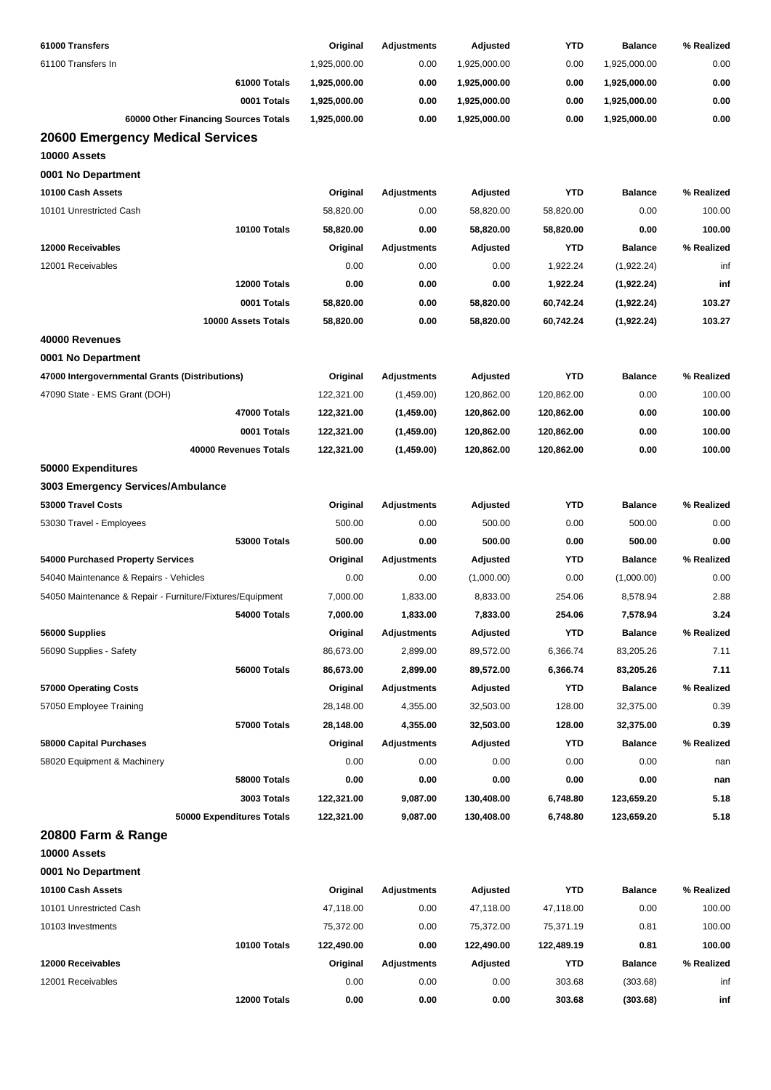| 61000 Transfers                                           | Original     | <b>Adjustments</b> | Adjusted     | YTD        | <b>Balance</b> | % Realized |
|-----------------------------------------------------------|--------------|--------------------|--------------|------------|----------------|------------|
| 61100 Transfers In                                        | 1,925,000.00 | 0.00               | 1,925,000.00 | 0.00       | 1,925,000.00   | 0.00       |
| 61000 Totals                                              | 1,925,000.00 | 0.00               | 1,925,000.00 | 0.00       | 1,925,000.00   | 0.00       |
| 0001 Totals                                               | 1,925,000.00 | 0.00               | 1,925,000.00 | 0.00       | 1,925,000.00   | 0.00       |
| 60000 Other Financing Sources Totals                      | 1,925,000.00 | 0.00               | 1,925,000.00 | 0.00       | 1,925,000.00   | 0.00       |
| <b>20600 Emergency Medical Services</b>                   |              |                    |              |            |                |            |
| 10000 Assets                                              |              |                    |              |            |                |            |
| 0001 No Department                                        |              |                    |              |            |                |            |
| 10100 Cash Assets                                         | Original     | <b>Adjustments</b> | Adjusted     | <b>YTD</b> | <b>Balance</b> | % Realized |
| 10101 Unrestricted Cash                                   | 58,820.00    | 0.00               | 58,820.00    | 58,820.00  | 0.00           | 100.00     |
| 10100 Totals                                              | 58,820.00    | 0.00               | 58,820.00    | 58,820.00  | 0.00           | 100.00     |
| 12000 Receivables                                         | Original     | <b>Adjustments</b> | Adjusted     | <b>YTD</b> | <b>Balance</b> | % Realized |
| 12001 Receivables                                         | 0.00         | 0.00               | 0.00         | 1,922.24   | (1,922.24)     | inf        |
| 12000 Totals                                              | 0.00         | 0.00               | 0.00         | 1,922.24   | (1,922.24)     | inf        |
| 0001 Totals                                               | 58,820.00    | 0.00               | 58,820.00    | 60,742.24  | (1,922.24)     | 103.27     |
| 10000 Assets Totals                                       | 58,820.00    | 0.00               | 58,820.00    | 60,742.24  | (1,922.24)     | 103.27     |
| 40000 Revenues                                            |              |                    |              |            |                |            |
| 0001 No Department                                        |              |                    |              |            |                |            |
| 47000 Intergovernmental Grants (Distributions)            | Original     | <b>Adjustments</b> | Adjusted     | <b>YTD</b> | <b>Balance</b> | % Realized |
| 47090 State - EMS Grant (DOH)                             | 122,321.00   | (1,459.00)         | 120,862.00   | 120,862.00 | 0.00           | 100.00     |
| 47000 Totals                                              | 122,321.00   | (1,459.00)         | 120,862.00   | 120,862.00 | 0.00           | 100.00     |
| 0001 Totals                                               | 122,321.00   | (1,459.00)         | 120,862.00   | 120,862.00 | 0.00           | 100.00     |
| 40000 Revenues Totals                                     | 122,321.00   | (1,459.00)         | 120,862.00   | 120,862.00 | 0.00           | 100.00     |
| 50000 Expenditures                                        |              |                    |              |            |                |            |
| 3003 Emergency Services/Ambulance                         |              |                    |              |            |                |            |
| 53000 Travel Costs                                        | Original     | <b>Adjustments</b> | Adjusted     | <b>YTD</b> | <b>Balance</b> | % Realized |
| 53030 Travel - Employees                                  | 500.00       | 0.00               | 500.00       | 0.00       | 500.00         | 0.00       |
| <b>53000 Totals</b>                                       | 500.00       | 0.00               | 500.00       | 0.00       | 500.00         | 0.00       |
| 54000 Purchased Property Services                         | Original     | <b>Adjustments</b> | Adjusted     | YTD        | <b>Balance</b> | % Realized |
| 54040 Maintenance & Repairs - Vehicles                    | 0.00         | 0.00               | (1,000.00)   | 0.00       | (1,000.00)     | 0.00       |
| 54050 Maintenance & Repair - Furniture/Fixtures/Equipment | 7,000.00     | 1,833.00           | 8,833.00     | 254.06     | 8,578.94       | 2.88       |
| 54000 Totals                                              | 7,000.00     | 1,833.00           | 7,833.00     | 254.06     | 7,578.94       | 3.24       |
| 56000 Supplies                                            | Original     | <b>Adjustments</b> | Adjusted     | <b>YTD</b> | <b>Balance</b> | % Realized |
| 56090 Supplies - Safety                                   | 86,673.00    | 2,899.00           | 89,572.00    | 6,366.74   | 83,205.26      | 7.11       |
| 56000 Totals                                              | 86,673.00    | 2,899.00           | 89,572.00    | 6,366.74   | 83,205.26      | 7.11       |
| 57000 Operating Costs                                     | Original     | <b>Adjustments</b> | Adjusted     | <b>YTD</b> | <b>Balance</b> | % Realized |
| 57050 Employee Training                                   | 28,148.00    | 4,355.00           | 32,503.00    | 128.00     | 32,375.00      | 0.39       |
| 57000 Totals                                              | 28,148.00    | 4,355.00           | 32,503.00    | 128.00     | 32,375.00      | 0.39       |
| 58000 Capital Purchases                                   | Original     | <b>Adjustments</b> | Adjusted     | <b>YTD</b> | <b>Balance</b> | % Realized |
| 58020 Equipment & Machinery                               | 0.00         | 0.00               | 0.00         | 0.00       | 0.00           | nan        |
| 58000 Totals                                              | 0.00         | 0.00               | 0.00         | 0.00       | 0.00           | nan        |
| 3003 Totals                                               | 122,321.00   | 9,087.00           | 130,408.00   | 6,748.80   | 123,659.20     | 5.18       |
| 50000 Expenditures Totals                                 | 122,321.00   | 9,087.00           | 130,408.00   | 6,748.80   | 123,659.20     | 5.18       |
| 20800 Farm & Range                                        |              |                    |              |            |                |            |
| 10000 Assets                                              |              |                    |              |            |                |            |
| 0001 No Department                                        |              |                    |              |            |                |            |
| 10100 Cash Assets                                         | Original     | <b>Adjustments</b> | Adjusted     | <b>YTD</b> | <b>Balance</b> | % Realized |
| 10101 Unrestricted Cash                                   | 47,118.00    | 0.00               | 47,118.00    | 47,118.00  | 0.00           | 100.00     |
| 10103 Investments                                         | 75,372.00    | 0.00               | 75,372.00    | 75,371.19  | 0.81           | 100.00     |
| 10100 Totals                                              | 122,490.00   | 0.00               | 122,490.00   | 122,489.19 | 0.81           | 100.00     |
| 12000 Receivables                                         | Original     | <b>Adjustments</b> | Adjusted     | <b>YTD</b> | <b>Balance</b> | % Realized |
| 12001 Receivables                                         | 0.00         | 0.00               | 0.00         | 303.68     | (303.68)       | inf        |
| 12000 Totals                                              | 0.00         | 0.00               | 0.00         | 303.68     | (303.68)       | inf        |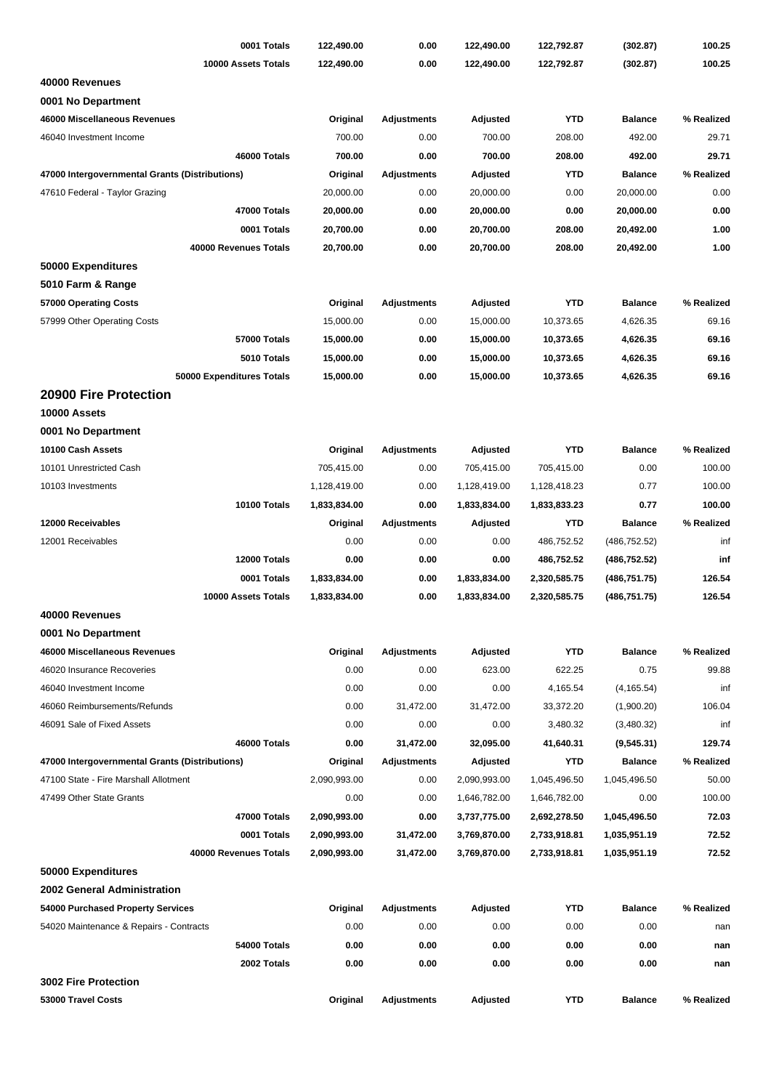| 0001 Totals                                                                             | 122,490.00               | 0.00               | 122,490.00   | 122,792.87                   | (302.87)       | 100.25     |
|-----------------------------------------------------------------------------------------|--------------------------|--------------------|--------------|------------------------------|----------------|------------|
| 10000 Assets Totals                                                                     | 122,490.00               | 0.00               | 122,490.00   | 122,792.87                   | (302.87)       | 100.25     |
| 40000 Revenues                                                                          |                          |                    |              |                              |                |            |
| 0001 No Department                                                                      |                          |                    |              |                              |                |            |
| 46000 Miscellaneous Revenues                                                            | Original                 | <b>Adjustments</b> | Adjusted     | <b>YTD</b>                   | <b>Balance</b> | % Realized |
| 46040 Investment Income                                                                 | 700.00                   | 0.00               | 700.00       | 208.00                       | 492.00         | 29.71      |
| 46000 Totals                                                                            | 700.00                   | 0.00               | 700.00       | 208.00                       | 492.00         | 29.71      |
| 47000 Intergovernmental Grants (Distributions)                                          | Original                 | Adjustments        | Adjusted     | <b>YTD</b>                   | <b>Balance</b> | % Realized |
| 47610 Federal - Taylor Grazing                                                          | 20,000.00                | 0.00               | 20,000.00    | 0.00                         | 20,000.00      | 0.00       |
| 47000 Totals                                                                            | 20,000.00                | 0.00               | 20,000.00    | 0.00                         | 20,000.00      | 0.00       |
| 0001 Totals                                                                             | 20,700.00                | 0.00               | 20,700.00    | 208.00                       | 20,492.00      | 1.00       |
| 40000 Revenues Totals                                                                   | 20,700.00                | 0.00               | 20,700.00    | 208.00                       | 20,492.00      | 1.00       |
| 50000 Expenditures                                                                      |                          |                    |              |                              |                |            |
| 5010 Farm & Range                                                                       |                          |                    |              |                              |                |            |
| 57000 Operating Costs                                                                   | Original                 | <b>Adjustments</b> | Adjusted     | <b>YTD</b>                   | <b>Balance</b> | % Realized |
| 57999 Other Operating Costs                                                             | 15,000.00                | 0.00               | 15,000.00    | 10,373.65                    | 4,626.35       | 69.16      |
| 57000 Totals                                                                            | 15,000.00                | 0.00               | 15,000.00    | 10,373.65                    | 4,626.35       | 69.16      |
| 5010 Totals                                                                             | 15,000.00                | 0.00               | 15,000.00    | 10,373.65                    | 4,626.35       | 69.16      |
| 50000 Expenditures Totals                                                               | 15,000.00                | 0.00               | 15,000.00    | 10,373.65                    | 4,626.35       | 69.16      |
| 20900 Fire Protection                                                                   |                          |                    |              |                              |                |            |
| 10000 Assets                                                                            |                          |                    |              |                              |                |            |
| 0001 No Department                                                                      |                          |                    |              |                              |                |            |
| 10100 Cash Assets                                                                       | Original                 | <b>Adjustments</b> | Adjusted     | <b>YTD</b>                   | <b>Balance</b> | % Realized |
| 10101 Unrestricted Cash                                                                 | 705,415.00               | 0.00               | 705,415.00   | 705,415.00                   | 0.00           | 100.00     |
| 10103 Investments                                                                       | 1,128,419.00             | 0.00               | 1,128,419.00 | 1,128,418.23                 | 0.77           | 100.00     |
| 10100 Totals                                                                            | 1,833,834.00             | 0.00               | 1,833,834.00 | 1,833,833.23                 | 0.77           | 100.00     |
| 12000 Receivables                                                                       | Original                 | <b>Adjustments</b> | Adjusted     | <b>YTD</b>                   | <b>Balance</b> | % Realized |
| 12001 Receivables                                                                       | 0.00                     | 0.00               | 0.00         | 486,752.52                   | (486, 752.52)  | inf        |
| 12000 Totals                                                                            | 0.00                     | 0.00               | 0.00         | 486,752.52                   | (486, 752.52)  | inf        |
| 0001 Totals                                                                             | 1,833,834.00             | 0.00               | 1,833,834.00 | 2,320,585.75                 | (486, 751.75)  | 126.54     |
| 10000 Assets Totals                                                                     | 1,833,834.00             | 0.00               | 1,833,834.00 | 2,320,585.75                 | (486, 751.75)  | 126.54     |
| 40000 Revenues                                                                          |                          |                    |              |                              |                |            |
| 0001 No Department                                                                      |                          |                    |              |                              |                |            |
| 46000 Miscellaneous Revenues                                                            | Original                 | <b>Adjustments</b> | Adjusted     | <b>YTD</b>                   | <b>Balance</b> | % Realized |
| 46020 Insurance Recoveries                                                              | 0.00                     | 0.00               | 623.00       | 622.25                       | 0.75           | 99.88      |
| 46040 Investment Income                                                                 | 0.00                     | 0.00               | 0.00         | 4,165.54                     | (4, 165.54)    | inf        |
| 46060 Reimbursements/Refunds                                                            | 0.00                     | 31,472.00          | 31,472.00    | 33,372.20                    | (1,900.20)     | 106.04     |
| 46091 Sale of Fixed Assets                                                              | 0.00                     | 0.00               | 0.00         | 3,480.32                     | (3,480.32)     | inf        |
| 46000 Totals                                                                            | 0.00                     | 31,472.00          | 32,095.00    | 41,640.31                    | (9,545.31)     | 129.74     |
|                                                                                         |                          | <b>Adjustments</b> | Adjusted     | <b>YTD</b>                   | <b>Balance</b> | % Realized |
| 47000 Intergovernmental Grants (Distributions)<br>47100 State - Fire Marshall Allotment | Original<br>2,090,993.00 | 0.00               | 2,090,993.00 | 1,045,496.50                 | 1,045,496.50   | 50.00      |
| 47499 Other State Grants                                                                | 0.00                     | 0.00               | 1,646,782.00 | 1,646,782.00                 | 0.00           | 100.00     |
| 47000 Totals                                                                            | 2,090,993.00             | 0.00               | 3,737,775.00 |                              | 1,045,496.50   | 72.03      |
| 0001 Totals                                                                             | 2,090,993.00             | 31,472.00          | 3,769,870.00 | 2,692,278.50<br>2,733,918.81 | 1,035,951.19   | 72.52      |
|                                                                                         |                          |                    |              |                              |                |            |
| 40000 Revenues Totals                                                                   | 2,090,993.00             | 31,472.00          | 3,769,870.00 | 2,733,918.81                 | 1,035,951.19   | 72.52      |
| 50000 Expenditures                                                                      |                          |                    |              |                              |                |            |
| 2002 General Administration                                                             |                          |                    |              |                              |                |            |
| 54000 Purchased Property Services                                                       | Original                 | <b>Adjustments</b> | Adjusted     | YTD                          | <b>Balance</b> | % Realized |
| 54020 Maintenance & Repairs - Contracts                                                 | 0.00                     | 0.00               | 0.00         | 0.00                         | 0.00           | nan        |
| 54000 Totals                                                                            | 0.00                     | 0.00               | 0.00         | 0.00                         | 0.00           | nan        |
| 2002 Totals                                                                             | 0.00                     | 0.00               | 0.00         | 0.00                         | 0.00           | nan        |
| 3002 Fire Protection                                                                    |                          |                    |              |                              |                |            |
| 53000 Travel Costs                                                                      | Original                 | <b>Adjustments</b> | Adjusted     | YTD                          | <b>Balance</b> | % Realized |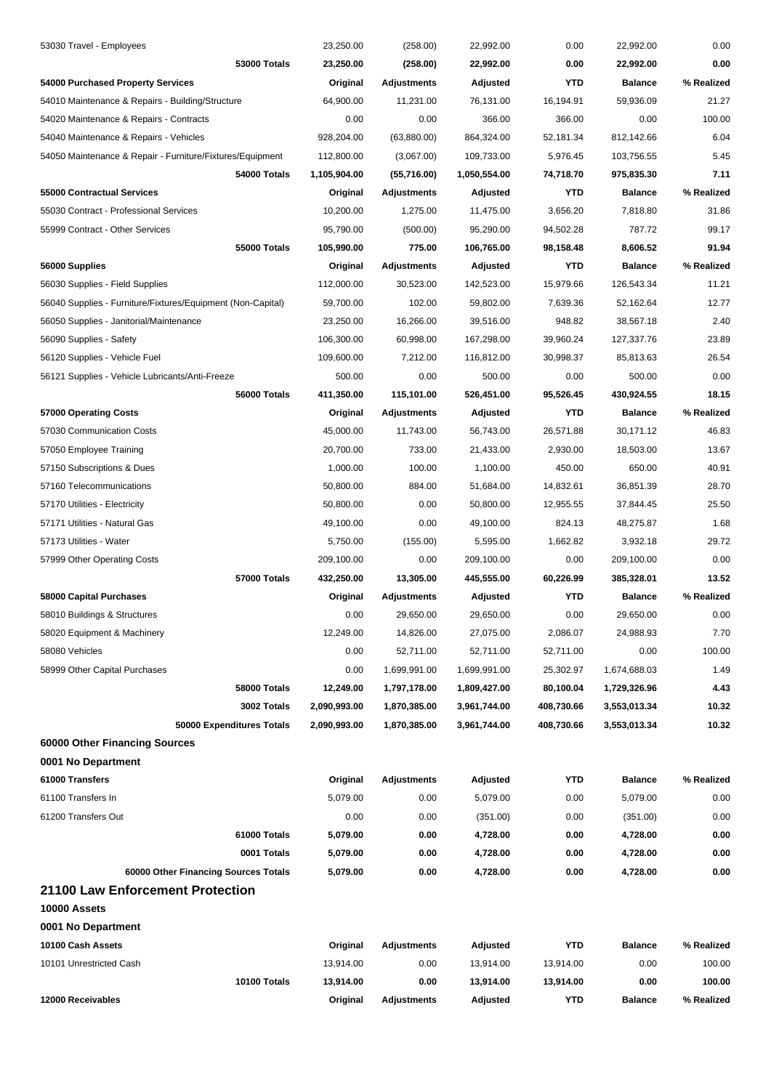| 12000 Receivables                                           | Original     | <b>Adjustments</b> | Adjusted     | <b>YTD</b> | <b>Balance</b> | % Realized |
|-------------------------------------------------------------|--------------|--------------------|--------------|------------|----------------|------------|
| 10100 Totals                                                | 13,914.00    | 0.00               | 13,914.00    | 13,914.00  | 0.00           | 100.00     |
| 10101 Unrestricted Cash                                     | 13,914.00    | 0.00               | 13,914.00    | 13,914.00  | 0.00           | 100.00     |
| 10100 Cash Assets                                           | Original     | <b>Adjustments</b> | Adjusted     | <b>YTD</b> | <b>Balance</b> | % Realized |
| 0001 No Department                                          |              |                    |              |            |                |            |
| 10000 Assets                                                |              |                    |              |            |                |            |
| 21100 Law Enforcement Protection                            |              |                    |              |            |                |            |
| 60000 Other Financing Sources Totals                        | 5,079.00     | 0.00               | 4,728.00     | 0.00       | 4,728.00       | 0.00       |
| 0001 Totals                                                 | 5,079.00     | 0.00               | 4,728.00     | 0.00       | 4,728.00       | 0.00       |
| 61000 Totals                                                | 5,079.00     | 0.00               | 4,728.00     | 0.00       | 4,728.00       | 0.00       |
| 61200 Transfers Out                                         | 0.00         | 0.00               | (351.00)     | 0.00       | (351.00)       | 0.00       |
| 61100 Transfers In                                          | 5,079.00     | 0.00               | 5,079.00     | 0.00       | 5,079.00       | 0.00       |
| 61000 Transfers                                             | Original     | <b>Adjustments</b> | Adjusted     | <b>YTD</b> | <b>Balance</b> | % Realized |
| 0001 No Department                                          |              |                    |              |            |                |            |
| 60000 Other Financing Sources                               |              |                    |              |            |                |            |
| 50000 Expenditures Totals                                   | 2,090,993.00 | 1,870,385.00       | 3,961,744.00 | 408,730.66 | 3,553,013.34   | 10.32      |
| 3002 Totals                                                 | 2,090,993.00 | 1,870,385.00       | 3,961,744.00 | 408,730.66 | 3,553,013.34   | 10.32      |
| 58000 Totals                                                | 12,249.00    | 1,797,178.00       | 1,809,427.00 | 80,100.04  | 1,729,326.96   | 4.43       |
| 58999 Other Capital Purchases                               | 0.00         | 1,699,991.00       | 1,699,991.00 | 25,302.97  | 1,674,688.03   | 1.49       |
| 58080 Vehicles                                              | 0.00         | 52,711.00          | 52,711.00    | 52,711.00  | 0.00           | 100.00     |
| 58020 Equipment & Machinery                                 | 12,249.00    | 14,826.00          | 27,075.00    | 2,086.07   | 24,988.93      | 7.70       |
| 58010 Buildings & Structures                                | 0.00         | 29,650.00          | 29.650.00    | 0.00       | 29,650.00      | 0.00       |
| 58000 Capital Purchases                                     | Original     | Adjustments        | Adjusted     | YTD        | <b>Balance</b> | % Realized |
| 57000 Totals                                                | 432,250.00   | 13,305.00          | 445,555.00   | 60,226.99  | 385,328.01     | 13.52      |
| 57999 Other Operating Costs                                 | 209,100.00   | 0.00               | 209,100.00   | 0.00       | 209,100.00     | 0.00       |
| 57173 Utilities - Water                                     | 5,750.00     | (155.00)           | 5,595.00     | 1,662.82   | 3,932.18       | 29.72      |
| 57171 Utilities - Natural Gas                               | 49,100.00    | 0.00               | 49,100.00    | 824.13     | 48,275.87      | 1.68       |
| 57170 Utilities - Electricity                               | 50,800.00    | 0.00               | 50,800.00    | 12,955.55  | 37,844.45      | 25.50      |
| 57160 Telecommunications                                    | 50,800.00    | 884.00             | 51,684.00    | 14,832.61  | 36,851.39      | 28.70      |
| 57150 Subscriptions & Dues                                  | 1,000.00     | 100.00             | 1,100.00     | 450.00     | 650.00         | 40.91      |
| 57050 Employee Training                                     | 20,700.00    | 733.00             | 21,433.00    | 2,930.00   | 18,503.00      | 13.67      |
| 57030 Communication Costs                                   | 45,000.00    | 11,743.00          | 56,743.00    | 26,571.88  | 30,171.12      | 46.83      |
| 57000 Operating Costs                                       | Original     | <b>Adjustments</b> | Adjusted     | YTD        | <b>Balance</b> | % Realized |
| 56000 Totals                                                | 411,350.00   | 115,101.00         | 526,451.00   | 95,526.45  | 430,924.55     | 18.15      |
| 56121 Supplies - Vehicle Lubricants/Anti-Freeze             | 500.00       | 0.00               | 500.00       | 0.00       | 500.00         | 0.00       |
| 56120 Supplies - Vehicle Fuel                               | 109,600.00   | 7,212.00           | 116,812.00   | 30,998.37  | 85,813.63      | 26.54      |
| 56090 Supplies - Safety                                     | 106,300.00   | 60,998.00          | 167,298.00   | 39,960.24  | 127,337.76     | 23.89      |
| 56050 Supplies - Janitorial/Maintenance                     | 23,250.00    | 16,266.00          | 39,516.00    | 948.82     | 38,567.18      | 2.40       |
| 56040 Supplies - Furniture/Fixtures/Equipment (Non-Capital) | 59,700.00    | 102.00             | 59,802.00    | 7,639.36   | 52,162.64      | 12.77      |
| 56030 Supplies - Field Supplies                             | 112,000.00   | 30,523.00          | 142,523.00   | 15,979.66  | 126,543.34     | 11.21      |
| 56000 Supplies                                              | Original     | <b>Adjustments</b> | Adjusted     | <b>YTD</b> | <b>Balance</b> | % Realized |
| 55000 Totals                                                | 105,990.00   | 775.00             | 106,765.00   | 98,158.48  | 8,606.52       | 91.94      |
| 55999 Contract - Other Services                             | 95,790.00    | (500.00)           | 95,290.00    | 94,502.28  | 787.72         | 99.17      |
| 55030 Contract - Professional Services                      | 10,200.00    | 1,275.00           | 11,475.00    | 3,656.20   | 7,818.80       | 31.86      |
| 55000 Contractual Services                                  | Original     | <b>Adjustments</b> | Adjusted     | <b>YTD</b> | <b>Balance</b> | % Realized |
| 54000 Totals                                                | 1,105,904.00 | (55,716.00)        | 1,050,554.00 | 74,718.70  | 975,835.30     | 7.11       |
| 54050 Maintenance & Repair - Furniture/Fixtures/Equipment   | 112,800.00   | (3,067.00)         | 109,733.00   | 5,976.45   | 103,756.55     | 5.45       |
| 54040 Maintenance & Repairs - Vehicles                      | 928,204.00   | (63,880.00)        | 864,324.00   | 52,181.34  | 812,142.66     | 6.04       |
| 54020 Maintenance & Repairs - Contracts                     | 0.00         | 0.00               | 366.00       | 366.00     | 0.00           | 100.00     |
| 54010 Maintenance & Repairs - Building/Structure            | 64,900.00    | 11,231.00          | 76,131.00    | 16,194.91  | 59,936.09      | 21.27      |
| 54000 Purchased Property Services                           | Original     | <b>Adjustments</b> | Adjusted     | <b>YTD</b> | <b>Balance</b> | % Realized |
| <b>53000 Totals</b>                                         | 23,250.00    | (258.00)           | 22,992.00    | 0.00       | 22,992.00      | 0.00       |
| 53030 Travel - Employees                                    | 23,250.00    | (258.00)           | 22,992.00    | 0.00       | 22,992.00      | 0.00       |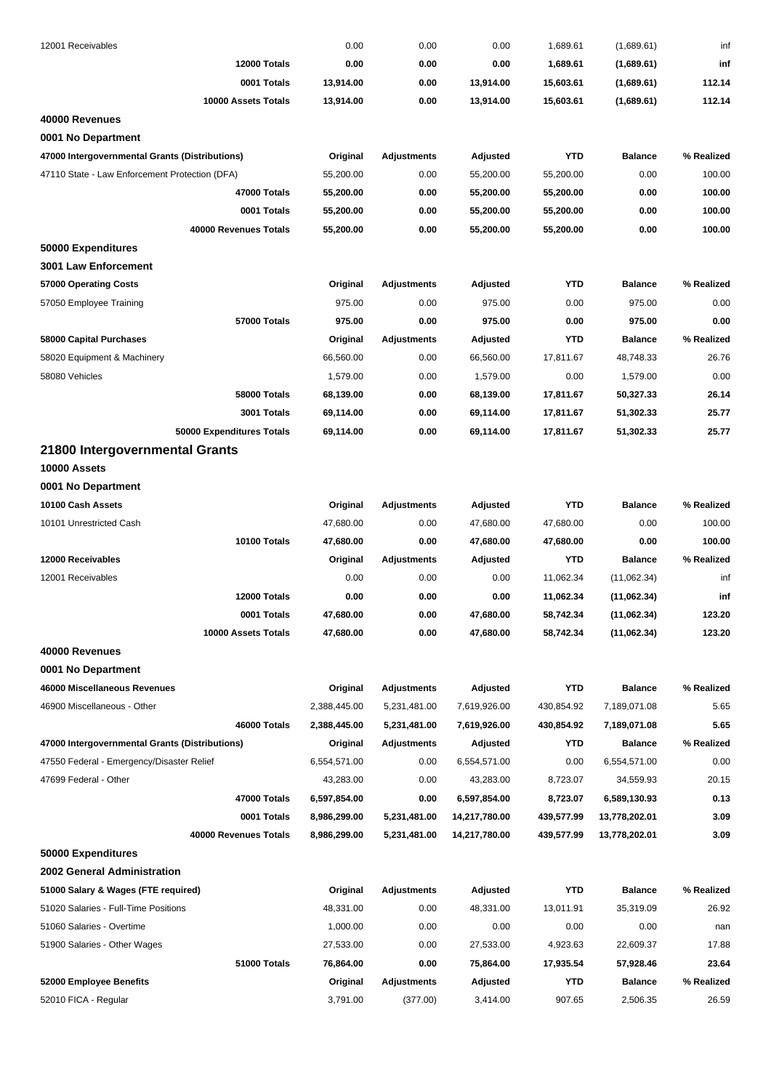| 12001 Receivables                              | 0.00                      | 0.00               | 0.00          | 1,689.61   | (1,689.61)     | inf        |
|------------------------------------------------|---------------------------|--------------------|---------------|------------|----------------|------------|
| 12000 Totals                                   | 0.00                      | 0.00               | 0.00          | 1,689.61   | (1,689.61)     | inf        |
| 0001 Totals                                    | 13,914.00                 | 0.00               | 13,914.00     | 15,603.61  | (1,689.61)     | 112.14     |
| 10000 Assets Totals                            | 13,914.00                 | 0.00               | 13,914.00     | 15,603.61  | (1,689.61)     | 112.14     |
| 40000 Revenues                                 |                           |                    |               |            |                |            |
| 0001 No Department                             |                           |                    |               |            |                |            |
| 47000 Intergovernmental Grants (Distributions) | Original                  | <b>Adjustments</b> | Adjusted      | <b>YTD</b> | <b>Balance</b> | % Realized |
| 47110 State - Law Enforcement Protection (DFA) | 55,200.00                 | 0.00               | 55,200.00     | 55,200.00  | 0.00           | 100.00     |
| 47000 Totals                                   | 55,200.00                 | 0.00               | 55,200.00     | 55,200.00  | 0.00           | 100.00     |
| 0001 Totals                                    | 55,200.00                 | 0.00               | 55,200.00     | 55,200.00  | 0.00           | 100.00     |
| 40000 Revenues Totals                          | 55,200.00                 | 0.00               | 55,200.00     | 55,200.00  | 0.00           | 100.00     |
| 50000 Expenditures                             |                           |                    |               |            |                |            |
| <b>3001 Law Enforcement</b>                    |                           |                    |               |            |                |            |
| 57000 Operating Costs                          | Original                  | Adjustments        | Adjusted      | <b>YTD</b> | <b>Balance</b> | % Realized |
| 57050 Employee Training                        | 975.00                    | 0.00               | 975.00        | 0.00       | 975.00         | 0.00       |
| 57000 Totals                                   | 975.00                    | 0.00               | 975.00        | 0.00       | 975.00         | 0.00       |
| <b>58000 Capital Purchases</b>                 | Original                  | <b>Adjustments</b> | Adjusted      | <b>YTD</b> | <b>Balance</b> | % Realized |
| 58020 Equipment & Machinery                    | 66,560.00                 | 0.00               | 66,560.00     | 17,811.67  | 48,748.33      | 26.76      |
| 58080 Vehicles                                 | 1,579.00                  | 0.00               | 1,579.00      | 0.00       | 1,579.00       | 0.00       |
| <b>58000 Totals</b>                            | 68,139.00                 | 0.00               | 68,139.00     | 17,811.67  | 50,327.33      | 26.14      |
| 3001 Totals                                    | 69,114.00                 | 0.00               | 69,114.00     | 17,811.67  | 51,302.33      | 25.77      |
| 50000 Expenditures Totals                      | 69,114.00                 | 0.00               | 69,114.00     | 17,811.67  | 51,302.33      | 25.77      |
| 21800 Intergovernmental Grants                 |                           |                    |               |            |                |            |
| 10000 Assets                                   |                           |                    |               |            |                |            |
| 0001 No Department                             |                           |                    |               |            |                |            |
| 10100 Cash Assets                              | Original                  | <b>Adjustments</b> | Adjusted      | <b>YTD</b> | <b>Balance</b> | % Realized |
| 10101 Unrestricted Cash                        | 47,680.00                 | 0.00               | 47,680.00     | 47,680.00  | 0.00           | 100.00     |
| 10100 Totals                                   | 47,680.00                 | 0.00               | 47,680.00     | 47,680.00  | 0.00           | 100.00     |
| 12000 Receivables                              | Original                  | <b>Adjustments</b> | Adjusted      | YTD        | <b>Balance</b> | % Realized |
| 12001 Receivables                              | 0.00                      | 0.00               | 0.00          | 11,062.34  | (11,062.34)    | inf        |
| 12000 Totals                                   | 0.00                      | 0.00               | 0.00          | 11,062.34  | (11,062.34)    | inf        |
| 0001 Totals                                    | 47,680.00                 | 0.00               | 47,680.00     | 58,742.34  | (11,062.34)    | 123.20     |
| 10000 Assets Totals                            | 47,680.00                 | 0.00               | 47,680.00     | 58,742.34  | (11,062.34)    | 123.20     |
| 40000 Revenues                                 |                           |                    |               |            |                |            |
| 0001 No Department                             |                           |                    |               |            |                |            |
| 46000 Miscellaneous Revenues                   | Original                  | <b>Adjustments</b> | Adjusted      | <b>YTD</b> | <b>Balance</b> | % Realized |
| 46900 Miscellaneous - Other                    | 2,388,445.00              | 5,231,481.00       | 7,619,926.00  | 430,854.92 | 7,189,071.08   | 5.65       |
| 46000 Totals                                   | 2,388,445.00              | 5,231,481.00       | 7,619,926.00  | 430,854.92 | 7,189,071.08   | 5.65       |
|                                                |                           |                    |               | YTD        |                | % Realized |
| 47000 Intergovernmental Grants (Distributions) | Original                  | Adjustments        | Adjusted      |            | <b>Balance</b> |            |
| 47550 Federal - Emergency/Disaster Relief      | 6,554,571.00<br>43,283.00 | 0.00               | 6,554,571.00  | 0.00       | 6,554,571.00   | 0.00       |
| 47699 Federal - Other                          |                           | 0.00               | 43,283.00     | 8,723.07   | 34,559.93      | 20.15      |
| 47000 Totals                                   | 6,597,854.00              | 0.00               | 6,597,854.00  | 8,723.07   | 6,589,130.93   | 0.13       |
| 0001 Totals                                    | 8,986,299.00              | 5,231,481.00       | 14,217,780.00 | 439,577.99 | 13,778,202.01  | 3.09       |
| 40000 Revenues Totals                          | 8,986,299.00              | 5,231,481.00       | 14,217,780.00 | 439,577.99 | 13,778,202.01  | 3.09       |
| 50000 Expenditures                             |                           |                    |               |            |                |            |
| 2002 General Administration                    |                           |                    |               |            |                |            |
| 51000 Salary & Wages (FTE required)            | Original                  | <b>Adjustments</b> | Adjusted      | <b>YTD</b> | <b>Balance</b> | % Realized |
| 51020 Salaries - Full-Time Positions           | 48,331.00                 | 0.00               | 48,331.00     | 13,011.91  | 35,319.09      | 26.92      |
| 51060 Salaries - Overtime                      | 1,000.00                  | 0.00               | 0.00          | 0.00       | 0.00           | nan        |
| 51900 Salaries - Other Wages                   | 27,533.00                 | 0.00               | 27,533.00     | 4,923.63   | 22,609.37      | 17.88      |
| 51000 Totals                                   | 76,864.00                 | 0.00               | 75,864.00     | 17,935.54  | 57,928.46      | 23.64      |
| 52000 Employee Benefits                        | Original                  | <b>Adjustments</b> | Adjusted      | <b>YTD</b> | <b>Balance</b> | % Realized |
| 52010 FICA - Regular                           | 3,791.00                  | (377.00)           | 3,414.00      | 907.65     | 2,506.35       | 26.59      |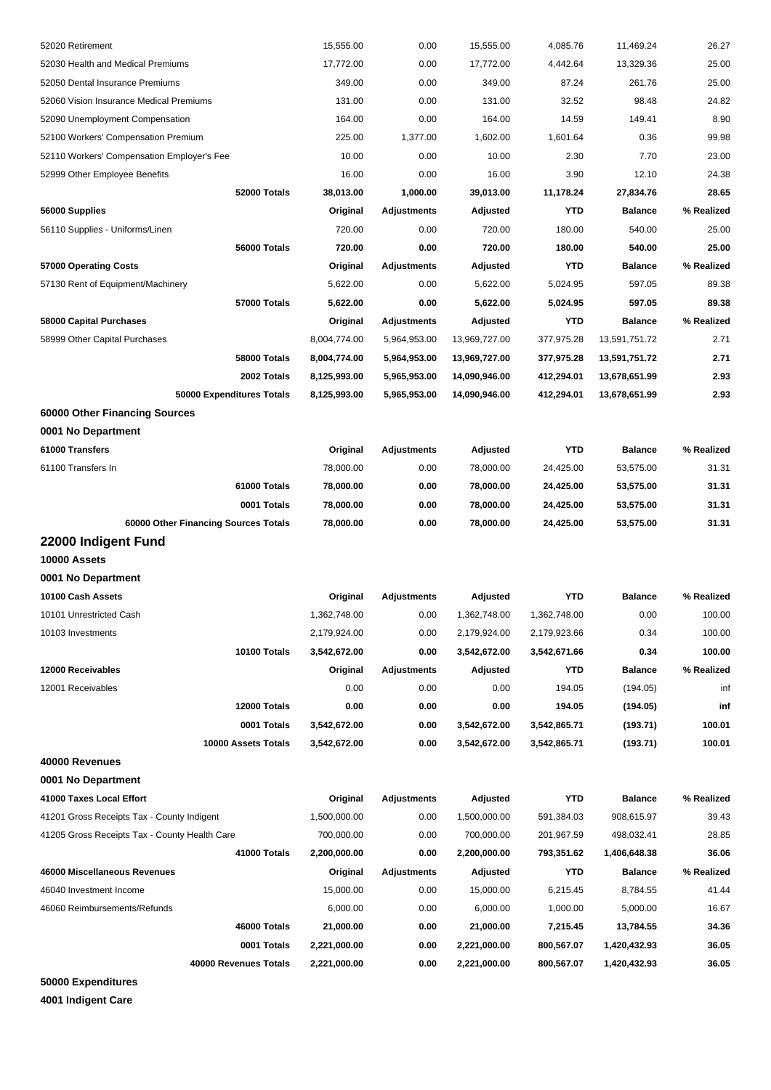| 52020 Retirement                              | 15,555.00             | 0.00                       | 15,555.00             | 4,085.76        | 11,469.24                  | 26.27               |
|-----------------------------------------------|-----------------------|----------------------------|-----------------------|-----------------|----------------------------|---------------------|
| 52030 Health and Medical Premiums             | 17,772.00             | 0.00                       | 17,772.00             | 4,442.64        | 13,329.36                  | 25.00               |
| 52050 Dental Insurance Premiums               | 349.00                | 0.00                       | 349.00                | 87.24           | 261.76                     | 25.00               |
| 52060 Vision Insurance Medical Premiums       | 131.00                | 0.00                       | 131.00                | 32.52           | 98.48                      | 24.82               |
| 52090 Unemployment Compensation               | 164.00                | 0.00                       | 164.00                | 14.59           | 149.41                     | 8.90                |
| 52100 Workers' Compensation Premium           | 225.00                | 1.377.00                   | 1,602.00              | 1,601.64        | 0.36                       | 99.98               |
| 52110 Workers' Compensation Employer's Fee    | 10.00                 | 0.00                       | 10.00                 | 2.30            | 7.70                       | 23.00               |
| 52999 Other Employee Benefits                 | 16.00                 | 0.00                       | 16.00                 | 3.90            | 12.10                      | 24.38               |
| 52000 Totals                                  | 38,013.00             | 1,000.00                   | 39,013.00             | 11,178.24       | 27,834.76                  | 28.65               |
| 56000 Supplies                                | Original              | <b>Adjustments</b>         | Adjusted              | <b>YTD</b>      | <b>Balance</b>             | % Realized          |
| 56110 Supplies - Uniforms/Linen               | 720.00                | 0.00                       | 720.00                | 180.00          | 540.00                     | 25.00               |
| 56000 Totals                                  | 720.00                | 0.00                       | 720.00                | 180.00          | 540.00                     | 25.00               |
| 57000 Operating Costs                         | Original              | <b>Adjustments</b>         | Adjusted              | <b>YTD</b>      | <b>Balance</b>             | % Realized          |
| 57130 Rent of Equipment/Machinery             | 5,622.00              | 0.00                       | 5,622.00              | 5,024.95        | 597.05                     | 89.38               |
| <b>57000 Totals</b>                           | 5,622.00              | 0.00                       | 5,622.00              | 5,024.95        | 597.05                     | 89.38               |
| 58000 Capital Purchases                       | Original              | Adjustments                | Adjusted              | YTD             | <b>Balance</b>             | % Realized          |
| 58999 Other Capital Purchases                 | 8,004,774.00          | 5,964,953.00               | 13,969,727.00         | 377,975.28      | 13,591,751.72              | 2.71                |
| <b>58000 Totals</b>                           | 8,004,774.00          | 5,964,953.00               | 13,969,727.00         | 377,975.28      | 13,591,751.72              | 2.71                |
| 2002 Totals                                   | 8,125,993.00          | 5,965,953.00               | 14,090,946.00         | 412,294.01      | 13,678,651.99              | 2.93                |
| 50000 Expenditures Totals                     | 8,125,993.00          | 5,965,953.00               | 14,090,946.00         | 412,294.01      | 13,678,651.99              | 2.93                |
| 60000 Other Financing Sources                 |                       |                            |                       |                 |                            |                     |
| 0001 No Department                            |                       |                            |                       |                 |                            |                     |
| 61000 Transfers                               | Original              | <b>Adjustments</b>         | Adjusted              | <b>YTD</b>      | <b>Balance</b>             | % Realized          |
| 61100 Transfers In                            | 78,000.00             | 0.00                       | 78,000.00             | 24,425.00       | 53,575.00                  | 31.31               |
| 61000 Totals                                  | 78,000.00             | 0.00                       | 78,000.00             | 24,425.00       | 53,575.00                  | 31.31               |
| 0001 Totals                                   | 78,000.00             | 0.00                       | 78,000.00             | 24,425.00       | 53,575.00                  | 31.31               |
| 60000 Other Financing Sources Totals          | 78,000.00             | 0.00                       | 78,000.00             | 24,425.00       | 53,575.00                  | 31.31               |
| 22000 Indigent Fund                           |                       |                            |                       |                 |                            |                     |
| 10000 Assets                                  |                       |                            |                       |                 |                            |                     |
| 0001 No Department                            |                       |                            |                       |                 |                            |                     |
| 10100 Cash Assets                             | Original              | <b>Adjustments</b>         | Adjusted              | <b>YTD</b>      | <b>Balance</b>             | % Realized          |
| 10101 Unrestricted Cash                       | 1,362,748.00          | 0.00                       | 1,362,748.00          | 1,362,748.00    | 0.00                       | 100.00              |
| 10103 Investments                             | 2,179,924.00          | 0.00                       | 2,179,924.00          | 2,179,923.66    | 0.34                       | 100.00              |
| 10100 Totals                                  | 3,542,672.00          | 0.00                       | 3,542,672.00          | 3,542,671.66    | 0.34                       | 100.00              |
| 12000 Receivables                             | Original              | <b>Adjustments</b>         | Adjusted              | YTD             | <b>Balance</b>             | % Realized          |
| 12001 Receivables                             | 0.00                  | 0.00                       | 0.00                  | 194.05          | (194.05)                   | inf                 |
| 12000 Totals                                  | 0.00                  | 0.00                       | 0.00                  | 194.05          | (194.05)                   | inf                 |
| 0001 Totals                                   | 3,542,672.00          | 0.00                       | 3,542,672.00          | 3,542,865.71    | (193.71)                   | 100.01              |
| 10000 Assets Totals                           | 3,542,672.00          | 0.00                       | 3,542,672.00          | 3,542,865.71    | (193.71)                   | 100.01              |
| 40000 Revenues                                |                       |                            |                       |                 |                            |                     |
| 0001 No Department                            |                       |                            |                       |                 |                            |                     |
| 41000 Taxes Local Effort                      | Original              | <b>Adjustments</b>         | Adjusted              | <b>YTD</b>      | <b>Balance</b>             | % Realized          |
| 41201 Gross Receipts Tax - County Indigent    | 1,500,000.00          | 0.00                       | 1,500,000.00          | 591,384.03      | 908,615.97                 | 39.43               |
| 41205 Gross Receipts Tax - County Health Care | 700,000.00            | 0.00                       | 700,000.00            | 201,967.59      | 498,032.41                 | 28.85               |
| 41000 Totals<br>46000 Miscellaneous Revenues  | 2,200,000.00          | 0.00                       | 2,200,000.00          | 793,351.62      | 1,406,648.38               | 36.06               |
| 46040 Investment Income                       | Original<br>15,000.00 | <b>Adjustments</b><br>0.00 | Adjusted<br>15,000.00 | YTD<br>6,215.45 | <b>Balance</b><br>8,784.55 | % Realized<br>41.44 |
| 46060 Reimbursements/Refunds                  | 6,000.00              | 0.00                       | 6,000.00              | 1,000.00        | 5,000.00                   | 16.67               |
| 46000 Totals                                  | 21,000.00             | 0.00                       | 21,000.00             | 7,215.45        | 13,784.55                  | 34.36               |
| 0001 Totals                                   | 2,221,000.00          | 0.00                       | 2,221,000.00          | 800,567.07      | 1,420,432.93               | 36.05               |
| 40000 Revenues Totals                         | 2,221,000.00          | 0.00                       | 2,221,000.00          | 800,567.07      | 1,420,432.93               | 36.05               |
| 50000 Expenditures                            |                       |                            |                       |                 |                            |                     |
|                                               |                       |                            |                       |                 |                            |                     |

**4001 Indigent Care**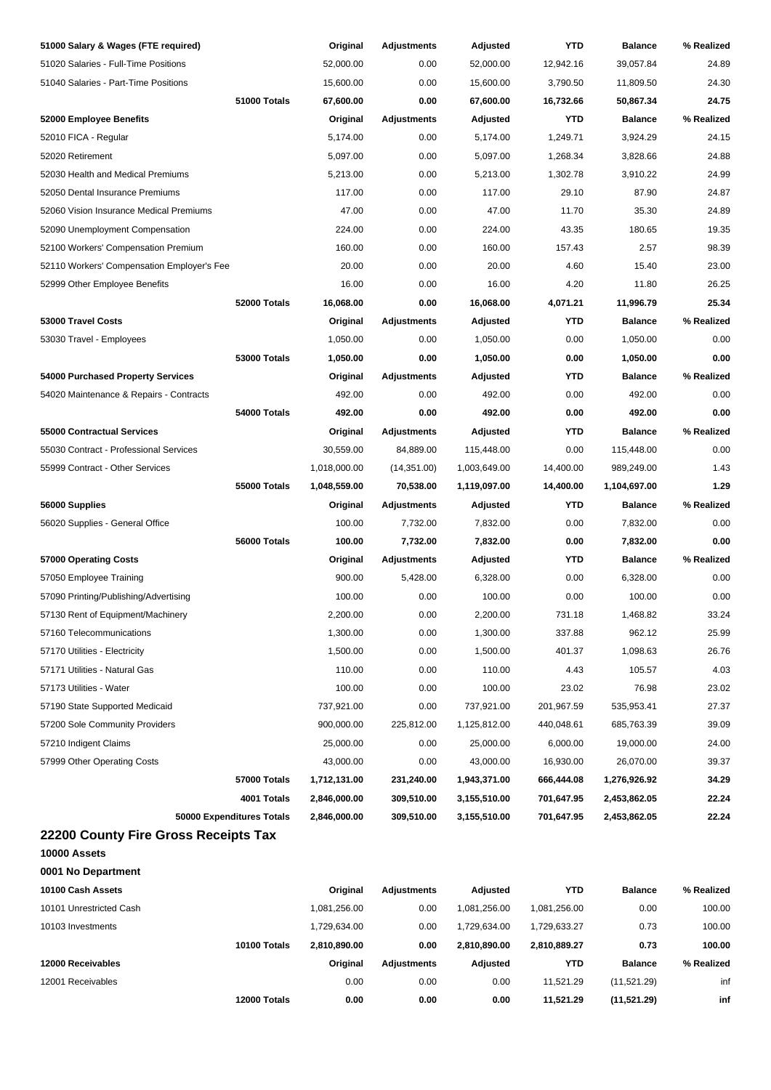| 51000 Salary & Wages (FTE required)        | Original     | <b>Adjustments</b>             | Adjusted     | YTD          | <b>Balance</b> | % Realized |
|--------------------------------------------|--------------|--------------------------------|--------------|--------------|----------------|------------|
| 51020 Salaries - Full-Time Positions       | 52,000.00    | 0.00                           | 52,000.00    | 12,942.16    | 39,057.84      | 24.89      |
| 51040 Salaries - Part-Time Positions       | 15,600.00    | 0.00                           | 15,600.00    | 3,790.50     | 11,809.50      | 24.30      |
| 51000 Totals                               | 67,600.00    | 0.00                           | 67,600.00    | 16,732.66    | 50,867.34      | 24.75      |
| 52000 Employee Benefits                    | Original     | <b>Adjustments</b>             | Adjusted     | <b>YTD</b>   | <b>Balance</b> | % Realized |
| 52010 FICA - Regular                       | 5,174.00     | 0.00                           | 5,174.00     | 1,249.71     | 3,924.29       | 24.15      |
| 52020 Retirement                           | 5,097.00     | 0.00                           | 5,097.00     | 1,268.34     | 3,828.66       | 24.88      |
| 52030 Health and Medical Premiums          | 5,213.00     | 0.00                           | 5,213.00     | 1,302.78     | 3,910.22       | 24.99      |
| 52050 Dental Insurance Premiums            | 117.00       | 0.00                           | 117.00       | 29.10        | 87.90          | 24.87      |
| 52060 Vision Insurance Medical Premiums    | 47.00        | 0.00                           | 47.00        | 11.70        | 35.30          | 24.89      |
| 52090 Unemployment Compensation            | 224.00       | 0.00                           | 224.00       | 43.35        | 180.65         | 19.35      |
| 52100 Workers' Compensation Premium        | 160.00       | 0.00                           | 160.00       | 157.43       | 2.57           | 98.39      |
| 52110 Workers' Compensation Employer's Fee | 20.00        | 0.00                           | 20.00        | 4.60         | 15.40          | 23.00      |
| 52999 Other Employee Benefits              | 16.00        | 0.00                           | 16.00        | 4.20         | 11.80          | 26.25      |
| 52000 Totals                               | 16,068.00    | 0.00                           | 16,068.00    | 4,071.21     | 11,996.79      | 25.34      |
| 53000 Travel Costs                         | Original     | <b>Adjustments</b>             | Adjusted     | <b>YTD</b>   | <b>Balance</b> | % Realized |
| 53030 Travel - Employees                   | 1,050.00     | 0.00                           | 1,050.00     | 0.00         | 1,050.00       | 0.00       |
| <b>53000 Totals</b>                        | 1,050.00     | 0.00                           | 1,050.00     | 0.00         | 1,050.00       | 0.00       |
| 54000 Purchased Property Services          | Original     | <b>Adjustments</b>             | Adjusted     | <b>YTD</b>   | <b>Balance</b> | % Realized |
| 54020 Maintenance & Repairs - Contracts    | 492.00       | 0.00                           | 492.00       | 0.00         | 492.00         | 0.00       |
| 54000 Totals                               | 492.00       | 0.00                           | 492.00       | 0.00         | 492.00         | 0.00       |
| 55000 Contractual Services                 | Original     | <b>Adjustments</b>             | Adjusted     | <b>YTD</b>   | <b>Balance</b> | % Realized |
| 55030 Contract - Professional Services     | 30,559.00    | 84,889.00                      | 115,448.00   | 0.00         | 115,448.00     | 0.00       |
| 55999 Contract - Other Services            | 1,018,000.00 | (14, 351.00)                   | 1,003,649.00 | 14,400.00    | 989,249.00     | 1.43       |
| <b>55000 Totals</b>                        | 1,048,559.00 | 70,538.00                      | 1,119,097.00 | 14,400.00    | 1,104,697.00   | 1.29       |
| 56000 Supplies                             | Original     | <b>Adjustments</b>             | Adjusted     | <b>YTD</b>   | <b>Balance</b> | % Realized |
| 56020 Supplies - General Office            | 100.00       | 7,732.00                       | 7,832.00     | 0.00         | 7,832.00       | 0.00       |
| 56000 Totals                               | 100.00       | 7,732.00                       | 7,832.00     | 0.00         | 7,832.00       | 0.00       |
| 57000 Operating Costs                      |              |                                |              | <b>YTD</b>   | <b>Balance</b> | % Realized |
|                                            | Original     | <b>Adjustments</b><br>5,428.00 | Adjusted     |              |                | 0.00       |
| 57050 Employee Training                    | 900.00       |                                | 6,328.00     | 0.00         | 6,328.00       |            |
| 57090 Printing/Publishing/Advertising      | 100.00       | 0.00                           | 100.00       | 0.00         | 100.00         | 0.00       |
| 57130 Rent of Equipment/Machinery          | 2,200.00     | 0.00                           | 2,200.00     | 731.18       | 1,468.82       | 33.24      |
| 57160 Telecommunications                   | 1,300.00     | 0.00                           | 1,300.00     | 337.88       | 962.12         | 25.99      |
| 57170 Utilities - Electricity              | 1,500.00     | 0.00                           | 1,500.00     | 401.37       | 1,098.63       | 26.76      |
| 57171 Utilities - Natural Gas              | 110.00       | 0.00                           | 110.00       | 4.43         | 105.57         | 4.03       |
| 57173 Utilities - Water                    | 100.00       | 0.00                           | 100.00       | 23.02        | 76.98          | 23.02      |
| 57190 State Supported Medicaid             | 737,921.00   | 0.00                           | 737,921.00   | 201,967.59   | 535,953.41     | 27.37      |
| 57200 Sole Community Providers             | 900,000.00   | 225,812.00                     | 1,125,812.00 | 440,048.61   | 685,763.39     | 39.09      |
| 57210 Indigent Claims                      | 25,000.00    | 0.00                           | 25,000.00    | 6,000.00     | 19,000.00      | 24.00      |
| 57999 Other Operating Costs                | 43,000.00    | 0.00                           | 43,000.00    | 16,930.00    | 26,070.00      | 39.37      |
| 57000 Totals                               | 1,712,131.00 | 231,240.00                     | 1,943,371.00 | 666,444.08   | 1,276,926.92   | 34.29      |
| 4001 Totals                                | 2,846,000.00 | 309,510.00                     | 3,155,510.00 | 701,647.95   | 2,453,862.05   | 22.24      |
| 50000 Expenditures Totals                  | 2,846,000.00 | 309,510.00                     | 3,155,510.00 | 701,647.95   | 2,453,862.05   | 22.24      |
| 22200 County Fire Gross Receipts Tax       |              |                                |              |              |                |            |
| 10000 Assets                               |              |                                |              |              |                |            |
| 0001 No Department                         |              |                                |              |              |                |            |
| 10100 Cash Assets                          | Original     | <b>Adjustments</b>             | Adjusted     | <b>YTD</b>   | <b>Balance</b> | % Realized |
| 10101 Unrestricted Cash                    | 1,081,256.00 | 0.00                           | 1,081,256.00 | 1,081,256.00 | 0.00           | 100.00     |
| 10103 Investments                          | 1,729,634.00 | 0.00                           | 1,729,634.00 | 1,729,633.27 | 0.73           | 100.00     |
| 10100 Totals                               | 2,810,890.00 | 0.00                           | 2,810,890.00 | 2,810,889.27 | 0.73           | 100.00     |
| 12000 Receivables                          | Original     | Adjustments                    | Adjusted     | YTD          | <b>Balance</b> | % Realized |
| 12001 Receivables                          | 0.00         | 0.00                           | 0.00         | 11,521.29    | (11,521.29)    | inf        |
| 12000 Totals                               | 0.00         | 0.00                           | 0.00         | 11,521.29    | (11,521.29)    | inf        |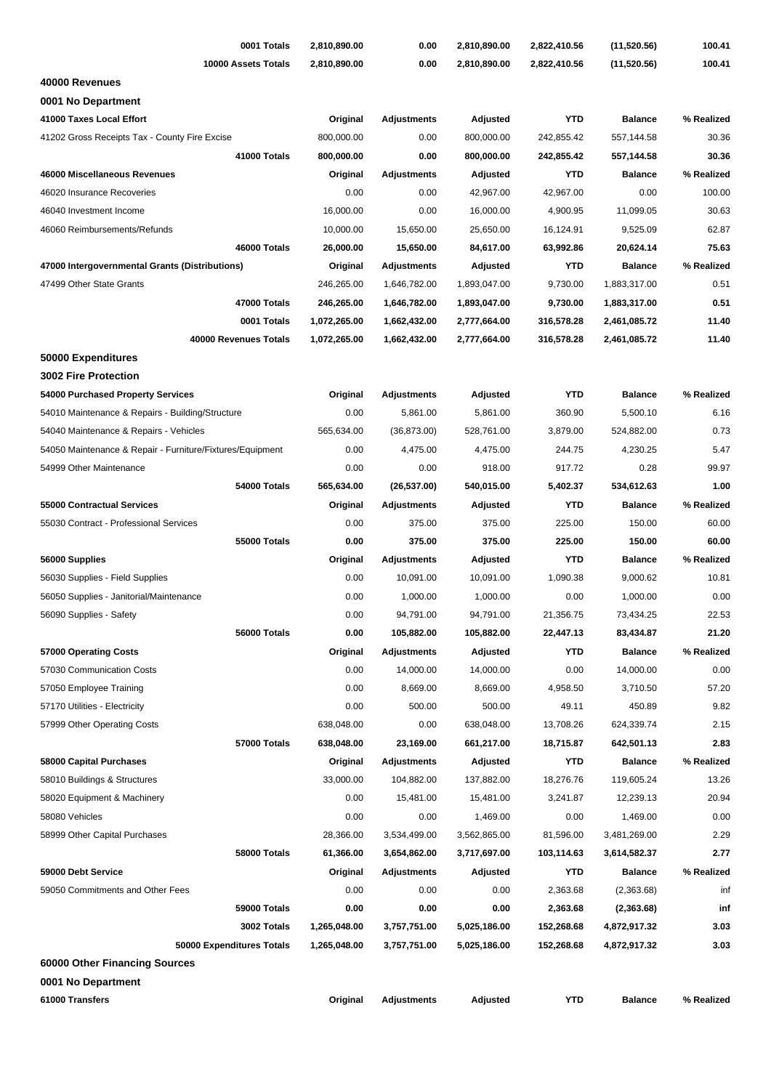| 0001 Totals                                               | 2,810,890.00 | 0.00               | 2,810,890.00 | 2,822,410.56 | (11,520.56)    | 100.41     |
|-----------------------------------------------------------|--------------|--------------------|--------------|--------------|----------------|------------|
| 10000 Assets Totals                                       | 2,810,890.00 | 0.00               | 2,810,890.00 | 2,822,410.56 | (11,520.56)    | 100.41     |
| 40000 Revenues                                            |              |                    |              |              |                |            |
| 0001 No Department                                        |              |                    |              |              |                |            |
| 41000 Taxes Local Effort                                  | Original     | <b>Adjustments</b> | Adjusted     | <b>YTD</b>   | <b>Balance</b> | % Realized |
| 41202 Gross Receipts Tax - County Fire Excise             | 800,000.00   | 0.00               | 800,000.00   | 242,855.42   | 557,144.58     | 30.36      |
| 41000 Totals                                              | 800,000.00   | 0.00               | 800,000.00   | 242,855.42   | 557,144.58     | 30.36      |
| 46000 Miscellaneous Revenues                              | Original     | <b>Adjustments</b> | Adjusted     | <b>YTD</b>   | <b>Balance</b> | % Realized |
| 46020 Insurance Recoveries                                | 0.00         | 0.00               | 42,967.00    | 42,967.00    | 0.00           | 100.00     |
| 46040 Investment Income                                   | 16,000.00    | 0.00               | 16,000.00    | 4,900.95     | 11,099.05      | 30.63      |
| 46060 Reimbursements/Refunds                              | 10,000.00    | 15,650.00          | 25,650.00    | 16,124.91    | 9,525.09       | 62.87      |
| 46000 Totals                                              | 26,000.00    | 15,650.00          | 84,617.00    | 63,992.86    | 20,624.14      | 75.63      |
| 47000 Intergovernmental Grants (Distributions)            | Original     | Adjustments        | Adjusted     | <b>YTD</b>   | <b>Balance</b> | % Realized |
| 47499 Other State Grants                                  | 246,265.00   | 1,646,782.00       | 1,893,047.00 | 9,730.00     | 1,883,317.00   | 0.51       |
| 47000 Totals                                              | 246,265.00   | 1,646,782.00       | 1,893,047.00 | 9,730.00     | 1,883,317.00   | 0.51       |
| 0001 Totals                                               | 1,072,265.00 | 1,662,432.00       | 2,777,664.00 | 316,578.28   | 2,461,085.72   | 11.40      |
| 40000 Revenues Totals                                     | 1,072,265.00 | 1,662,432.00       | 2,777,664.00 | 316,578.28   | 2,461,085.72   | 11.40      |
| 50000 Expenditures                                        |              |                    |              |              |                |            |
| <b>3002 Fire Protection</b>                               |              |                    |              |              |                |            |
| 54000 Purchased Property Services                         | Original     | <b>Adjustments</b> | Adjusted     | <b>YTD</b>   | <b>Balance</b> | % Realized |
| 54010 Maintenance & Repairs - Building/Structure          | 0.00         | 5,861.00           | 5,861.00     | 360.90       | 5,500.10       | 6.16       |
| 54040 Maintenance & Repairs - Vehicles                    | 565,634.00   | (36,873.00)        | 528,761.00   | 3,879.00     | 524,882.00     | 0.73       |
| 54050 Maintenance & Repair - Furniture/Fixtures/Equipment | 0.00         | 4,475.00           | 4,475.00     | 244.75       | 4,230.25       | 5.47       |
| 54999 Other Maintenance                                   | 0.00         | 0.00               | 918.00       | 917.72       | 0.28           | 99.97      |
| 54000 Totals                                              | 565,634.00   | (26, 537.00)       | 540,015.00   | 5,402.37     | 534,612.63     | 1.00       |
| <b>55000 Contractual Services</b>                         | Original     | Adjustments        | Adjusted     | <b>YTD</b>   | <b>Balance</b> | % Realized |
| 55030 Contract - Professional Services                    | 0.00         | 375.00             | 375.00       | 225.00       | 150.00         | 60.00      |
| 55000 Totals                                              | 0.00         | 375.00             | 375.00       | 225.00       | 150.00         | 60.00      |
| 56000 Supplies                                            | Original     | <b>Adjustments</b> | Adjusted     | <b>YTD</b>   | <b>Balance</b> | % Realized |
| 56030 Supplies - Field Supplies                           | 0.00         | 10,091.00          | 10,091.00    | 1,090.38     | 9,000.62       | 10.81      |
| 56050 Supplies - Janitorial/Maintenance                   | 0.00         | 1,000.00           | 1,000.00     | 0.00         | 1,000.00       | 0.00       |
| 56090 Supplies - Safety                                   | 0.00         | 94,791.00          | 94,791.00    | 21,356.75    | 73,434.25      | 22.53      |
| 56000 Totals                                              | 0.00         | 105,882.00         | 105,882.00   | 22,447.13    | 83,434.87      | 21.20      |
| 57000 Operating Costs                                     | Original     | <b>Adjustments</b> | Adjusted     | <b>YTD</b>   | <b>Balance</b> | % Realized |
| 57030 Communication Costs                                 | 0.00         | 14,000.00          | 14,000.00    | 0.00         | 14,000.00      | 0.00       |
| 57050 Employee Training                                   | 0.00         | 8,669.00           | 8,669.00     | 4,958.50     | 3,710.50       | 57.20      |
| 57170 Utilities - Electricity                             | 0.00         | 500.00             | 500.00       | 49.11        | 450.89         | 9.82       |
| 57999 Other Operating Costs                               | 638,048.00   | 0.00               | 638,048.00   | 13,708.26    | 624,339.74     | 2.15       |
| 57000 Totals                                              | 638,048.00   | 23,169.00          | 661,217.00   | 18,715.87    | 642,501.13     | 2.83       |
| 58000 Capital Purchases                                   | Original     | <b>Adjustments</b> | Adjusted     | YTD          | <b>Balance</b> | % Realized |
| 58010 Buildings & Structures                              | 33,000.00    | 104,882.00         | 137,882.00   | 18,276.76    | 119,605.24     | 13.26      |
| 58020 Equipment & Machinery                               | 0.00         | 15,481.00          | 15,481.00    | 3,241.87     | 12,239.13      | 20.94      |
| 58080 Vehicles                                            | 0.00         | 0.00               | 1,469.00     | 0.00         | 1,469.00       | 0.00       |
| 58999 Other Capital Purchases                             | 28,366.00    | 3,534,499.00       | 3,562,865.00 | 81,596.00    | 3,481,269.00   | 2.29       |
| 58000 Totals                                              | 61,366.00    | 3,654,862.00       | 3,717,697.00 | 103,114.63   | 3,614,582.37   | 2.77       |
| 59000 Debt Service                                        | Original     | <b>Adjustments</b> | Adjusted     | <b>YTD</b>   | <b>Balance</b> | % Realized |
| 59050 Commitments and Other Fees                          | 0.00         | 0.00               | 0.00         | 2,363.68     | (2,363.68)     | inf        |
| 59000 Totals                                              | 0.00         | 0.00               | 0.00         | 2,363.68     | (2,363.68)     | inf        |
| 3002 Totals                                               | 1,265,048.00 | 3,757,751.00       | 5,025,186.00 | 152,268.68   | 4,872,917.32   | 3.03       |
| 50000 Expenditures Totals                                 | 1,265,048.00 | 3,757,751.00       | 5,025,186.00 | 152,268.68   | 4,872,917.32   | 3.03       |
| 60000 Other Financing Sources                             |              |                    |              |              |                |            |
| 0001 No Department                                        |              |                    |              |              |                |            |
| 61000 Transfers                                           | Original     | <b>Adjustments</b> | Adjusted     | <b>YTD</b>   | <b>Balance</b> | % Realized |
|                                                           |              |                    |              |              |                |            |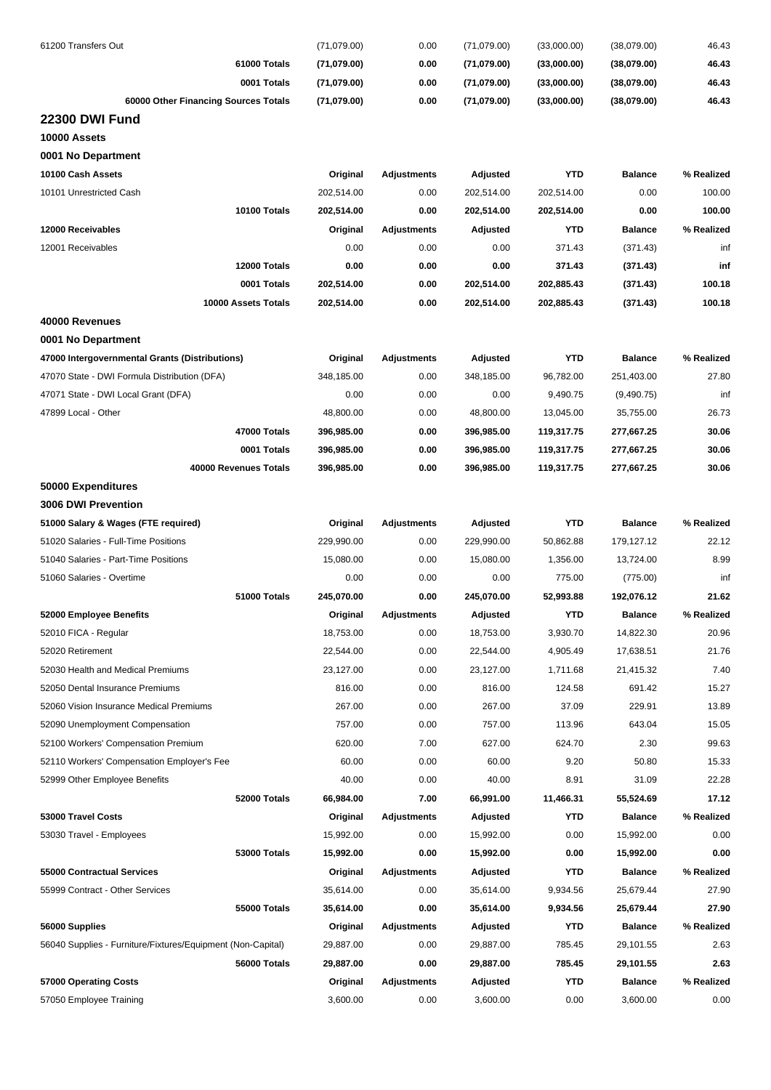| 61200 Transfers Out                                         | (71,079.00) | 0.00               | (71,079.00) | (33,000.00) | (38,079.00)    | 46.43      |
|-------------------------------------------------------------|-------------|--------------------|-------------|-------------|----------------|------------|
| 61000 Totals                                                | (71,079.00) | 0.00               | (71,079.00) | (33,000.00) | (38,079.00)    | 46.43      |
| 0001 Totals                                                 | (71,079.00) | 0.00               | (71,079.00) | (33,000.00) | (38,079.00)    | 46.43      |
| 60000 Other Financing Sources Totals                        | (71,079.00) | 0.00               | (71,079.00) | (33,000.00) | (38,079.00)    | 46.43      |
| <b>22300 DWI Fund</b>                                       |             |                    |             |             |                |            |
| 10000 Assets                                                |             |                    |             |             |                |            |
| 0001 No Department                                          |             |                    |             |             |                |            |
| 10100 Cash Assets                                           | Original    | <b>Adjustments</b> | Adjusted    | <b>YTD</b>  | <b>Balance</b> | % Realized |
| 10101 Unrestricted Cash                                     | 202,514.00  | 0.00               | 202,514.00  | 202,514.00  | 0.00           | 100.00     |
| 10100 Totals                                                | 202,514.00  | 0.00               | 202,514.00  | 202,514.00  | 0.00           | 100.00     |
| 12000 Receivables                                           | Original    | Adjustments        | Adjusted    | <b>YTD</b>  | <b>Balance</b> | % Realized |
| 12001 Receivables                                           | 0.00        | 0.00               | 0.00        | 371.43      | (371.43)       | inf        |
| 12000 Totals                                                | 0.00        | 0.00               | 0.00        | 371.43      | (371.43)       | inf        |
| 0001 Totals                                                 | 202,514.00  | 0.00               | 202,514.00  | 202,885.43  | (371.43)       | 100.18     |
| 10000 Assets Totals                                         | 202,514.00  | 0.00               | 202,514.00  | 202,885.43  | (371.43)       | 100.18     |
| 40000 Revenues                                              |             |                    |             |             |                |            |
| 0001 No Department                                          |             |                    |             |             |                |            |
| 47000 Intergovernmental Grants (Distributions)              | Original    | <b>Adjustments</b> | Adjusted    | <b>YTD</b>  | <b>Balance</b> | % Realized |
| 47070 State - DWI Formula Distribution (DFA)                | 348,185.00  | 0.00               | 348,185.00  | 96,782.00   | 251,403.00     | 27.80      |
| 47071 State - DWI Local Grant (DFA)                         | 0.00        | 0.00               | 0.00        | 9,490.75    | (9,490.75)     | inf        |
| 47899 Local - Other                                         | 48,800.00   | 0.00               | 48,800.00   | 13,045.00   | 35,755.00      | 26.73      |
| 47000 Totals                                                | 396,985.00  | 0.00               | 396,985.00  | 119,317.75  | 277,667.25     | 30.06      |
| 0001 Totals                                                 | 396,985.00  | 0.00               | 396,985.00  | 119,317.75  | 277,667.25     | 30.06      |
| 40000 Revenues Totals                                       | 396,985.00  | 0.00               | 396,985.00  | 119,317.75  | 277,667.25     | 30.06      |
| 50000 Expenditures                                          |             |                    |             |             |                |            |
| 3006 DWI Prevention                                         |             |                    |             |             |                |            |
| 51000 Salary & Wages (FTE required)                         | Original    | Adjustments        | Adjusted    | <b>YTD</b>  | <b>Balance</b> | % Realized |
| 51020 Salaries - Full-Time Positions                        | 229,990.00  | 0.00               | 229,990.00  | 50,862.88   | 179,127.12     | 22.12      |
| 51040 Salaries - Part-Time Positions                        | 15,080.00   | 0.00               | 15,080.00   | 1,356.00    | 13,724.00      | 8.99       |
| 51060 Salaries - Overtime                                   | 0.00        | 0.00               | 0.00        | 775.00      | (775.00)       | inf        |
| 51000 Totals                                                | 245,070.00  | 0.00               | 245,070.00  | 52,993.88   | 192,076.12     | 21.62      |
| 52000 Employee Benefits                                     | Original    | <b>Adiustments</b> | Adjusted    | YTD         | <b>Balance</b> | % Realized |
| 52010 FICA - Regular                                        | 18,753.00   | 0.00               | 18,753.00   | 3,930.70    | 14,822.30      | 20.96      |
| 52020 Retirement                                            | 22,544.00   | 0.00               | 22,544.00   | 4,905.49    | 17,638.51      | 21.76      |
| 52030 Health and Medical Premiums                           | 23,127.00   | 0.00               | 23,127.00   | 1,711.68    | 21,415.32      | 7.40       |
| 52050 Dental Insurance Premiums                             | 816.00      | 0.00               | 816.00      | 124.58      | 691.42         | 15.27      |
| 52060 Vision Insurance Medical Premiums                     | 267.00      | 0.00               | 267.00      | 37.09       | 229.91         | 13.89      |
| 52090 Unemployment Compensation                             | 757.00      | 0.00               | 757.00      | 113.96      | 643.04         | 15.05      |
| 52100 Workers' Compensation Premium                         | 620.00      | 7.00               | 627.00      | 624.70      | 2.30           | 99.63      |
| 52110 Workers' Compensation Employer's Fee                  | 60.00       | 0.00               | 60.00       | 9.20        | 50.80          | 15.33      |
| 52999 Other Employee Benefits                               | 40.00       | 0.00               | 40.00       | 8.91        | 31.09          | 22.28      |
| 52000 Totals                                                | 66,984.00   | 7.00               | 66,991.00   | 11,466.31   | 55,524.69      | 17.12      |
| 53000 Travel Costs                                          | Original    | Adjustments        | Adjusted    | YTD         | <b>Balance</b> | % Realized |
| 53030 Travel - Employees                                    | 15,992.00   | 0.00               | 15,992.00   | 0.00        | 15,992.00      | 0.00       |
| 53000 Totals                                                | 15,992.00   | 0.00               | 15,992.00   | 0.00        | 15,992.00      | 0.00       |
| 55000 Contractual Services                                  | Original    | Adjustments        | Adjusted    | <b>YTD</b>  | <b>Balance</b> | % Realized |
| 55999 Contract - Other Services                             | 35,614.00   | 0.00               | 35,614.00   | 9,934.56    | 25,679.44      | 27.90      |
| 55000 Totals                                                | 35,614.00   | 0.00               | 35,614.00   | 9,934.56    | 25,679.44      | 27.90      |
| 56000 Supplies                                              | Original    | Adjustments        | Adjusted    | YTD         | <b>Balance</b> | % Realized |
| 56040 Supplies - Furniture/Fixtures/Equipment (Non-Capital) | 29,887.00   | 0.00               | 29,887.00   | 785.45      | 29,101.55      | 2.63       |
| 56000 Totals                                                | 29,887.00   | 0.00               | 29,887.00   | 785.45      | 29,101.55      | 2.63       |
| 57000 Operating Costs                                       | Original    | <b>Adjustments</b> | Adjusted    | YTD         | <b>Balance</b> | % Realized |
| 57050 Employee Training                                     | 3,600.00    | 0.00               | 3,600.00    | 0.00        | 3,600.00       | 0.00       |
|                                                             |             |                    |             |             |                |            |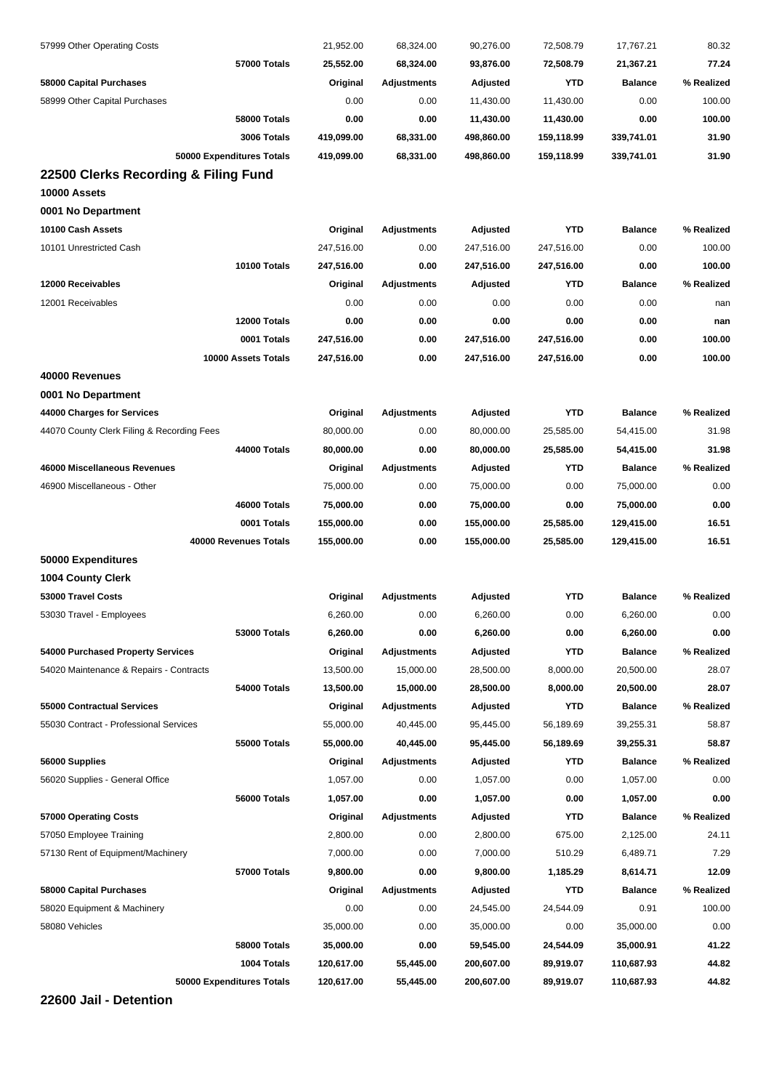| 54000 Totals<br>55000 Totals<br>56000 Totals<br>57000 Totals<br>58080 Vehicles<br>58000 Totals                                                                                                                                                                                                                                                                      | Original<br>13,500.00<br>13,500.00<br>Original<br>55,000.00<br>55,000.00<br>Original<br>1,057.00<br>1,057.00<br>Original<br>2,800.00<br>7,000.00<br>9,800.00<br>Original<br>0.00<br>35,000.00<br>35,000.00 | 0.00<br><b>Adjustments</b><br>15,000.00<br>15,000.00<br><b>Adjustments</b><br>40,445.00<br>40,445.00<br><b>Adjustments</b><br>0.00<br>0.00<br><b>Adjustments</b><br>0.00<br>0.00<br>0.00<br><b>Adjustments</b><br>0.00<br>0.00<br>0.00 | 6,260.00<br>Adjusted<br>28,500.00<br>28,500.00<br>Adjusted<br>95,445.00<br>95,445.00<br>Adjusted<br>1,057.00<br>1,057.00<br>Adjusted<br>2,800.00<br>7,000.00<br>9,800.00<br>Adjusted<br>24,545.00<br>35,000.00<br>59,545.00 | 0.00<br>YTD<br>8,000.00<br>8,000.00<br><b>YTD</b><br>56,189.69<br>56,189.69<br>YTD<br>0.00<br>0.00<br>YTD<br>675.00<br>510.29<br>1,185.29<br>YTD<br>24,544.09<br>0.00<br>24,544.09 | 6,260.00<br><b>Balance</b><br>20,500.00<br>20,500.00<br><b>Balance</b><br>39,255.31<br>39,255.31<br><b>Balance</b><br>1,057.00<br>1,057.00<br><b>Balance</b><br>2,125.00<br>6,489.71<br>8,614.71<br><b>Balance</b><br>0.91<br>35,000.00<br>35,000.91 | 0.00<br>% Realized<br>28.07<br>28.07<br>% Realized<br>58.87<br>58.87<br>% Realized<br>0.00<br>0.00<br>% Realized<br>24.11<br>7.29<br>12.09<br>% Realized<br>100.00<br>0.00<br>41.22 |
|---------------------------------------------------------------------------------------------------------------------------------------------------------------------------------------------------------------------------------------------------------------------------------------------------------------------------------------------------------------------|------------------------------------------------------------------------------------------------------------------------------------------------------------------------------------------------------------|----------------------------------------------------------------------------------------------------------------------------------------------------------------------------------------------------------------------------------------|-----------------------------------------------------------------------------------------------------------------------------------------------------------------------------------------------------------------------------|------------------------------------------------------------------------------------------------------------------------------------------------------------------------------------|------------------------------------------------------------------------------------------------------------------------------------------------------------------------------------------------------------------------------------------------------|-------------------------------------------------------------------------------------------------------------------------------------------------------------------------------------|
| 54000 Purchased Property Services<br>54020 Maintenance & Repairs - Contracts<br><b>55000 Contractual Services</b><br>55030 Contract - Professional Services<br>56000 Supplies<br>56020 Supplies - General Office<br>57000 Operating Costs<br>57050 Employee Training<br>57130 Rent of Equipment/Machinery<br>58000 Capital Purchases<br>58020 Equipment & Machinery |                                                                                                                                                                                                            |                                                                                                                                                                                                                                        |                                                                                                                                                                                                                             |                                                                                                                                                                                    |                                                                                                                                                                                                                                                      |                                                                                                                                                                                     |
|                                                                                                                                                                                                                                                                                                                                                                     |                                                                                                                                                                                                            |                                                                                                                                                                                                                                        |                                                                                                                                                                                                                             |                                                                                                                                                                                    |                                                                                                                                                                                                                                                      |                                                                                                                                                                                     |
|                                                                                                                                                                                                                                                                                                                                                                     |                                                                                                                                                                                                            |                                                                                                                                                                                                                                        |                                                                                                                                                                                                                             |                                                                                                                                                                                    |                                                                                                                                                                                                                                                      |                                                                                                                                                                                     |
|                                                                                                                                                                                                                                                                                                                                                                     |                                                                                                                                                                                                            |                                                                                                                                                                                                                                        |                                                                                                                                                                                                                             |                                                                                                                                                                                    |                                                                                                                                                                                                                                                      |                                                                                                                                                                                     |
|                                                                                                                                                                                                                                                                                                                                                                     |                                                                                                                                                                                                            |                                                                                                                                                                                                                                        |                                                                                                                                                                                                                             |                                                                                                                                                                                    |                                                                                                                                                                                                                                                      |                                                                                                                                                                                     |
|                                                                                                                                                                                                                                                                                                                                                                     |                                                                                                                                                                                                            |                                                                                                                                                                                                                                        |                                                                                                                                                                                                                             |                                                                                                                                                                                    |                                                                                                                                                                                                                                                      |                                                                                                                                                                                     |
|                                                                                                                                                                                                                                                                                                                                                                     |                                                                                                                                                                                                            |                                                                                                                                                                                                                                        |                                                                                                                                                                                                                             |                                                                                                                                                                                    |                                                                                                                                                                                                                                                      |                                                                                                                                                                                     |
|                                                                                                                                                                                                                                                                                                                                                                     |                                                                                                                                                                                                            |                                                                                                                                                                                                                                        |                                                                                                                                                                                                                             |                                                                                                                                                                                    |                                                                                                                                                                                                                                                      |                                                                                                                                                                                     |
|                                                                                                                                                                                                                                                                                                                                                                     |                                                                                                                                                                                                            |                                                                                                                                                                                                                                        |                                                                                                                                                                                                                             |                                                                                                                                                                                    |                                                                                                                                                                                                                                                      |                                                                                                                                                                                     |
|                                                                                                                                                                                                                                                                                                                                                                     |                                                                                                                                                                                                            |                                                                                                                                                                                                                                        |                                                                                                                                                                                                                             |                                                                                                                                                                                    |                                                                                                                                                                                                                                                      |                                                                                                                                                                                     |
|                                                                                                                                                                                                                                                                                                                                                                     |                                                                                                                                                                                                            |                                                                                                                                                                                                                                        |                                                                                                                                                                                                                             |                                                                                                                                                                                    |                                                                                                                                                                                                                                                      |                                                                                                                                                                                     |
|                                                                                                                                                                                                                                                                                                                                                                     |                                                                                                                                                                                                            |                                                                                                                                                                                                                                        |                                                                                                                                                                                                                             |                                                                                                                                                                                    |                                                                                                                                                                                                                                                      |                                                                                                                                                                                     |
|                                                                                                                                                                                                                                                                                                                                                                     |                                                                                                                                                                                                            |                                                                                                                                                                                                                                        |                                                                                                                                                                                                                             |                                                                                                                                                                                    |                                                                                                                                                                                                                                                      |                                                                                                                                                                                     |
|                                                                                                                                                                                                                                                                                                                                                                     |                                                                                                                                                                                                            |                                                                                                                                                                                                                                        |                                                                                                                                                                                                                             |                                                                                                                                                                                    |                                                                                                                                                                                                                                                      |                                                                                                                                                                                     |
|                                                                                                                                                                                                                                                                                                                                                                     |                                                                                                                                                                                                            |                                                                                                                                                                                                                                        |                                                                                                                                                                                                                             |                                                                                                                                                                                    |                                                                                                                                                                                                                                                      |                                                                                                                                                                                     |
|                                                                                                                                                                                                                                                                                                                                                                     |                                                                                                                                                                                                            |                                                                                                                                                                                                                                        |                                                                                                                                                                                                                             |                                                                                                                                                                                    |                                                                                                                                                                                                                                                      |                                                                                                                                                                                     |
|                                                                                                                                                                                                                                                                                                                                                                     |                                                                                                                                                                                                            |                                                                                                                                                                                                                                        |                                                                                                                                                                                                                             |                                                                                                                                                                                    |                                                                                                                                                                                                                                                      |                                                                                                                                                                                     |
| 53000 Totals                                                                                                                                                                                                                                                                                                                                                        | 6,260.00                                                                                                                                                                                                   |                                                                                                                                                                                                                                        |                                                                                                                                                                                                                             |                                                                                                                                                                                    |                                                                                                                                                                                                                                                      |                                                                                                                                                                                     |
| 53030 Travel - Employees                                                                                                                                                                                                                                                                                                                                            | 6,260.00                                                                                                                                                                                                   | 0.00                                                                                                                                                                                                                                   | 6,260.00                                                                                                                                                                                                                    | 0.00                                                                                                                                                                               | 6,260.00                                                                                                                                                                                                                                             | 0.00                                                                                                                                                                                |
| 53000 Travel Costs                                                                                                                                                                                                                                                                                                                                                  | Original                                                                                                                                                                                                   | Adjustments                                                                                                                                                                                                                            | Adjusted                                                                                                                                                                                                                    | <b>YTD</b>                                                                                                                                                                         | <b>Balance</b>                                                                                                                                                                                                                                       | % Realized                                                                                                                                                                          |
| <b>1004 County Clerk</b>                                                                                                                                                                                                                                                                                                                                            |                                                                                                                                                                                                            |                                                                                                                                                                                                                                        |                                                                                                                                                                                                                             |                                                                                                                                                                                    |                                                                                                                                                                                                                                                      |                                                                                                                                                                                     |
| 50000 Expenditures                                                                                                                                                                                                                                                                                                                                                  |                                                                                                                                                                                                            |                                                                                                                                                                                                                                        |                                                                                                                                                                                                                             |                                                                                                                                                                                    |                                                                                                                                                                                                                                                      |                                                                                                                                                                                     |
| 40000 Revenues Totals                                                                                                                                                                                                                                                                                                                                               | 155,000.00                                                                                                                                                                                                 | 0.00                                                                                                                                                                                                                                   | 155,000.00                                                                                                                                                                                                                  | 25,585.00                                                                                                                                                                          | 129,415.00                                                                                                                                                                                                                                           | 16.51                                                                                                                                                                               |
| 0001 Totals                                                                                                                                                                                                                                                                                                                                                         | 155,000.00                                                                                                                                                                                                 | 0.00                                                                                                                                                                                                                                   | 155,000.00                                                                                                                                                                                                                  | 25,585.00                                                                                                                                                                          | 129,415.00                                                                                                                                                                                                                                           | 16.51                                                                                                                                                                               |
| 46000 Totals                                                                                                                                                                                                                                                                                                                                                        | 75,000.00                                                                                                                                                                                                  | 0.00                                                                                                                                                                                                                                   | 75,000.00                                                                                                                                                                                                                   | 0.00                                                                                                                                                                               | 75,000.00                                                                                                                                                                                                                                            | 0.00                                                                                                                                                                                |
| 46900 Miscellaneous - Other                                                                                                                                                                                                                                                                                                                                         | 75,000.00                                                                                                                                                                                                  | 0.00                                                                                                                                                                                                                                   | 75,000.00                                                                                                                                                                                                                   | 0.00                                                                                                                                                                               | 75,000.00                                                                                                                                                                                                                                            | 0.00                                                                                                                                                                                |
| 46000 Miscellaneous Revenues                                                                                                                                                                                                                                                                                                                                        | Original                                                                                                                                                                                                   | <b>Adjustments</b>                                                                                                                                                                                                                     | Adjusted                                                                                                                                                                                                                    | <b>YTD</b>                                                                                                                                                                         | <b>Balance</b>                                                                                                                                                                                                                                       | % Realized                                                                                                                                                                          |
| <b>44000 Totals</b>                                                                                                                                                                                                                                                                                                                                                 | 80,000.00                                                                                                                                                                                                  | 0.00                                                                                                                                                                                                                                   | 80,000.00                                                                                                                                                                                                                   | 25,585.00                                                                                                                                                                          | 54,415.00                                                                                                                                                                                                                                            | 31.98                                                                                                                                                                               |
| 44070 County Clerk Filing & Recording Fees                                                                                                                                                                                                                                                                                                                          | 80,000.00                                                                                                                                                                                                  | 0.00                                                                                                                                                                                                                                   | 80,000.00                                                                                                                                                                                                                   | 25,585.00                                                                                                                                                                          | 54,415.00                                                                                                                                                                                                                                            | 31.98                                                                                                                                                                               |
| 44000 Charges for Services                                                                                                                                                                                                                                                                                                                                          | Original                                                                                                                                                                                                   | <b>Adjustments</b>                                                                                                                                                                                                                     | Adjusted                                                                                                                                                                                                                    | <b>YTD</b>                                                                                                                                                                         | <b>Balance</b>                                                                                                                                                                                                                                       | % Realized                                                                                                                                                                          |
| 0001 No Department                                                                                                                                                                                                                                                                                                                                                  |                                                                                                                                                                                                            |                                                                                                                                                                                                                                        |                                                                                                                                                                                                                             |                                                                                                                                                                                    |                                                                                                                                                                                                                                                      |                                                                                                                                                                                     |
| 40000 Revenues                                                                                                                                                                                                                                                                                                                                                      |                                                                                                                                                                                                            |                                                                                                                                                                                                                                        |                                                                                                                                                                                                                             |                                                                                                                                                                                    |                                                                                                                                                                                                                                                      |                                                                                                                                                                                     |
| 10000 Assets Totals                                                                                                                                                                                                                                                                                                                                                 | 247,516.00                                                                                                                                                                                                 | 0.00                                                                                                                                                                                                                                   | 247,516.00                                                                                                                                                                                                                  | 247,516.00                                                                                                                                                                         | 0.00                                                                                                                                                                                                                                                 | 100.00                                                                                                                                                                              |
| 0001 Totals                                                                                                                                                                                                                                                                                                                                                         | 247,516.00                                                                                                                                                                                                 | 0.00                                                                                                                                                                                                                                   | 247,516.00                                                                                                                                                                                                                  | 247,516.00                                                                                                                                                                         | 0.00                                                                                                                                                                                                                                                 | 100.00                                                                                                                                                                              |
| 12000 Totals                                                                                                                                                                                                                                                                                                                                                        | 0.00                                                                                                                                                                                                       | 0.00                                                                                                                                                                                                                                   | 0.00                                                                                                                                                                                                                        | 0.00                                                                                                                                                                               | 0.00                                                                                                                                                                                                                                                 | nan                                                                                                                                                                                 |
| 12001 Receivables                                                                                                                                                                                                                                                                                                                                                   | 0.00                                                                                                                                                                                                       | 0.00                                                                                                                                                                                                                                   | 0.00                                                                                                                                                                                                                        | 0.00                                                                                                                                                                               | 0.00                                                                                                                                                                                                                                                 | nan                                                                                                                                                                                 |
| 12000 Receivables                                                                                                                                                                                                                                                                                                                                                   | Original                                                                                                                                                                                                   | <b>Adjustments</b>                                                                                                                                                                                                                     | Adjusted                                                                                                                                                                                                                    | YTD                                                                                                                                                                                | <b>Balance</b>                                                                                                                                                                                                                                       | % Realized                                                                                                                                                                          |
| 10100 Totals                                                                                                                                                                                                                                                                                                                                                        | 247,516.00                                                                                                                                                                                                 | 0.00                                                                                                                                                                                                                                   | 247,516.00                                                                                                                                                                                                                  | 247,516.00                                                                                                                                                                         | 0.00                                                                                                                                                                                                                                                 | 100.00                                                                                                                                                                              |
| 10101 Unrestricted Cash                                                                                                                                                                                                                                                                                                                                             | 247,516.00                                                                                                                                                                                                 | 0.00                                                                                                                                                                                                                                   | 247,516.00                                                                                                                                                                                                                  | 247,516.00                                                                                                                                                                         | 0.00                                                                                                                                                                                                                                                 | 100.00                                                                                                                                                                              |
| 10100 Cash Assets                                                                                                                                                                                                                                                                                                                                                   | Original                                                                                                                                                                                                   | <b>Adjustments</b>                                                                                                                                                                                                                     | Adjusted                                                                                                                                                                                                                    | <b>YTD</b>                                                                                                                                                                         | <b>Balance</b>                                                                                                                                                                                                                                       | % Realized                                                                                                                                                                          |
| 0001 No Department                                                                                                                                                                                                                                                                                                                                                  |                                                                                                                                                                                                            |                                                                                                                                                                                                                                        |                                                                                                                                                                                                                             |                                                                                                                                                                                    |                                                                                                                                                                                                                                                      |                                                                                                                                                                                     |
| 10000 Assets                                                                                                                                                                                                                                                                                                                                                        |                                                                                                                                                                                                            |                                                                                                                                                                                                                                        |                                                                                                                                                                                                                             |                                                                                                                                                                                    |                                                                                                                                                                                                                                                      |                                                                                                                                                                                     |
| 22500 Clerks Recording & Filing Fund                                                                                                                                                                                                                                                                                                                                |                                                                                                                                                                                                            |                                                                                                                                                                                                                                        |                                                                                                                                                                                                                             |                                                                                                                                                                                    |                                                                                                                                                                                                                                                      |                                                                                                                                                                                     |
| 50000 Expenditures Totals                                                                                                                                                                                                                                                                                                                                           | 419,099.00                                                                                                                                                                                                 | 68,331.00                                                                                                                                                                                                                              | 498,860.00                                                                                                                                                                                                                  | 159,118.99                                                                                                                                                                         | 339,741.01                                                                                                                                                                                                                                           | 31.90                                                                                                                                                                               |
| 3006 Totals                                                                                                                                                                                                                                                                                                                                                         | 419,099.00                                                                                                                                                                                                 | 68,331.00                                                                                                                                                                                                                              | 498,860.00                                                                                                                                                                                                                  | 159,118.99                                                                                                                                                                         | 339,741.01                                                                                                                                                                                                                                           | 31.90                                                                                                                                                                               |
| 58000 Totals                                                                                                                                                                                                                                                                                                                                                        | 0.00                                                                                                                                                                                                       | 0.00                                                                                                                                                                                                                                   | 11,430.00                                                                                                                                                                                                                   | 11,430.00                                                                                                                                                                          | 0.00                                                                                                                                                                                                                                                 | 100.00                                                                                                                                                                              |
| 58999 Other Capital Purchases                                                                                                                                                                                                                                                                                                                                       | 0.00                                                                                                                                                                                                       | 0.00                                                                                                                                                                                                                                   | 11,430.00                                                                                                                                                                                                                   | 11,430.00                                                                                                                                                                          | 0.00                                                                                                                                                                                                                                                 | 100.00                                                                                                                                                                              |
|                                                                                                                                                                                                                                                                                                                                                                     | Original                                                                                                                                                                                                   | <b>Adjustments</b>                                                                                                                                                                                                                     | Adjusted                                                                                                                                                                                                                    | <b>YTD</b>                                                                                                                                                                         | <b>Balance</b>                                                                                                                                                                                                                                       | % Realized                                                                                                                                                                          |
| <b>58000 Capital Purchases</b>                                                                                                                                                                                                                                                                                                                                      |                                                                                                                                                                                                            |                                                                                                                                                                                                                                        |                                                                                                                                                                                                                             |                                                                                                                                                                                    | 21,367.21                                                                                                                                                                                                                                            | 77.24                                                                                                                                                                               |
| 57000 Totals                                                                                                                                                                                                                                                                                                                                                        | 25,552.00                                                                                                                                                                                                  | 68,324.00                                                                                                                                                                                                                              | 93,876.00                                                                                                                                                                                                                   | 72,508.79                                                                                                                                                                          |                                                                                                                                                                                                                                                      |                                                                                                                                                                                     |

**22600 Jail - Detention**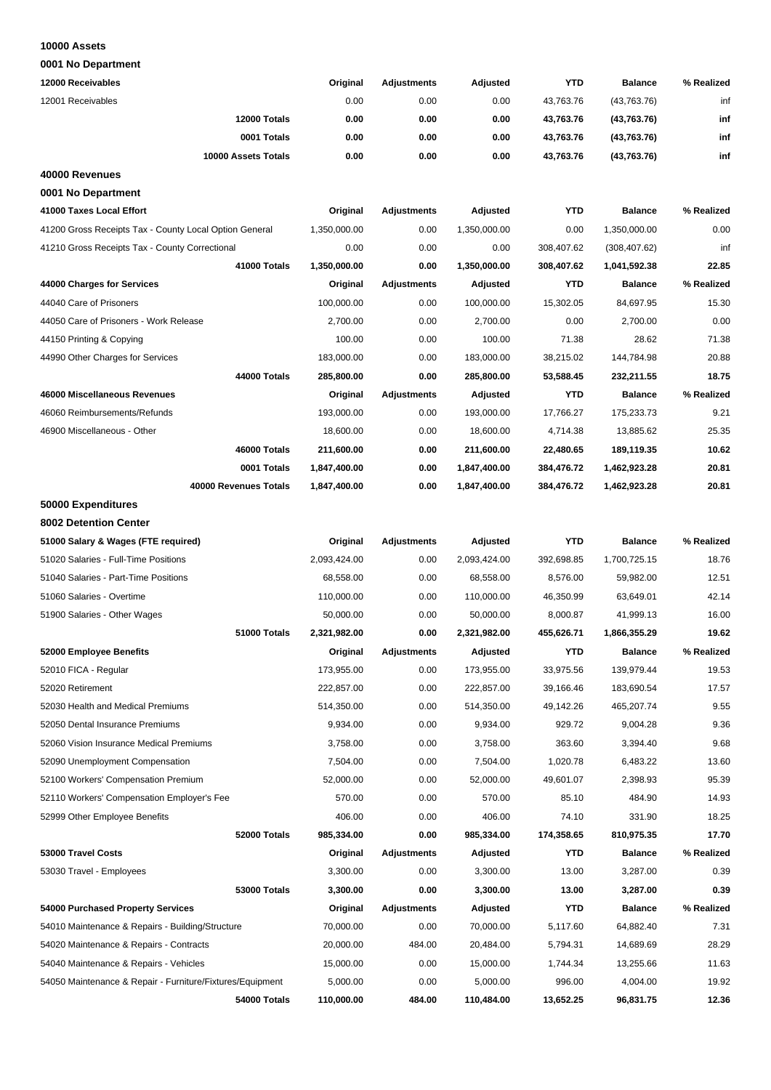#### **10000 Assets**

| 12000 Receivables                                         | Original                   | <b>Adjustments</b> | Adjusted     | <b>YTD</b>              | <b>Balance</b> | % Realized     |
|-----------------------------------------------------------|----------------------------|--------------------|--------------|-------------------------|----------------|----------------|
| 12001 Receivables                                         | 0.00                       | 0.00               | 0.00         | 43,763.76               | (43,763.76)    | inf            |
| 12000 Totals                                              | 0.00                       | 0.00               | 0.00         | 43,763.76               | (43,763.76)    | inf            |
| 0001 Totals                                               | 0.00                       | 0.00               | 0.00         | 43,763.76               | (43,763.76)    | inf            |
| 10000 Assets Totals                                       | 0.00                       | 0.00               | 0.00         | 43,763.76               | (43,763.76)    | inf            |
| 40000 Revenues                                            |                            |                    |              |                         |                |                |
| 0001 No Department                                        |                            |                    |              |                         |                |                |
| 41000 Taxes Local Effort                                  | Original                   | <b>Adjustments</b> | Adjusted     | <b>YTD</b>              | <b>Balance</b> | % Realized     |
| 41200 Gross Receipts Tax - County Local Option General    | 1,350,000.00               | 0.00               | 1,350,000.00 | 0.00                    | 1,350,000.00   | 0.00           |
| 41210 Gross Receipts Tax - County Correctional            | 0.00                       | 0.00               | 0.00         | 308,407.62              | (308, 407.62)  | inf            |
| 41000 Totals                                              | 1,350,000.00               | 0.00               | 1,350,000.00 | 308,407.62              | 1,041,592.38   | 22.85          |
| 44000 Charges for Services                                | Original                   | <b>Adjustments</b> | Adjusted     | YTD                     | <b>Balance</b> | % Realized     |
| 44040 Care of Prisoners                                   | 100,000.00                 | 0.00               | 100,000.00   | 15,302.05               | 84,697.95      | 15.30          |
| 44050 Care of Prisoners - Work Release                    | 2,700.00                   | 0.00               | 2,700.00     | 0.00                    | 2,700.00       | 0.00           |
| 44150 Printing & Copying                                  | 100.00                     | 0.00               | 100.00       | 71.38                   | 28.62          | 71.38          |
| 44990 Other Charges for Services                          | 183,000.00                 | 0.00               | 183,000.00   | 38,215.02               | 144,784.98     | 20.88          |
| 44000 Totals                                              | 285,800.00                 | 0.00               | 285,800.00   | 53,588.45               | 232,211.55     | 18.75          |
| 46000 Miscellaneous Revenues                              | Original                   | Adjustments        | Adjusted     | YTD                     | <b>Balance</b> | % Realized     |
| 46060 Reimbursements/Refunds                              | 193,000.00                 | 0.00               | 193,000.00   | 17,766.27               | 175,233.73     | 9.21           |
| 46900 Miscellaneous - Other                               | 18,600.00                  | 0.00               | 18,600.00    | 4,714.38                | 13,885.62      | 25.35          |
| 46000 Totals                                              |                            | 0.00               |              |                         |                | 10.62          |
| 0001 Totals                                               | 211,600.00<br>1,847,400.00 | 0.00               | 211,600.00   | 22,480.65<br>384,476.72 | 189,119.35     | 20.81          |
|                                                           |                            |                    | 1,847,400.00 |                         | 1,462,923.28   |                |
| 40000 Revenues Totals                                     | 1,847,400.00               | 0.00               | 1,847,400.00 | 384,476.72              | 1,462,923.28   | 20.81          |
| 50000 Expenditures                                        |                            |                    |              |                         |                |                |
| 8002 Detention Center                                     |                            |                    |              |                         |                |                |
| 51000 Salary & Wages (FTE required)                       | Original                   | <b>Adjustments</b> | Adjusted     | <b>YTD</b>              | <b>Balance</b> | % Realized     |
| 51020 Salaries - Full-Time Positions                      | 2,093,424.00               | 0.00               | 2,093,424.00 | 392,698.85              | 1,700,725.15   | 18.76          |
| 51040 Salaries - Part-Time Positions                      | 68,558.00                  | 0.00               | 68,558.00    | 8,576.00                | 59,982.00      | 12.51<br>42.14 |
| 51060 Salaries - Overtime                                 | 110,000.00                 | 0.00               | 110,000.00   | 46,350.99               | 63,649.01      |                |
| 51900 Salaries - Other Wages                              | 50,000.00                  | 0.00               | 50,000.00    | 8,000.87                | 41,999.13      | 16.00          |
| 51000 Totals                                              | 2,321,982.00               | 0.00               | 2,321,982.00 | 455,626.71              | 1,866,355.29   | 19.62          |
| 52000 Employee Benefits                                   | Original                   | Adjustments        | Adjusted     | <b>YTD</b>              | <b>Balance</b> | % Realized     |
| 52010 FICA - Regular                                      | 173,955.00                 | 0.00               | 173,955.00   | 33,975.56               | 139,979.44     | 19.53          |
| 52020 Retirement                                          | 222,857.00                 | 0.00               | 222,857.00   | 39,166.46               | 183,690.54     | 17.57          |
| 52030 Health and Medical Premiums                         | 514,350.00                 | 0.00               | 514,350.00   | 49,142.26               | 465,207.74     | 9.55           |
| 52050 Dental Insurance Premiums                           | 9,934.00                   | 0.00               | 9,934.00     | 929.72                  | 9,004.28       | 9.36           |
| 52060 Vision Insurance Medical Premiums                   | 3,758.00                   | 0.00               | 3,758.00     | 363.60                  | 3,394.40       | 9.68           |
| 52090 Unemployment Compensation                           | 7,504.00                   | 0.00               | 7,504.00     | 1,020.78                | 6,483.22       | 13.60          |
| 52100 Workers' Compensation Premium                       | 52,000.00                  | 0.00               | 52,000.00    | 49,601.07               | 2,398.93       | 95.39          |
| 52110 Workers' Compensation Employer's Fee                | 570.00                     | 0.00               | 570.00       | 85.10                   | 484.90         | 14.93          |
| 52999 Other Employee Benefits                             | 406.00                     | 0.00               | 406.00       | 74.10                   | 331.90         | 18.25          |
| 52000 Totals                                              | 985,334.00                 | 0.00               | 985,334.00   | 174,358.65              | 810,975.35     | 17.70          |
| 53000 Travel Costs                                        | Original                   | Adjustments        | Adjusted     | YTD                     | <b>Balance</b> | % Realized     |
| 53030 Travel - Employees                                  | 3,300.00                   | 0.00               | 3,300.00     | 13.00                   | 3,287.00       | 0.39           |
| 53000 Totals                                              | 3,300.00                   | 0.00               | 3,300.00     | 13.00                   | 3,287.00       | 0.39           |
| 54000 Purchased Property Services                         | Original                   | <b>Adjustments</b> | Adjusted     | YTD                     | <b>Balance</b> | % Realized     |
| 54010 Maintenance & Repairs - Building/Structure          | 70,000.00                  | 0.00               | 70,000.00    | 5,117.60                | 64,882.40      | 7.31           |
| 54020 Maintenance & Repairs - Contracts                   | 20,000.00                  | 484.00             | 20,484.00    | 5,794.31                | 14,689.69      | 28.29          |
| 54040 Maintenance & Repairs - Vehicles                    | 15,000.00                  | 0.00               | 15,000.00    | 1,744.34                | 13,255.66      | 11.63          |
| 54050 Maintenance & Repair - Furniture/Fixtures/Equipment | 5,000.00                   | 0.00               | 5,000.00     | 996.00                  | 4,004.00       | 19.92          |
| 54000 Totals                                              | 110,000.00                 | 484.00             | 110,484.00   | 13,652.25               | 96,831.75      | 12.36          |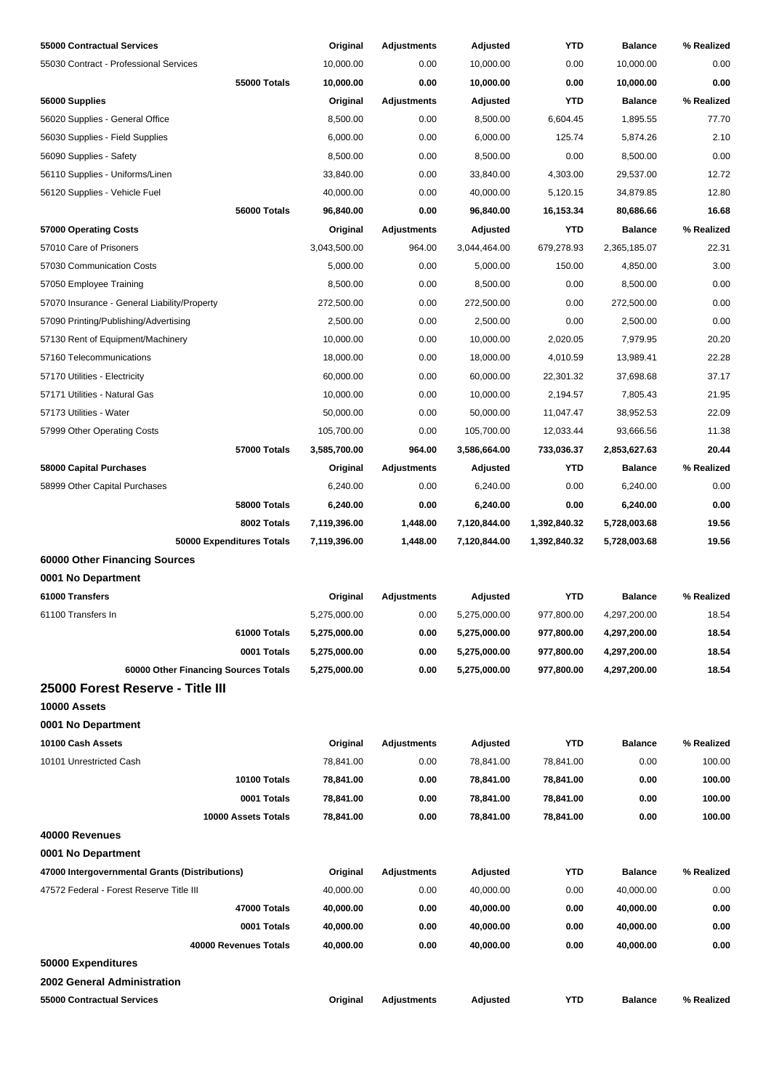| 55000 Contractual Services                     | Original     | Adjustments        | Adjusted     | YTD          | <b>Balance</b> | % Realized |
|------------------------------------------------|--------------|--------------------|--------------|--------------|----------------|------------|
| 55030 Contract - Professional Services         | 10.000.00    | 0.00               | 10,000.00    | 0.00         | 10,000.00      | 0.00       |
| 55000 Totals                                   | 10,000.00    | 0.00               | 10,000.00    | 0.00         | 10,000.00      | 0.00       |
| 56000 Supplies                                 | Original     | Adjustments        | Adjusted     | <b>YTD</b>   | <b>Balance</b> | % Realized |
| 56020 Supplies - General Office                | 8,500.00     | 0.00               | 8,500.00     | 6,604.45     | 1,895.55       | 77.70      |
| 56030 Supplies - Field Supplies                | 6,000.00     | 0.00               | 6,000.00     | 125.74       | 5,874.26       | 2.10       |
| 56090 Supplies - Safety                        | 8,500.00     | 0.00               | 8,500.00     | 0.00         | 8,500.00       | 0.00       |
| 56110 Supplies - Uniforms/Linen                | 33,840.00    | 0.00               | 33,840.00    | 4,303.00     | 29,537.00      | 12.72      |
| 56120 Supplies - Vehicle Fuel                  | 40,000.00    | 0.00               | 40,000.00    | 5,120.15     | 34,879.85      | 12.80      |
| 56000 Totals                                   | 96,840.00    | 0.00               | 96,840.00    | 16,153.34    | 80,686.66      | 16.68      |
| 57000 Operating Costs                          | Original     | <b>Adjustments</b> | Adjusted     | YTD          | <b>Balance</b> | % Realized |
| 57010 Care of Prisoners                        | 3,043,500.00 | 964.00             | 3,044,464.00 | 679,278.93   | 2,365,185.07   | 22.31      |
| 57030 Communication Costs                      | 5,000.00     | 0.00               | 5,000.00     | 150.00       | 4,850.00       | 3.00       |
| 57050 Employee Training                        | 8,500.00     | 0.00               | 8,500.00     | 0.00         | 8,500.00       | 0.00       |
| 57070 Insurance - General Liability/Property   | 272,500.00   | 0.00               | 272,500.00   | 0.00         | 272,500.00     | 0.00       |
| 57090 Printing/Publishing/Advertising          | 2,500.00     | 0.00               | 2,500.00     | 0.00         | 2,500.00       | 0.00       |
| 57130 Rent of Equipment/Machinery              | 10,000.00    | 0.00               | 10,000.00    | 2,020.05     | 7,979.95       | 20.20      |
| 57160 Telecommunications                       | 18,000.00    | 0.00               | 18,000.00    | 4,010.59     | 13,989.41      | 22.28      |
| 57170 Utilities - Electricity                  | 60,000.00    | 0.00               | 60,000.00    | 22,301.32    | 37,698.68      | 37.17      |
| 57171 Utilities - Natural Gas                  | 10,000.00    | 0.00               | 10,000.00    | 2,194.57     | 7,805.43       | 21.95      |
| 57173 Utilities - Water                        | 50,000.00    | 0.00               | 50,000.00    | 11,047.47    | 38,952.53      | 22.09      |
| 57999 Other Operating Costs                    | 105,700.00   | 0.00               | 105,700.00   | 12,033.44    | 93,666.56      | 11.38      |
| 57000 Totals                                   | 3,585,700.00 | 964.00             | 3,586,664.00 | 733,036.37   | 2,853,627.63   | 20.44      |
| 58000 Capital Purchases                        | Original     | <b>Adjustments</b> | Adjusted     | <b>YTD</b>   | <b>Balance</b> | % Realized |
| 58999 Other Capital Purchases                  | 6,240.00     | 0.00               | 6,240.00     | 0.00         | 6,240.00       | 0.00       |
| <b>58000 Totals</b>                            | 6,240.00     | 0.00               | 6,240.00     | 0.00         | 6,240.00       | 0.00       |
| 8002 Totals                                    | 7,119,396.00 | 1,448.00           | 7,120,844.00 | 1,392,840.32 | 5,728,003.68   | 19.56      |
| 50000 Expenditures Totals                      | 7,119,396.00 | 1,448.00           | 7,120,844.00 | 1,392,840.32 | 5,728,003.68   | 19.56      |
| 60000 Other Financing Sources                  |              |                    |              |              |                |            |
| 0001 No Department                             |              |                    |              |              |                |            |
| 61000 Transfers                                | Original     | <b>Adjustments</b> | Adjusted     | <b>YTD</b>   | <b>Balance</b> | % Realized |
| 61100 Transfers In                             | 5,275,000.00 | 0.00               | 5,275,000.00 | 977,800.00   | 4,297,200.00   | 18.54      |
| 61000 Totals                                   | 5,275,000.00 | 0.00               | 5,275,000.00 | 977,800.00   | 4,297,200.00   | 18.54      |
| 0001 Totals                                    | 5,275,000.00 | 0.00               | 5,275,000.00 | 977,800.00   | 4,297,200.00   | 18.54      |
| 60000 Other Financing Sources Totals           | 5,275,000.00 | 0.00               | 5,275,000.00 | 977,800.00   | 4,297,200.00   | 18.54      |
| 25000 Forest Reserve - Title III               |              |                    |              |              |                |            |
| 10000 Assets                                   |              |                    |              |              |                |            |
| 0001 No Department                             |              |                    |              |              |                |            |
| 10100 Cash Assets                              | Original     | <b>Adjustments</b> | Adjusted     | <b>YTD</b>   | <b>Balance</b> | % Realized |
| 10101 Unrestricted Cash                        | 78,841.00    | 0.00               | 78,841.00    | 78,841.00    | 0.00           | 100.00     |
| 10100 Totals                                   | 78,841.00    | 0.00               | 78,841.00    | 78,841.00    | 0.00           | 100.00     |
| 0001 Totals                                    | 78,841.00    | 0.00               | 78,841.00    | 78,841.00    | 0.00           | 100.00     |
| 10000 Assets Totals                            | 78,841.00    | 0.00               | 78,841.00    | 78,841.00    | 0.00           | 100.00     |
| 40000 Revenues                                 |              |                    |              |              |                |            |
| 0001 No Department                             |              |                    |              |              |                |            |
| 47000 Intergovernmental Grants (Distributions) | Original     | <b>Adjustments</b> | Adjusted     | YTD          | <b>Balance</b> | % Realized |
| 47572 Federal - Forest Reserve Title III       | 40,000.00    | 0.00               | 40,000.00    | 0.00         | 40,000.00      | 0.00       |
| 47000 Totals                                   | 40,000.00    | 0.00               | 40,000.00    | 0.00         | 40,000.00      | 0.00       |
| 0001 Totals                                    | 40,000.00    | 0.00               | 40,000.00    | 0.00         | 40,000.00      | 0.00       |
| 40000 Revenues Totals                          | 40,000.00    | 0.00               | 40,000.00    | 0.00         | 40,000.00      | 0.00       |
| 50000 Expenditures                             |              |                    |              |              |                |            |
| 2002 General Administration                    |              |                    |              |              |                |            |
| 55000 Contractual Services                     | Original     | <b>Adjustments</b> | Adjusted     | <b>YTD</b>   | <b>Balance</b> | % Realized |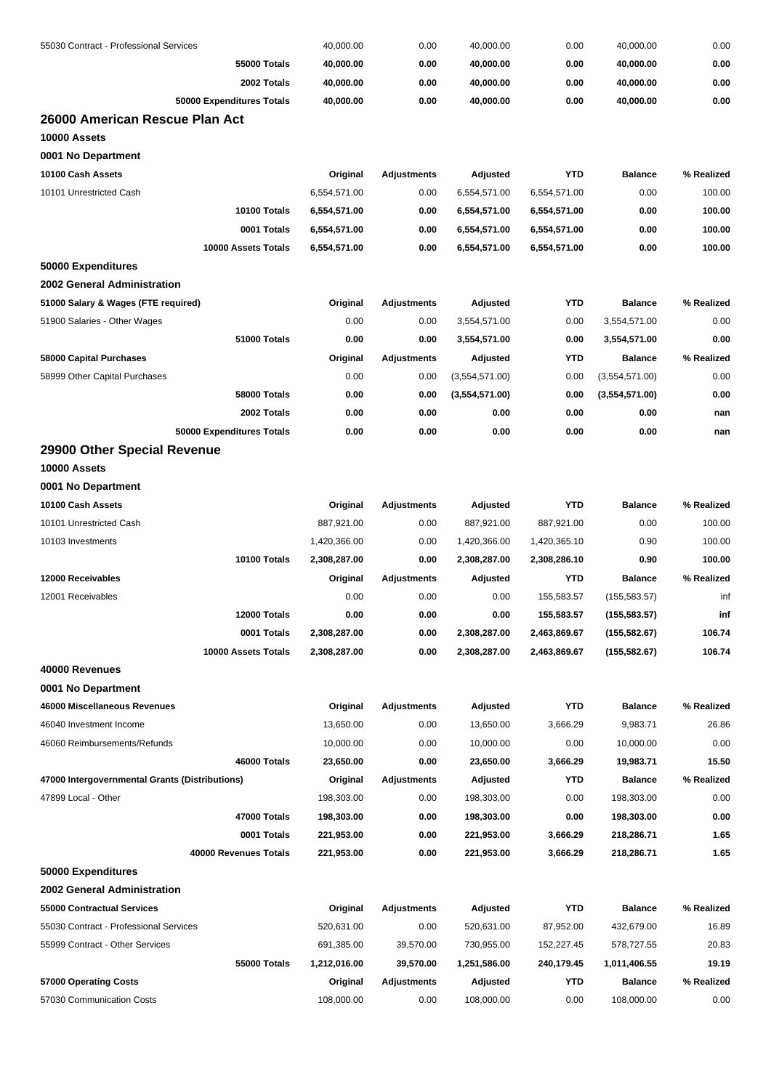| 55030 Contract - Professional Services         | 40,000.00        | 0.00               | 40,000.00        | 0.00         | 40,000.00      | 0.00       |
|------------------------------------------------|------------------|--------------------|------------------|--------------|----------------|------------|
| <b>55000 Totals</b>                            | 40,000.00        | 0.00               | 40,000.00        | 0.00         | 40,000.00      | 0.00       |
| 2002 Totals                                    | 40,000.00        | 0.00               | 40,000.00        | 0.00         | 40,000.00      | 0.00       |
| 50000 Expenditures Totals                      | 40,000.00        | 0.00               | 40,000.00        | 0.00         | 40,000.00      | 0.00       |
| 26000 American Rescue Plan Act                 |                  |                    |                  |              |                |            |
| 10000 Assets                                   |                  |                    |                  |              |                |            |
| 0001 No Department                             |                  |                    |                  |              |                |            |
| 10100 Cash Assets                              | Original         | <b>Adjustments</b> | Adjusted         | <b>YTD</b>   | <b>Balance</b> | % Realized |
| 10101 Unrestricted Cash                        | 6,554,571.00     | 0.00               | 6,554,571.00     | 6,554,571.00 | 0.00           | 100.00     |
| 10100 Totals                                   | 6,554,571.00     | 0.00               | 6,554,571.00     | 6,554,571.00 | 0.00           | 100.00     |
| 0001 Totals                                    | 6,554,571.00     | 0.00               | 6,554,571.00     | 6,554,571.00 | 0.00           | 100.00     |
| 10000 Assets Totals                            | 6,554,571.00     | 0.00               | 6,554,571.00     | 6,554,571.00 | 0.00           | 100.00     |
| 50000 Expenditures                             |                  |                    |                  |              |                |            |
| <b>2002 General Administration</b>             |                  |                    |                  |              |                |            |
| 51000 Salary & Wages (FTE required)            | Original         | <b>Adjustments</b> | Adjusted         | <b>YTD</b>   | <b>Balance</b> | % Realized |
| 51900 Salaries - Other Wages                   | 0.00             | 0.00               | 3,554,571.00     | 0.00         | 3,554,571.00   | 0.00       |
| 51000 Totals                                   | 0.00             | 0.00               | 3,554,571.00     | 0.00         | 3,554,571.00   | 0.00       |
| 58000 Capital Purchases                        | Original         | <b>Adjustments</b> | Adjusted         | YTD          | <b>Balance</b> | % Realized |
| 58999 Other Capital Purchases                  | 0.00             | 0.00               | (3,554,571.00)   | 0.00         | (3,554,571.00) | 0.00       |
| 58000 Totals                                   | 0.00             | 0.00               | (3,554,571.00)   | 0.00         | (3,554,571.00) | 0.00       |
| 2002 Totals                                    | 0.00             | 0.00               | 0.00             | 0.00         | 0.00           | nan        |
| 50000 Expenditures Totals                      | 0.00             | 0.00               | 0.00             | 0.00         | 0.00           | nan        |
| 29900 Other Special Revenue                    |                  |                    |                  |              |                |            |
| 10000 Assets                                   |                  |                    |                  |              |                |            |
| 0001 No Department                             |                  |                    |                  |              |                |            |
| 10100 Cash Assets                              | Original         | <b>Adjustments</b> | Adjusted         | <b>YTD</b>   | <b>Balance</b> | % Realized |
| 10101 Unrestricted Cash                        | 887,921.00       | 0.00               | 887,921.00       | 887,921.00   | 0.00           | 100.00     |
| 10103 Investments                              | 1,420,366.00     | 0.00               | 1,420,366.00     | 1,420,365.10 | 0.90           | 100.00     |
| 10100 Totals                                   | 2,308,287.00     | 0.00               | 2,308,287.00     | 2,308,286.10 | 0.90           | 100.00     |
| 12000 Receivables                              |                  | <b>Adjustments</b> |                  | <b>YTD</b>   | <b>Balance</b> | % Realized |
| 12001 Receivables                              | Original<br>0.00 | 0.00               | Adjusted<br>0.00 | 155,583.57   |                | inf        |
|                                                |                  |                    |                  |              | (155, 583.57)  |            |
| 12000 Totals                                   | 0.00             | 0.00               | 0.00             | 155,583.57   | (155, 583.57)  | inf        |
| 0001 Totals                                    | 2,308,287.00     | 0.00               | 2,308,287.00     | 2,463,869.67 | (155, 582.67)  | 106.74     |
| 10000 Assets Totals                            | 2,308,287.00     | 0.00               | 2,308,287.00     | 2,463,869.67 | (155, 582.67)  | 106.74     |
| 40000 Revenues                                 |                  |                    |                  |              |                |            |
| 0001 No Department                             |                  |                    |                  |              |                |            |
| 46000 Miscellaneous Revenues                   | Original         | <b>Adjustments</b> | Adjusted         | <b>YTD</b>   | <b>Balance</b> | % Realized |
| 46040 Investment Income                        | 13,650.00        | 0.00               | 13,650.00        | 3,666.29     | 9,983.71       | 26.86      |
| 46060 Reimbursements/Refunds                   | 10,000.00        | 0.00               | 10,000.00        | 0.00         | 10,000.00      | 0.00       |
| 46000 Totals                                   | 23,650.00        | 0.00               | 23,650.00        | 3,666.29     | 19,983.71      | 15.50      |
| 47000 Intergovernmental Grants (Distributions) | Original         | Adjustments        | Adjusted         | <b>YTD</b>   | <b>Balance</b> | % Realized |
| 47899 Local - Other                            | 198,303.00       | 0.00               | 198,303.00       | 0.00         | 198,303.00     | 0.00       |
| 47000 Totals                                   | 198,303.00       | 0.00               | 198,303.00       | 0.00         | 198,303.00     | $0.00\,$   |
| 0001 Totals                                    | 221,953.00       | 0.00               | 221,953.00       | 3,666.29     | 218,286.71     | 1.65       |
| 40000 Revenues Totals                          | 221,953.00       | 0.00               | 221,953.00       | 3,666.29     | 218,286.71     | 1.65       |
| 50000 Expenditures                             |                  |                    |                  |              |                |            |
| 2002 General Administration                    |                  |                    |                  |              |                |            |
| 55000 Contractual Services                     | Original         | <b>Adjustments</b> | Adjusted         | <b>YTD</b>   | <b>Balance</b> | % Realized |
| 55030 Contract - Professional Services         | 520,631.00       | 0.00               | 520,631.00       | 87,952.00    | 432,679.00     | 16.89      |
| 55999 Contract - Other Services                | 691,385.00       | 39,570.00          | 730,955.00       | 152,227.45   | 578,727.55     | 20.83      |
| 55000 Totals                                   | 1,212,016.00     | 39,570.00          | 1,251,586.00     | 240,179.45   | 1,011,406.55   | 19.19      |
| 57000 Operating Costs                          | Original         | Adjustments        | Adjusted         | YTD          | <b>Balance</b> | % Realized |
| 57030 Communication Costs                      | 108,000.00       | 0.00               | 108,000.00       | 0.00         | 108,000.00     | 0.00       |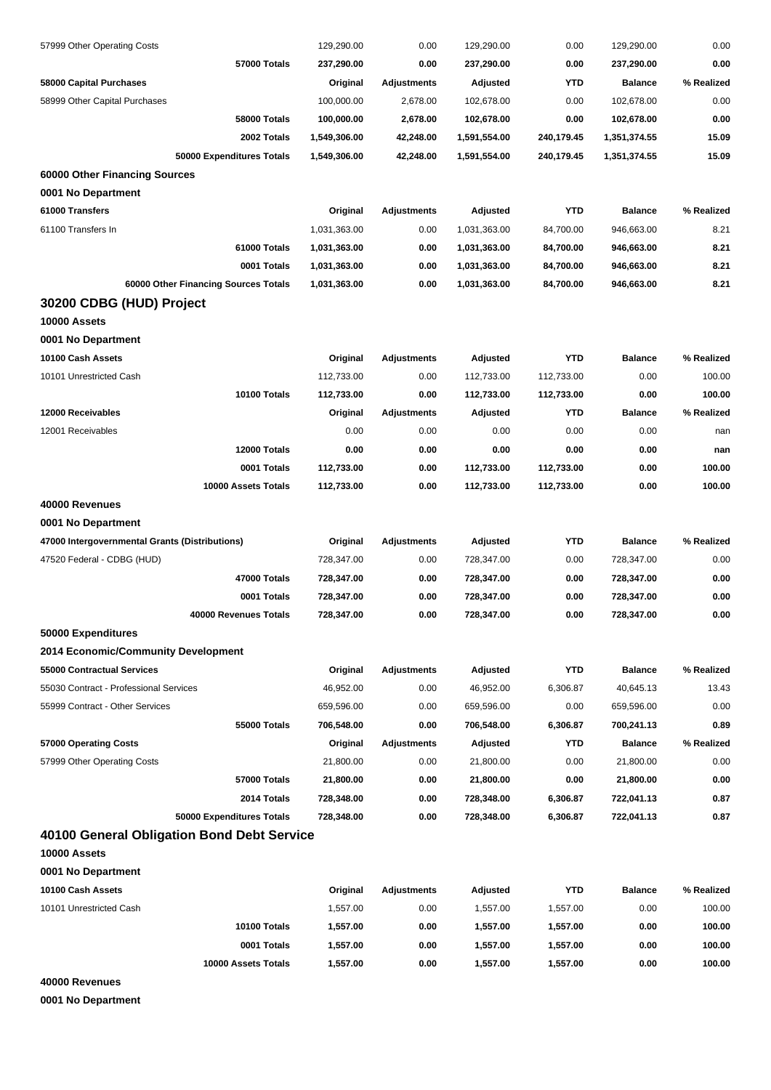| 57999 Other Operating Costs                    | 129,290.00   | 0.00               | 129,290.00   | 0.00       | 129,290.00     | 0.00          |
|------------------------------------------------|--------------|--------------------|--------------|------------|----------------|---------------|
| 57000 Totals                                   | 237,290.00   | 0.00               | 237,290.00   | 0.00       | 237,290.00     | 0.00          |
| 58000 Capital Purchases                        | Original     | <b>Adjustments</b> | Adjusted     | <b>YTD</b> | <b>Balance</b> | % Realized    |
| 58999 Other Capital Purchases                  | 100,000.00   | 2,678.00           | 102,678.00   | 0.00       | 102,678.00     | 0.00          |
| 58000 Totals                                   | 100,000.00   | 2,678.00           | 102,678.00   | 0.00       | 102,678.00     | 0.00          |
| 2002 Totals                                    | 1,549,306.00 | 42,248.00          | 1,591,554.00 | 240,179.45 | 1,351,374.55   | 15.09         |
| 50000 Expenditures Totals                      | 1,549,306.00 | 42,248.00          | 1,591,554.00 | 240,179.45 | 1,351,374.55   | 15.09         |
| 60000 Other Financing Sources                  |              |                    |              |            |                |               |
| 0001 No Department                             |              |                    |              |            |                |               |
| 61000 Transfers                                | Original     | <b>Adjustments</b> | Adjusted     | <b>YTD</b> | <b>Balance</b> | % Realized    |
| 61100 Transfers In                             | 1,031,363.00 | 0.00               | 1,031,363.00 | 84,700.00  | 946,663.00     | 8.21          |
| 61000 Totals                                   | 1,031,363.00 | 0.00               | 1,031,363.00 | 84,700.00  | 946,663.00     | 8.21          |
| 0001 Totals                                    | 1,031,363.00 | 0.00               | 1,031,363.00 | 84,700.00  | 946,663.00     | 8.21          |
| 60000 Other Financing Sources Totals           | 1,031,363.00 | 0.00               | 1,031,363.00 | 84,700.00  | 946,663.00     | 8.21          |
| 30200 CDBG (HUD) Project                       |              |                    |              |            |                |               |
| 10000 Assets                                   |              |                    |              |            |                |               |
| 0001 No Department                             |              |                    |              |            |                |               |
| 10100 Cash Assets                              | Original     | Adjustments        | Adjusted     | <b>YTD</b> | <b>Balance</b> | % Realized    |
| 10101 Unrestricted Cash                        | 112,733.00   | 0.00               | 112,733.00   | 112,733.00 | 0.00           | 100.00        |
| 10100 Totals                                   | 112,733.00   | 0.00               | 112,733.00   | 112,733.00 | 0.00           | 100.00        |
| 12000 Receivables                              | Original     | <b>Adjustments</b> | Adjusted     | YTD        | <b>Balance</b> | % Realized    |
| 12001 Receivables                              | 0.00         | 0.00               | 0.00         | 0.00       | 0.00           | nan           |
| 12000 Totals                                   | 0.00         | 0.00               | 0.00         | 0.00       | 0.00           |               |
| 0001 Totals                                    |              |                    |              |            | 0.00           | nan<br>100.00 |
|                                                | 112,733.00   | 0.00               | 112,733.00   | 112,733.00 |                |               |
| 10000 Assets Totals                            | 112,733.00   | 0.00               | 112,733.00   | 112,733.00 | 0.00           | 100.00        |
| 40000 Revenues                                 |              |                    |              |            |                |               |
| 0001 No Department                             |              |                    |              |            |                |               |
| 47000 Intergovernmental Grants (Distributions) | Original     | <b>Adjustments</b> | Adjusted     | <b>YTD</b> | <b>Balance</b> | % Realized    |
| 47520 Federal - CDBG (HUD)                     | 728,347.00   | 0.00               | 728,347.00   | 0.00       | 728,347.00     | 0.00          |
| 47000 Totals                                   | 728,347.00   | 0.00               | 728,347.00   | 0.00       | 728,347.00     | 0.00          |
| 0001 Totals                                    | 728,347.00   | 0.00               | 728,347.00   | 0.00       | 728,347.00     | 0.00          |
| 40000 Revenues Totals                          | 728,347.00   | 0.00               | 728,347.00   | 0.00       | 728,347.00     | 0.00          |
| 50000 Expenditures                             |              |                    |              |            |                |               |
| 2014 Economic/Community Development            |              |                    |              |            |                |               |
| 55000 Contractual Services                     | Original     | <b>Adjustments</b> | Adjusted     | <b>YTD</b> | <b>Balance</b> | % Realized    |
| 55030 Contract - Professional Services         | 46,952.00    | 0.00               | 46,952.00    | 6,306.87   | 40,645.13      | 13.43         |
| 55999 Contract - Other Services                | 659,596.00   | 0.00               | 659,596.00   | 0.00       | 659,596.00     | 0.00          |
| 55000 Totals                                   | 706,548.00   | 0.00               | 706,548.00   | 6,306.87   | 700,241.13     | 0.89          |
| 57000 Operating Costs                          | Original     | <b>Adjustments</b> | Adjusted     | <b>YTD</b> | <b>Balance</b> | % Realized    |
| 57999 Other Operating Costs                    | 21,800.00    | 0.00               | 21,800.00    | 0.00       | 21,800.00      | 0.00          |
| 57000 Totals                                   | 21,800.00    | 0.00               | 21,800.00    | 0.00       | 21,800.00      | 0.00          |
| 2014 Totals                                    | 728,348.00   | 0.00               | 728,348.00   | 6,306.87   | 722,041.13     | 0.87          |
| 50000 Expenditures Totals                      | 728,348.00   | 0.00               | 728,348.00   | 6,306.87   | 722,041.13     | 0.87          |
| 40100 General Obligation Bond Debt Service     |              |                    |              |            |                |               |
| 10000 Assets                                   |              |                    |              |            |                |               |
| 0001 No Department                             |              |                    |              |            |                |               |
| 10100 Cash Assets                              | Original     | <b>Adjustments</b> | Adjusted     | <b>YTD</b> | <b>Balance</b> | % Realized    |
| 10101 Unrestricted Cash                        | 1,557.00     | 0.00               | 1,557.00     | 1,557.00   | 0.00           | 100.00        |
| 10100 Totals                                   | 1,557.00     | 0.00               | 1,557.00     | 1,557.00   | 0.00           | 100.00        |
| 0001 Totals                                    | 1,557.00     | 0.00               | 1,557.00     | 1,557.00   | 0.00           | 100.00        |
| 10000 Assets Totals                            | 1,557.00     | 0.00               | 1,557.00     | 1,557.00   | 0.00           | 100.00        |
| 40000 Revenues                                 |              |                    |              |            |                |               |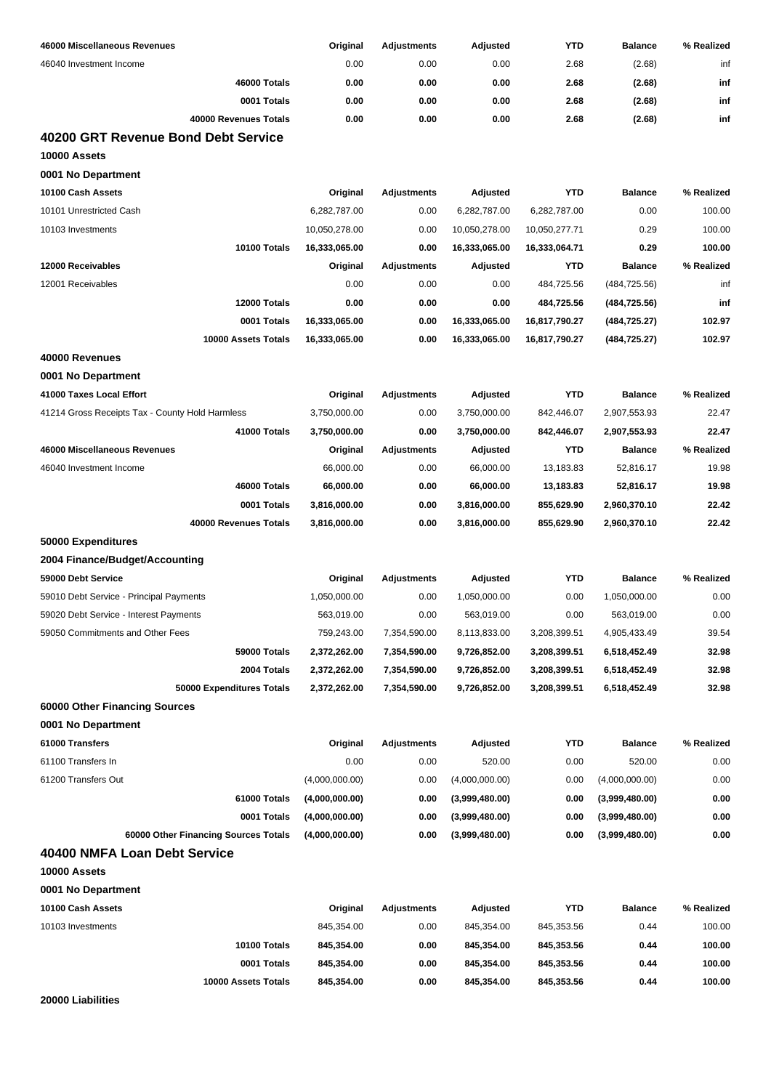| 46000 Miscellaneous Revenues                        | Original       | <b>Adjustments</b> | Adjusted       | <b>YTD</b>    | <b>Balance</b> | % Realized |
|-----------------------------------------------------|----------------|--------------------|----------------|---------------|----------------|------------|
| 46040 Investment Income                             | 0.00           | 0.00               | 0.00           | 2.68          | (2.68)         | inf        |
| 46000 Totals                                        | 0.00           | 0.00               | 0.00           | 2.68          | (2.68)         | inf        |
| 0001 Totals                                         | 0.00           | 0.00               | 0.00           | 2.68          | (2.68)         | inf        |
| 40000 Revenues Totals                               | 0.00           | 0.00               | 0.00           | 2.68          | (2.68)         | inf        |
| 40200 GRT Revenue Bond Debt Service<br>10000 Assets |                |                    |                |               |                |            |
| 0001 No Department                                  |                |                    |                |               |                |            |
| 10100 Cash Assets                                   | Original       | <b>Adjustments</b> | Adjusted       | <b>YTD</b>    | <b>Balance</b> | % Realized |
| 10101 Unrestricted Cash                             | 6,282,787.00   | 0.00               | 6,282,787.00   | 6,282,787.00  | 0.00           | 100.00     |
| 10103 Investments                                   | 10,050,278.00  | 0.00               | 10,050,278.00  | 10,050,277.71 | 0.29           | 100.00     |
| 10100 Totals                                        | 16,333,065.00  | 0.00               | 16,333,065.00  | 16,333,064.71 | 0.29           | 100.00     |
| 12000 Receivables                                   | Original       | <b>Adjustments</b> | Adjusted       | <b>YTD</b>    | <b>Balance</b> | % Realized |
| 12001 Receivables                                   | 0.00           | 0.00               | 0.00           | 484,725.56    | (484, 725.56)  | inf        |
| 12000 Totals                                        | 0.00           | 0.00               | 0.00           | 484,725.56    | (484, 725.56)  | inf        |
| 0001 Totals                                         | 16,333,065.00  | 0.00               | 16,333,065.00  | 16,817,790.27 | (484, 725.27)  | 102.97     |
| 10000 Assets Totals                                 | 16,333,065.00  | 0.00               | 16,333,065.00  | 16,817,790.27 | (484, 725.27)  | 102.97     |
| 40000 Revenues                                      |                |                    |                |               |                |            |
| 0001 No Department                                  |                |                    |                |               |                |            |
|                                                     |                |                    |                |               |                |            |
| 41000 Taxes Local Effort                            | Original       | <b>Adjustments</b> | Adjusted       | <b>YTD</b>    | <b>Balance</b> | % Realized |
| 41214 Gross Receipts Tax - County Hold Harmless     | 3,750,000.00   | 0.00               | 3,750,000.00   | 842,446.07    | 2,907,553.93   | 22.47      |
| 41000 Totals                                        | 3,750,000.00   | 0.00               | 3,750,000.00   | 842,446.07    | 2,907,553.93   | 22.47      |
| 46000 Miscellaneous Revenues                        | Original       | <b>Adjustments</b> | Adjusted       | <b>YTD</b>    | <b>Balance</b> | % Realized |
| 46040 Investment Income                             | 66,000.00      | 0.00               | 66,000.00      | 13,183.83     | 52,816.17      | 19.98      |
| 46000 Totals                                        | 66,000.00      | 0.00               | 66,000.00      | 13,183.83     | 52,816.17      | 19.98      |
| 0001 Totals                                         | 3,816,000.00   | 0.00               | 3,816,000.00   | 855,629.90    | 2,960,370.10   | 22.42      |
| 40000 Revenues Totals                               | 3,816,000.00   | 0.00               | 3,816,000.00   | 855,629.90    | 2,960,370.10   | 22.42      |
| 50000 Expenditures                                  |                |                    |                |               |                |            |
| 2004 Finance/Budget/Accounting                      |                |                    |                |               |                |            |
| 59000 Debt Service                                  | Original       | <b>Adjustments</b> | Adjusted       | <b>YTD</b>    | <b>Balance</b> | % Realized |
| 59010 Debt Service - Principal Payments             | 1,050,000.00   | 0.00               | 1,050,000.00   | 0.00          | 1,050,000.00   | 0.00       |
| 59020 Debt Service - Interest Payments              | 563,019.00     | 0.00               | 563,019.00     | 0.00          | 563,019.00     | 0.00       |
| 59050 Commitments and Other Fees                    | 759,243.00     | 7,354,590.00       | 8,113,833.00   | 3,208,399.51  | 4,905,433.49   | 39.54      |
| 59000 Totals                                        | 2,372,262.00   | 7,354,590.00       | 9,726,852.00   | 3,208,399.51  | 6,518,452.49   | 32.98      |
| 2004 Totals                                         | 2,372,262.00   | 7,354,590.00       | 9,726,852.00   | 3,208,399.51  | 6,518,452.49   | 32.98      |
| 50000 Expenditures Totals                           | 2,372,262.00   | 7,354,590.00       | 9,726,852.00   | 3,208,399.51  | 6,518,452.49   | 32.98      |
| 60000 Other Financing Sources                       |                |                    |                |               |                |            |
| 0001 No Department                                  |                |                    |                |               |                |            |
| 61000 Transfers                                     | Original       | <b>Adjustments</b> | Adjusted       | <b>YTD</b>    | <b>Balance</b> | % Realized |
| 61100 Transfers In                                  | 0.00           | 0.00               | 520.00         | 0.00          | 520.00         | 0.00       |
| 61200 Transfers Out                                 | (4,000,000.00) | 0.00               | (4,000,000.00) | 0.00          | (4,000,000.00) | 0.00       |
| 61000 Totals                                        | (4,000,000.00) | 0.00               | (3,999,480.00) | 0.00          | (3,999,480.00) | 0.00       |
| 0001 Totals                                         | (4,000,000.00) | 0.00               | (3,999,480.00) | 0.00          | (3,999,480.00) | 0.00       |
| 60000 Other Financing Sources Totals                | (4,000,000.00) | 0.00               | (3,999,480.00) | 0.00          | (3,999,480.00) | 0.00       |
| 40400 NMFA Loan Debt Service                        |                |                    |                |               |                |            |
| 10000 Assets                                        |                |                    |                |               |                |            |
| 0001 No Department                                  |                |                    |                |               |                |            |
| 10100 Cash Assets                                   | Original       | <b>Adjustments</b> | Adjusted       | <b>YTD</b>    | <b>Balance</b> | % Realized |
| 10103 Investments                                   | 845,354.00     | 0.00               | 845,354.00     | 845,353.56    | 0.44           | 100.00     |
| 10100 Totals                                        | 845,354.00     | 0.00               | 845,354.00     | 845,353.56    | 0.44           | 100.00     |
| 0001 Totals                                         | 845,354.00     | 0.00               | 845,354.00     | 845,353.56    | 0.44           | 100.00     |
| 10000 Assets Totals                                 | 845,354.00     | 0.00               | 845,354.00     | 845,353.56    | 0.44           | 100.00     |

**20000 Liabilities**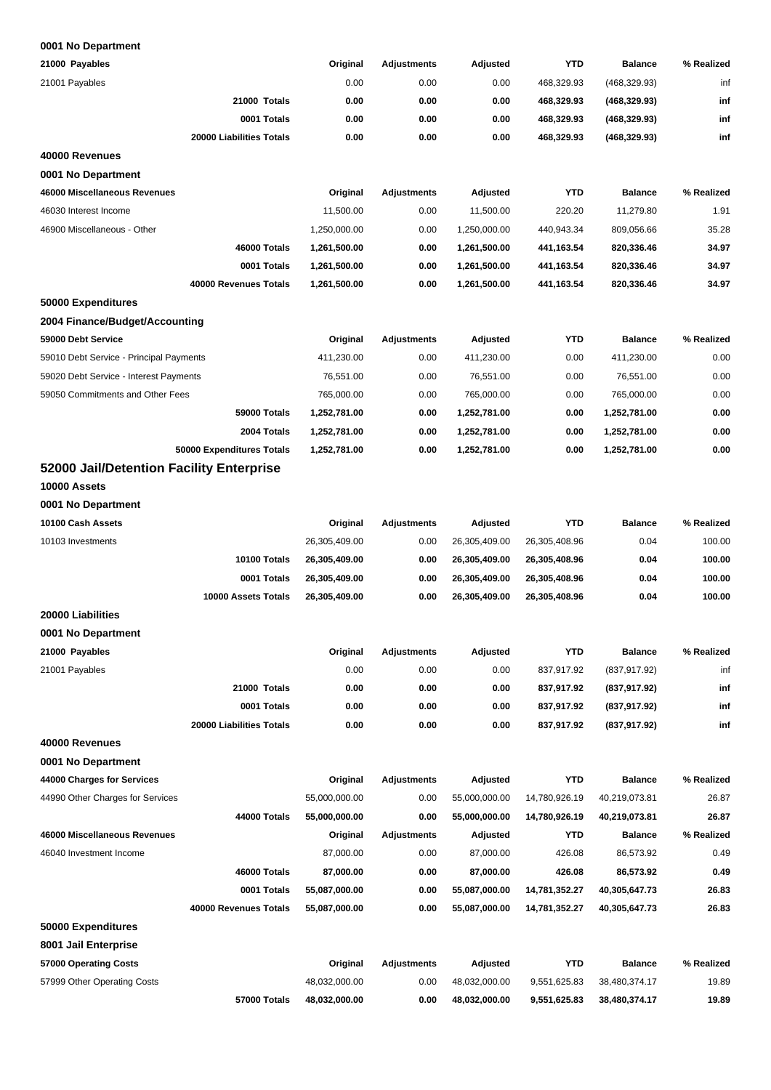| 21000 Payables                           | Original      | <b>Adjustments</b> | Adjusted      | <b>YTD</b>    | <b>Balance</b> | % Realized |
|------------------------------------------|---------------|--------------------|---------------|---------------|----------------|------------|
| 21001 Payables                           | 0.00          | 0.00               | 0.00          | 468,329.93    | (468, 329.93)  | inf        |
| 21000 Totals                             | 0.00          | 0.00               | 0.00          | 468,329.93    | (468, 329.93)  | inf        |
| 0001 Totals                              | 0.00          | 0.00               | 0.00          | 468,329.93    | (468, 329.93)  | inf        |
| 20000 Liabilities Totals                 | 0.00          | 0.00               | 0.00          | 468,329.93    | (468, 329.93)  | inf        |
| 40000 Revenues                           |               |                    |               |               |                |            |
| 0001 No Department                       |               |                    |               |               |                |            |
| 46000 Miscellaneous Revenues             | Original      | <b>Adjustments</b> | Adjusted      | <b>YTD</b>    | <b>Balance</b> | % Realized |
| 46030 Interest Income                    | 11,500.00     | 0.00               | 11,500.00     | 220.20        | 11,279.80      | 1.91       |
| 46900 Miscellaneous - Other              | 1,250,000.00  | 0.00               | 1,250,000.00  | 440,943.34    | 809,056.66     | 35.28      |
| 46000 Totals                             | 1,261,500.00  | 0.00               | 1,261,500.00  | 441,163.54    | 820,336.46     | 34.97      |
| 0001 Totals                              | 1,261,500.00  | 0.00               | 1,261,500.00  | 441,163.54    | 820,336.46     | 34.97      |
| 40000 Revenues Totals                    | 1,261,500.00  | 0.00               | 1,261,500.00  | 441,163.54    | 820,336.46     | 34.97      |
| 50000 Expenditures                       |               |                    |               |               |                |            |
| 2004 Finance/Budget/Accounting           |               |                    |               |               |                |            |
| 59000 Debt Service                       | Original      | <b>Adjustments</b> | Adjusted      | <b>YTD</b>    | <b>Balance</b> | % Realized |
| 59010 Debt Service - Principal Payments  | 411,230.00    | 0.00               | 411,230.00    | 0.00          | 411,230.00     | 0.00       |
| 59020 Debt Service - Interest Payments   | 76,551.00     | 0.00               | 76,551.00     | 0.00          | 76,551.00      | 0.00       |
| 59050 Commitments and Other Fees         | 765,000.00    | 0.00               | 765,000.00    | 0.00          | 765,000.00     | 0.00       |
| 59000 Totals                             | 1,252,781.00  | 0.00               | 1,252,781.00  | 0.00          | 1,252,781.00   | 0.00       |
| 2004 Totals                              | 1,252,781.00  | 0.00               | 1,252,781.00  | 0.00          | 1,252,781.00   | 0.00       |
| 50000 Expenditures Totals                | 1,252,781.00  | 0.00               | 1,252,781.00  | 0.00          | 1,252,781.00   | 0.00       |
| 52000 Jail/Detention Facility Enterprise |               |                    |               |               |                |            |
| 10000 Assets                             |               |                    |               |               |                |            |
| 0001 No Department                       |               |                    |               |               |                |            |
| 10100 Cash Assets                        | Original      | <b>Adjustments</b> | Adjusted      | <b>YTD</b>    | <b>Balance</b> | % Realized |
| 10103 Investments                        | 26,305,409.00 | 0.00               | 26,305,409.00 | 26,305,408.96 | 0.04           | 100.00     |
| 10100 Totals                             | 26,305,409.00 | 0.00               | 26,305,409.00 | 26,305,408.96 | 0.04           | 100.00     |
| 0001 Totals                              | 26,305,409.00 | 0.00               | 26,305,409.00 | 26,305,408.96 | 0.04           | 100.00     |
| 10000 Assets Totals                      | 26,305,409.00 | 0.00               | 26,305,409.00 | 26,305,408.96 | 0.04           | 100.00     |
| 20000 Liabilities                        |               |                    |               |               |                |            |
| 0001 No Department                       |               |                    |               |               |                |            |
| 21000 Payables                           | Original      | <b>Adjustments</b> | Adjusted      | <b>YTD</b>    | <b>Balance</b> | % Realized |
| 21001 Payables                           | 0.00          | 0.00               | 0.00          | 837,917.92    | (837, 917.92)  | inf        |
| 21000 Totals                             | 0.00          | 0.00               | 0.00          | 837,917.92    | (837,917.92)   | inf        |
| 0001 Totals                              | 0.00          | 0.00               | 0.00          | 837,917.92    | (837,917.92)   | inf        |
| 20000 Liabilities Totals                 | 0.00          | 0.00               | 0.00          | 837,917.92    | (837,917.92)   | inf        |
| 40000 Revenues                           |               |                    |               |               |                |            |
| 0001 No Department                       |               |                    |               |               |                |            |
| 44000 Charges for Services               | Original      | <b>Adjustments</b> | Adjusted      | <b>YTD</b>    | <b>Balance</b> | % Realized |
| 44990 Other Charges for Services         | 55,000,000.00 | 0.00               | 55,000,000.00 | 14,780,926.19 | 40,219,073.81  | 26.87      |
| 44000 Totals                             | 55,000,000.00 | 0.00               | 55,000,000.00 | 14,780,926.19 | 40,219,073.81  | 26.87      |
| 46000 Miscellaneous Revenues             | Original      | <b>Adjustments</b> | Adjusted      | YTD           | <b>Balance</b> | % Realized |
| 46040 Investment Income                  | 87,000.00     | 0.00               | 87,000.00     | 426.08        | 86,573.92      | 0.49       |
| 46000 Totals                             | 87,000.00     | 0.00               | 87,000.00     | 426.08        | 86,573.92      | 0.49       |
| 0001 Totals                              | 55,087,000.00 | 0.00               | 55,087,000.00 | 14,781,352.27 | 40,305,647.73  | 26.83      |
| 40000 Revenues Totals                    | 55,087,000.00 | 0.00               | 55,087,000.00 | 14,781,352.27 | 40,305,647.73  | 26.83      |
| 50000 Expenditures                       |               |                    |               |               |                |            |
| 8001 Jail Enterprise                     |               |                    |               |               |                |            |
| 57000 Operating Costs                    | Original      | <b>Adjustments</b> | Adjusted      | <b>YTD</b>    | <b>Balance</b> | % Realized |
| 57999 Other Operating Costs              | 48,032,000.00 | 0.00               | 48,032,000.00 | 9,551,625.83  | 38,480,374.17  | 19.89      |
| 57000 Totals                             | 48,032,000.00 | 0.00               | 48,032,000.00 | 9,551,625.83  | 38,480,374.17  | 19.89      |